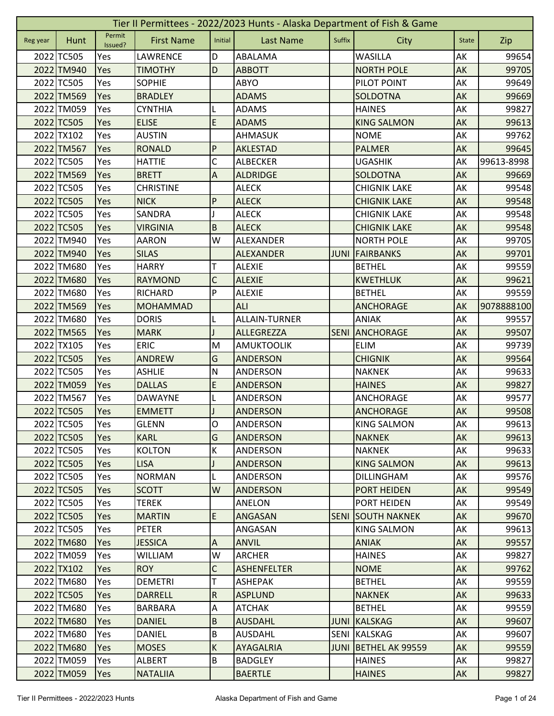|          | Tier II Permittees - 2022/2023 Hunts - Alaska Department of Fish & Game |                   |                   |                         |                    |             |                     |              |            |  |  |
|----------|-------------------------------------------------------------------------|-------------------|-------------------|-------------------------|--------------------|-------------|---------------------|--------------|------------|--|--|
| Reg year | Hunt                                                                    | Permit<br>Issued? | <b>First Name</b> | Initial                 | <b>Last Name</b>   | Suffix      | City                | <b>State</b> | Zip        |  |  |
|          | 2022 TC505                                                              | Yes               | LAWRENCE          | D                       | ABALAMA            |             | <b>WASILLA</b>      | AK           | 99654      |  |  |
|          | 2022 TM940                                                              | Yes               | <b>TIMOTHY</b>    | D                       | <b>ABBOTT</b>      |             | <b>NORTH POLE</b>   | AK           | 99705      |  |  |
|          | 2022 TC505                                                              | Yes               | <b>SOPHIE</b>     |                         | ABYO               |             | PILOT POINT         | AK           | 99649      |  |  |
|          | 2022 TM569                                                              | Yes               | <b>BRADLEY</b>    |                         | <b>ADAMS</b>       |             | SOLDOTNA            | AK           | 99669      |  |  |
|          | 2022 TM059                                                              | Yes               | <b>CYNTHIA</b>    | L                       | <b>ADAMS</b>       |             | <b>HAINES</b>       | AK           | 99827      |  |  |
|          | 2022 TC505                                                              | Yes               | <b>ELISE</b>      | E                       | <b>ADAMS</b>       |             | <b>KING SALMON</b>  | AK           | 99613      |  |  |
|          | 2022 TX102                                                              | Yes               | <b>AUSTIN</b>     |                         | <b>AHMASUK</b>     |             | <b>NOME</b>         | AK           | 99762      |  |  |
|          | 2022 TM567                                                              | Yes               | <b>RONALD</b>     | P                       | AKLESTAD           |             | <b>PALMER</b>       | AK           | 99645      |  |  |
|          | 2022 TC505                                                              | Yes               | <b>HATTIE</b>     | C                       | <b>ALBECKER</b>    |             | <b>UGASHIK</b>      | AK           | 99613-8998 |  |  |
|          | 2022 TM569                                                              | Yes               | <b>BRETT</b>      | A                       | <b>ALDRIDGE</b>    |             | SOLDOTNA            | AK           | 99669      |  |  |
|          | 2022 TC505                                                              | Yes               | <b>CHRISTINE</b>  |                         | <b>ALECK</b>       |             | <b>CHIGNIK LAKE</b> | AK           | 99548      |  |  |
|          | 2022 TC505                                                              | Yes               | <b>NICK</b>       | P                       | <b>ALECK</b>       |             | <b>CHIGNIK LAKE</b> | AK           | 99548      |  |  |
|          | 2022 TC505                                                              | Yes               | SANDRA            |                         | <b>ALECK</b>       |             | <b>CHIGNIK LAKE</b> | АK           | 99548      |  |  |
|          | 2022 TC505                                                              | Yes               | <b>VIRGINIA</b>   | B                       | <b>ALECK</b>       |             | <b>CHIGNIK LAKE</b> | AK           | 99548      |  |  |
|          | 2022 TM940                                                              | Yes               | <b>AARON</b>      | W                       | ALEXANDER          |             | <b>NORTH POLE</b>   | AK           | 99705      |  |  |
|          | 2022 TM940                                                              | Yes               | <b>SILAS</b>      |                         | <b>ALEXANDER</b>   | <b>JUNI</b> | FAIRBANKS           | AK           | 99701      |  |  |
|          | 2022 TM680                                                              | Yes               | <b>HARRY</b>      | т                       | <b>ALEXIE</b>      |             | <b>BETHEL</b>       | AK           | 99559      |  |  |
|          | 2022 TM680                                                              | Yes               | <b>RAYMOND</b>    | $\mathsf C$             | <b>ALEXIE</b>      |             | <b>KWETHLUK</b>     | AK           | 99621      |  |  |
|          | 2022 TM680                                                              | Yes               | <b>RICHARD</b>    | P                       | <b>ALEXIE</b>      |             | <b>BETHEL</b>       | AK           | 99559      |  |  |
|          | 2022 TM569                                                              | Yes               | <b>MOHAMMAD</b>   |                         | ALI                |             | <b>ANCHORAGE</b>    | AK           | 9078888100 |  |  |
|          | 2022 TM680                                                              | Yes               | <b>DORIS</b>      |                         | ALLAIN-TURNER      |             | ANIAK               | AK           | 99557      |  |  |
|          | 2022 TM565                                                              | Yes               | <b>MARK</b>       |                         | <b>ALLEGREZZA</b>  | <b>SENI</b> | <b>ANCHORAGE</b>    | AK           | 99507      |  |  |
|          | 2022 TX105                                                              | Yes               | <b>ERIC</b>       | M                       | <b>AMUKTOOLIK</b>  |             | <b>ELIM</b>         | AK           | 99739      |  |  |
|          | 2022 TC505                                                              | Yes               | <b>ANDREW</b>     | G                       | <b>ANDERSON</b>    |             | <b>CHIGNIK</b>      | AK           | 99564      |  |  |
|          | 2022 TC505                                                              | Yes               | <b>ASHLIE</b>     | N                       | ANDERSON           |             | <b>NAKNEK</b>       | АK           | 99633      |  |  |
|          | 2022 TM059                                                              | Yes               | <b>DALLAS</b>     | E                       | <b>ANDERSON</b>    |             | <b>HAINES</b>       | AK           | 99827      |  |  |
|          | 2022 TM567                                                              | Yes               | <b>DAWAYNE</b>    |                         | ANDERSON           |             | ANCHORAGE           | AK           | 99577      |  |  |
|          | 2022 TC505                                                              | Yes               | <b>EMMETT</b>     |                         | <b>ANDERSON</b>    |             | <b>ANCHORAGE</b>    | AK           | 99508      |  |  |
|          | 2022 TC505                                                              | Yes               | <b>GLENN</b>      | $\mathsf O$             | ANDERSON           |             | <b>KING SALMON</b>  | AK           | 99613      |  |  |
|          | 2022 TC505                                                              | Yes               | <b>KARL</b>       | G                       | <b>ANDERSON</b>    |             | <b>NAKNEK</b>       | AK           | 99613      |  |  |
|          | 2022 TC505                                                              | Yes               | <b>KOLTON</b>     | К                       | ANDERSON           |             | <b>NAKNEK</b>       | AK           | 99633      |  |  |
|          | 2022 TC505                                                              | Yes               | <b>LISA</b>       | J                       | ANDERSON           |             | <b>KING SALMON</b>  | AK           | 99613      |  |  |
|          | 2022 TC505                                                              | Yes               | <b>NORMAN</b>     |                         | ANDERSON           |             | DILLINGHAM          | AK           | 99576      |  |  |
|          | 2022 TC505                                                              | Yes               | <b>SCOTT</b>      | W                       | <b>ANDERSON</b>    |             | PORT HEIDEN         | AK           | 99549      |  |  |
|          | 2022 TC505                                                              | Yes               | <b>TEREK</b>      |                         | ANELON             |             | PORT HEIDEN         | AK           | 99549      |  |  |
|          | 2022 TC505                                                              | <b>Yes</b>        | <b>MARTIN</b>     | E                       | <b>ANGASAN</b>     | <b>SENI</b> | <b>SOUTH NAKNEK</b> | <b>AK</b>    | 99670      |  |  |
|          | 2022 TC505                                                              | Yes               | <b>PETER</b>      |                         | ANGASAN            |             | <b>KING SALMON</b>  | AK           | 99613      |  |  |
|          | 2022 TM680                                                              | Yes               | <b>JESSICA</b>    | A                       | <b>ANVIL</b>       |             | <b>ANIAK</b>        | AK           | 99557      |  |  |
|          | 2022 TM059                                                              | Yes               | WILLIAM           | W                       | <b>ARCHER</b>      |             | <b>HAINES</b>       | AK           | 99827      |  |  |
|          | 2022 TX102                                                              | Yes               | <b>ROY</b>        | C                       | <b>ASHENFELTER</b> |             | <b>NOME</b>         | AK           | 99762      |  |  |
|          | 2022 TM680                                                              | Yes               | <b>DEMETRI</b>    | T                       | <b>ASHEPAK</b>     |             | <b>BETHEL</b>       | AK           | 99559      |  |  |
|          | 2022 TC505                                                              | Yes               | <b>DARRELL</b>    | $\overline{R}$          | <b>ASPLUND</b>     |             | <b>NAKNEK</b>       | AK           | 99633      |  |  |
|          | 2022 TM680                                                              | Yes               | <b>BARBARA</b>    | $\overline{A}$          | <b>ATCHAK</b>      |             | <b>BETHEL</b>       | AK           | 99559      |  |  |
|          | 2022 TM680                                                              | Yes               | <b>DANIEL</b>     | B                       | <b>AUSDAHL</b>     | JUNI        | <b>KALSKAG</b>      | AK           | 99607      |  |  |
|          | 2022 TM680                                                              | Yes               | DANIEL            | $\sf B$                 | <b>AUSDAHL</b>     | SENI        | <b>KALSKAG</b>      | AK           | 99607      |  |  |
|          | 2022 TM680                                                              | Yes               | <b>MOSES</b>      | $\overline{\mathsf{K}}$ | AYAGALRIA          | <b>JUNI</b> | BETHEL AK 99559     | AK           | 99559      |  |  |
|          | 2022 TM059                                                              | Yes               | <b>ALBERT</b>     | B                       | <b>BADGLEY</b>     |             | <b>HAINES</b>       | AK           | 99827      |  |  |
|          | 2022 TM059                                                              | Yes               | <b>NATALIIA</b>   |                         | <b>BAERTLE</b>     |             | <b>HAINES</b>       | AK           | 99827      |  |  |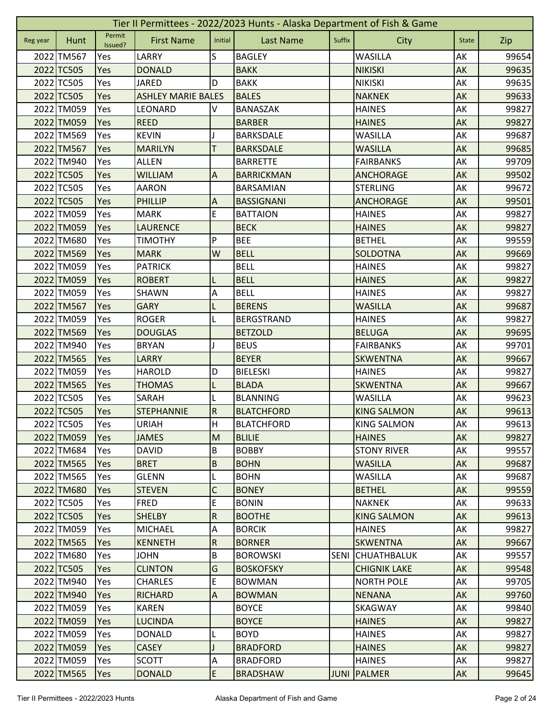| Tier II Permittees - 2022/2023 Hunts - Alaska Department of Fish & Game |            |                   |                           |                           |                   |             |                     |              |       |  |  |
|-------------------------------------------------------------------------|------------|-------------------|---------------------------|---------------------------|-------------------|-------------|---------------------|--------------|-------|--|--|
| Reg year                                                                | Hunt       | Permit<br>Issued? | <b>First Name</b>         | Initial                   | <b>Last Name</b>  | Suffix      | City                | <b>State</b> | Zip   |  |  |
|                                                                         | 2022 TM567 | Yes               | LARRY                     | S                         | <b>BAGLEY</b>     |             | <b>WASILLA</b>      | AK           | 99654 |  |  |
|                                                                         | 2022 TC505 | Yes               | <b>DONALD</b>             |                           | <b>BAKK</b>       |             | <b>NIKISKI</b>      | AK           | 99635 |  |  |
|                                                                         | 2022 TC505 | Yes               | <b>JARED</b>              | D                         | <b>BAKK</b>       |             | <b>NIKISKI</b>      | AK           | 99635 |  |  |
|                                                                         | 2022 TC505 | Yes               | <b>ASHLEY MARIE BALES</b> |                           | <b>BALES</b>      |             | <b>NAKNEK</b>       | AK           | 99633 |  |  |
|                                                                         | 2022 TM059 | Yes               | <b>LEONARD</b>            | V                         | <b>BANASZAK</b>   |             | <b>HAINES</b>       | AK           | 99827 |  |  |
|                                                                         | 2022 TM059 | Yes               | <b>REED</b>               |                           | <b>BARBER</b>     |             | <b>HAINES</b>       | AK           | 99827 |  |  |
|                                                                         | 2022 TM569 | Yes               | <b>KEVIN</b>              |                           | <b>BARKSDALE</b>  |             | <b>WASILLA</b>      | AK           | 99687 |  |  |
|                                                                         | 2022 TM567 | Yes               | <b>MARILYN</b>            | T                         | <b>BARKSDALE</b>  |             | <b>WASILLA</b>      | AK           | 99685 |  |  |
|                                                                         | 2022 TM940 | Yes               | <b>ALLEN</b>              |                           | <b>BARRETTE</b>   |             | <b>FAIRBANKS</b>    | AK           | 99709 |  |  |
|                                                                         | 2022 TC505 | Yes               | <b>WILLIAM</b>            | $\boldsymbol{\mathsf{A}}$ | <b>BARRICKMAN</b> |             | <b>ANCHORAGE</b>    | AK           | 99502 |  |  |
|                                                                         | 2022 TC505 | Yes               | <b>AARON</b>              |                           | BARSAMIAN         |             | <b>STERLING</b>     | AK           | 99672 |  |  |
|                                                                         | 2022 TC505 | Yes               | <b>PHILLIP</b>            | A                         | <b>BASSIGNANI</b> |             | <b>ANCHORAGE</b>    | AK           | 99501 |  |  |
|                                                                         | 2022 TM059 | Yes               | <b>MARK</b>               | E                         | <b>BATTAION</b>   |             | <b>HAINES</b>       | АK           | 99827 |  |  |
|                                                                         | 2022 TM059 | Yes               | <b>LAURENCE</b>           |                           | <b>BECK</b>       |             | <b>HAINES</b>       | AK           | 99827 |  |  |
|                                                                         | 2022 TM680 | Yes               | <b>TIMOTHY</b>            | P                         | <b>BEE</b>        |             | <b>BETHEL</b>       | AK           | 99559 |  |  |
|                                                                         | 2022 TM569 | Yes               | <b>MARK</b>               | W                         | <b>BELL</b>       |             | SOLDOTNA            | AK           | 99669 |  |  |
|                                                                         | 2022 TM059 | Yes               | <b>PATRICK</b>            |                           | <b>BELL</b>       |             | <b>HAINES</b>       | AK           | 99827 |  |  |
|                                                                         | 2022 TM059 | Yes               | <b>ROBERT</b>             | L                         | <b>BELL</b>       |             | <b>HAINES</b>       | AK           | 99827 |  |  |
|                                                                         | 2022 TM059 | Yes               | <b>SHAWN</b>              | A                         | <b>BELL</b>       |             | <b>HAINES</b>       | AK           | 99827 |  |  |
|                                                                         | 2022 TM567 | Yes               | <b>GARY</b>               |                           | <b>BERENS</b>     |             | <b>WASILLA</b>      | AK           | 99687 |  |  |
|                                                                         | 2022 TM059 | Yes               | <b>ROGER</b>              |                           | <b>BERGSTRAND</b> |             | <b>HAINES</b>       | AK           | 99827 |  |  |
|                                                                         | 2022 TM569 | Yes               | <b>DOUGLAS</b>            |                           | <b>BETZOLD</b>    |             | <b>BELUGA</b>       | AK           | 99695 |  |  |
|                                                                         | 2022 TM940 | Yes               | <b>BRYAN</b>              |                           | <b>BEUS</b>       |             | <b>FAIRBANKS</b>    | AK           | 99701 |  |  |
|                                                                         | 2022 TM565 | Yes               | <b>LARRY</b>              |                           | <b>BEYER</b>      |             | <b>SKWENTNA</b>     | AK           | 99667 |  |  |
|                                                                         | 2022 TM059 | Yes               | <b>HAROLD</b>             | D                         | <b>BIELESKI</b>   |             | <b>HAINES</b>       | АK           | 99827 |  |  |
|                                                                         | 2022 TM565 | Yes               | <b>THOMAS</b>             |                           | <b>BLADA</b>      |             | <b>SKWENTNA</b>     | AK           | 99667 |  |  |
|                                                                         | 2022 TC505 | Yes               | SARAH                     |                           | <b>BLANNING</b>   |             | <b>WASILLA</b>      | AK           | 99623 |  |  |
|                                                                         | 2022 TC505 | Yes               | <b>STEPHANNIE</b>         | ${\sf R}$                 | <b>BLATCHFORD</b> |             | <b>KING SALMON</b>  | AK           | 99613 |  |  |
|                                                                         | 2022 TC505 | Yes               | <b>URIAH</b>              | H                         | <b>BLATCHFORD</b> |             | <b>KING SALMON</b>  | AK           | 99613 |  |  |
|                                                                         | 2022 TM059 | <b>Yes</b>        | <b>JAMES</b>              | M                         | <b>BLILIE</b>     |             | <b>HAINES</b>       | AK           | 99827 |  |  |
|                                                                         | 2022 TM684 | Yes               | <b>DAVID</b>              | $\sf B$                   | <b>BOBBY</b>      |             | <b>STONY RIVER</b>  | AK           | 99557 |  |  |
|                                                                         | 2022 TM565 | Yes               | <b>BRET</b>               | $\sf B$                   | <b>BOHN</b>       |             | <b>WASILLA</b>      | AK           | 99687 |  |  |
|                                                                         | 2022 TM565 | Yes               | <b>GLENN</b>              |                           | <b>BOHN</b>       |             | <b>WASILLA</b>      | AK           | 99687 |  |  |
|                                                                         | 2022 TM680 | Yes               | <b>STEVEN</b>             | C                         | <b>BONEY</b>      |             | <b>BETHEL</b>       | AK           | 99559 |  |  |
|                                                                         | 2022 TC505 | Yes               | <b>FRED</b>               | E                         | <b>BONIN</b>      |             | <b>NAKNEK</b>       | AK           | 99633 |  |  |
|                                                                         | 2022 TC505 | <b>Yes</b>        | <b>SHELBY</b>             | $\overline{R}$            | <b>BOOTHE</b>     |             | <b>KING SALMON</b>  | <b>AK</b>    | 99613 |  |  |
|                                                                         | 2022 TM059 | Yes               | <b>MICHAEL</b>            | A                         | <b>BORCIK</b>     |             | <b>HAINES</b>       | AK           | 99827 |  |  |
|                                                                         | 2022 TM565 | Yes               | <b>KENNETH</b>            | $\overline{R}$            | <b>BORNER</b>     |             | <b>SKWENTNA</b>     | AK           | 99667 |  |  |
|                                                                         | 2022 TM680 | Yes               | <b>JOHN</b>               | $\sf B$                   | <b>BOROWSKI</b>   | <b>SENI</b> | <b>CHUATHBALUK</b>  | AK           | 99557 |  |  |
|                                                                         | 2022 TC505 | Yes               | <b>CLINTON</b>            | G                         | <b>BOSKOFSKY</b>  |             | <b>CHIGNIK LAKE</b> | AK           | 99548 |  |  |
|                                                                         | 2022 TM940 | Yes               | <b>CHARLES</b>            | E                         | <b>BOWMAN</b>     |             | <b>NORTH POLE</b>   | AK           | 99705 |  |  |
|                                                                         | 2022 TM940 | Yes               | <b>RICHARD</b>            | $\boldsymbol{\mathsf{A}}$ | <b>BOWMAN</b>     |             | <b>NENANA</b>       | AK           | 99760 |  |  |
|                                                                         | 2022 TM059 | Yes               | <b>KAREN</b>              |                           | <b>BOYCE</b>      |             | SKAGWAY             | AK           | 99840 |  |  |
|                                                                         | 2022 TM059 | Yes               | <b>LUCINDA</b>            |                           | <b>BOYCE</b>      |             | <b>HAINES</b>       | AK           | 99827 |  |  |
|                                                                         | 2022 TM059 | Yes               | <b>DONALD</b>             | L                         | <b>BOYD</b>       |             | <b>HAINES</b>       | AK           | 99827 |  |  |
|                                                                         | 2022 TM059 | Yes               | <b>CASEY</b>              |                           | <b>BRADFORD</b>   |             | <b>HAINES</b>       | AK           | 99827 |  |  |
|                                                                         | 2022 TM059 | Yes               | <b>SCOTT</b>              | A                         | <b>BRADFORD</b>   |             | <b>HAINES</b>       | AK           | 99827 |  |  |
|                                                                         | 2022 TM565 | Yes               | <b>DONALD</b>             | E                         | <b>BRADSHAW</b>   | <b>JUNI</b> | PALMER              | AK           | 99645 |  |  |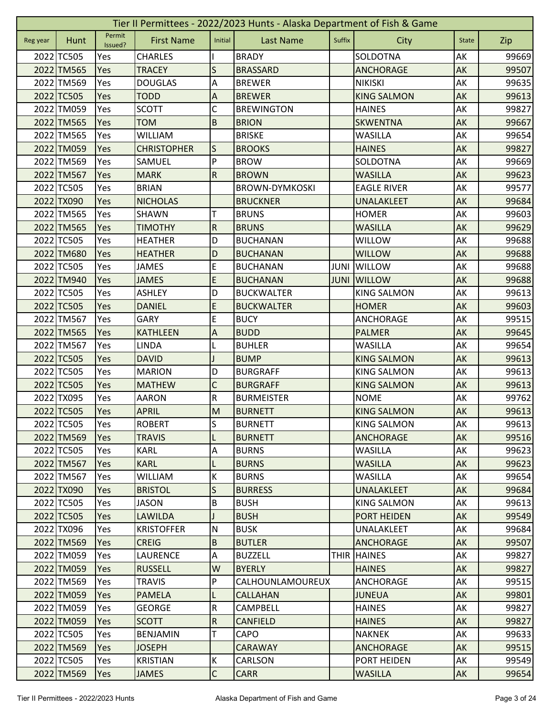| Tier II Permittees - 2022/2023 Hunts - Alaska Department of Fish & Game |            |                   |                    |                           |                       |             |                    |              |       |  |  |
|-------------------------------------------------------------------------|------------|-------------------|--------------------|---------------------------|-----------------------|-------------|--------------------|--------------|-------|--|--|
| Reg year                                                                | Hunt       | Permit<br>Issued? | <b>First Name</b>  | Initial                   | <b>Last Name</b>      | Suffix      | City               | <b>State</b> | Zip   |  |  |
|                                                                         | 2022 TC505 | Yes               | <b>CHARLES</b>     |                           | <b>BRADY</b>          |             | SOLDOTNA           | AK           | 99669 |  |  |
|                                                                         | 2022 TM565 | Yes               | <b>TRACEY</b>      | S                         | <b>BRASSARD</b>       |             | <b>ANCHORAGE</b>   | AK           | 99507 |  |  |
|                                                                         | 2022 TM569 | Yes               | <b>DOUGLAS</b>     | Α                         | <b>BREWER</b>         |             | <b>NIKISKI</b>     | AK           | 99635 |  |  |
|                                                                         | 2022 TC505 | Yes               | <b>TODD</b>        | A                         | <b>BREWER</b>         |             | <b>KING SALMON</b> | AK           | 99613 |  |  |
|                                                                         | 2022 TM059 | Yes               | <b>SCOTT</b>       | $\mathsf C$               | <b>BREWINGTON</b>     |             | <b>HAINES</b>      | AK           | 99827 |  |  |
|                                                                         | 2022 TM565 | Yes               | <b>TOM</b>         | $\sf B$                   | <b>BRION</b>          |             | <b>SKWENTNA</b>    | AK           | 99667 |  |  |
|                                                                         | 2022 TM565 | Yes               | <b>WILLIAM</b>     |                           | <b>BRISKE</b>         |             | <b>WASILLA</b>     | AK           | 99654 |  |  |
|                                                                         | 2022 TM059 | Yes               | <b>CHRISTOPHER</b> | S                         | <b>BROOKS</b>         |             | <b>HAINES</b>      | AK           | 99827 |  |  |
|                                                                         | 2022 TM569 | Yes               | SAMUEL             | P                         | <b>BROW</b>           |             | SOLDOTNA           | AK           | 99669 |  |  |
|                                                                         | 2022 TM567 | Yes               | <b>MARK</b>        | ${\sf R}$                 | <b>BROWN</b>          |             | <b>WASILLA</b>     | AK           | 99623 |  |  |
|                                                                         | 2022 TC505 | Yes               | <b>BRIAN</b>       |                           | <b>BROWN-DYMKOSKI</b> |             | <b>EAGLE RIVER</b> | AK           | 99577 |  |  |
|                                                                         | 2022 TX090 | Yes               | <b>NICHOLAS</b>    |                           | <b>BRUCKNER</b>       |             | <b>UNALAKLEET</b>  | AK           | 99684 |  |  |
|                                                                         | 2022 TM565 | Yes               | SHAWN              | т                         | <b>BRUNS</b>          |             | <b>HOMER</b>       | АK           | 99603 |  |  |
|                                                                         | 2022 TM565 | Yes               | <b>TIMOTHY</b>     | $\mathsf R$               | <b>BRUNS</b>          |             | <b>WASILLA</b>     | AK           | 99629 |  |  |
|                                                                         | 2022 TC505 | Yes               | <b>HEATHER</b>     | D                         | <b>BUCHANAN</b>       |             | <b>WILLOW</b>      | AK           | 99688 |  |  |
|                                                                         | 2022 TM680 | Yes               | <b>HEATHER</b>     | D                         | <b>BUCHANAN</b>       |             | <b>WILLOW</b>      | AK           | 99688 |  |  |
|                                                                         | 2022 TC505 | Yes               | <b>JAMES</b>       | E                         | <b>BUCHANAN</b>       | <b>JUNI</b> | <b>WILLOW</b>      | AK           | 99688 |  |  |
|                                                                         | 2022 TM940 | Yes               | <b>JAMES</b>       | E                         | <b>BUCHANAN</b>       | <b>JUNI</b> | <b>WILLOW</b>      | AK           | 99688 |  |  |
|                                                                         | 2022 TC505 | Yes               | <b>ASHLEY</b>      | D                         | <b>BUCKWALTER</b>     |             | <b>KING SALMON</b> | AK           | 99613 |  |  |
|                                                                         | 2022 TC505 | Yes               | <b>DANIEL</b>      | E                         | <b>BUCKWALTER</b>     |             | <b>HOMER</b>       | AK           | 99603 |  |  |
|                                                                         | 2022 TM567 | Yes               | <b>GARY</b>        | E                         | <b>BUCY</b>           |             | ANCHORAGE          | AK           | 99515 |  |  |
|                                                                         | 2022 TM565 | Yes               | <b>KATHLEEN</b>    | $\boldsymbol{\mathsf{A}}$ | <b>BUDD</b>           |             | <b>PALMER</b>      | AK           | 99645 |  |  |
|                                                                         | 2022 TM567 | Yes               | <b>LINDA</b>       |                           | <b>BUHLER</b>         |             | <b>WASILLA</b>     | AK           | 99654 |  |  |
|                                                                         | 2022 TC505 | Yes               | <b>DAVID</b>       |                           | <b>BUMP</b>           |             | <b>KING SALMON</b> | AK           | 99613 |  |  |
|                                                                         | 2022 TC505 | Yes               | <b>MARION</b>      | D                         | <b>BURGRAFF</b>       |             | <b>KING SALMON</b> | AK           | 99613 |  |  |
|                                                                         | 2022 TC505 | Yes               | <b>MATHEW</b>      | $\mathsf C$               | <b>BURGRAFF</b>       |             | <b>KING SALMON</b> | AK           | 99613 |  |  |
|                                                                         | 2022 TX095 | Yes               | <b>AARON</b>       | ${\sf R}$                 | <b>BURMEISTER</b>     |             | <b>NOME</b>        | AK           | 99762 |  |  |
|                                                                         | 2022 TC505 | Yes               | <b>APRIL</b>       | M                         | <b>BURNETT</b>        |             | <b>KING SALMON</b> | AK           | 99613 |  |  |
|                                                                         | 2022 TC505 | Yes               | <b>ROBERT</b>      | $\overline{\mathsf{S}}$   | <b>BURNETT</b>        |             | <b>KING SALMON</b> | AK           | 99613 |  |  |
|                                                                         | 2022 TM569 | <b>Yes</b>        | <b>TRAVIS</b>      | L                         | <b>BURNETT</b>        |             | <b>ANCHORAGE</b>   | AK           | 99516 |  |  |
|                                                                         | 2022 TC505 | Yes               | <b>KARL</b>        | $\overline{A}$            | <b>BURNS</b>          |             | <b>WASILLA</b>     | AK           | 99623 |  |  |
|                                                                         | 2022 TM567 | Yes               | <b>KARL</b>        | L                         | <b>BURNS</b>          |             | <b>WASILLA</b>     | AK           | 99623 |  |  |
|                                                                         | 2022 TM567 | Yes               | <b>WILLIAM</b>     | К                         | <b>BURNS</b>          |             | <b>WASILLA</b>     | AK           | 99654 |  |  |
|                                                                         | 2022 TX090 | Yes               | <b>BRISTOL</b>     | $\sf S$                   | <b>BURRESS</b>        |             | UNALAKLEET         | AK           | 99684 |  |  |
|                                                                         | 2022 TC505 | Yes               | <b>JASON</b>       | B                         | <b>BUSH</b>           |             | <b>KING SALMON</b> | AK           | 99613 |  |  |
|                                                                         | 2022 TC505 | Yes               | <b>LAWILDA</b>     | $\mathsf{I}$              | <b>BUSH</b>           |             | <b>PORT HEIDEN</b> | <b>AK</b>    | 99549 |  |  |
|                                                                         | 2022 TX096 | Yes               | <b>KRISTOFFER</b>  | $\mathsf{N}$              | <b>BUSK</b>           |             | UNALAKLEET         | AK           | 99684 |  |  |
|                                                                         | 2022 TM569 | Yes               | <b>CREIG</b>       | B                         | <b>BUTLER</b>         |             | <b>ANCHORAGE</b>   | AK           | 99507 |  |  |
|                                                                         | 2022 TM059 | Yes               | <b>LAURENCE</b>    | A                         | <b>BUZZELL</b>        | THIR        | <b>HAINES</b>      | AK           | 99827 |  |  |
|                                                                         | 2022 TM059 | Yes               | <b>RUSSELL</b>     | W                         | <b>BYERLY</b>         |             | <b>HAINES</b>      | AK           | 99827 |  |  |
|                                                                         | 2022 TM569 | Yes               | <b>TRAVIS</b>      | P                         | CALHOUNLAMOUREUX      |             | ANCHORAGE          | AK           | 99515 |  |  |
|                                                                         | 2022 TM059 | Yes               | <b>PAMELA</b>      | L                         | <b>CALLAHAN</b>       |             | <b>JUNEUA</b>      | AK           | 99801 |  |  |
|                                                                         | 2022 TM059 | Yes               | <b>GEORGE</b>      | $\overline{\mathsf{R}}$   | CAMPBELL              |             | <b>HAINES</b>      | AK           | 99827 |  |  |
|                                                                         | 2022 TM059 | Yes               | <b>SCOTT</b>       | ${\sf R}$                 | <b>CANFIELD</b>       |             | <b>HAINES</b>      | AK           | 99827 |  |  |
|                                                                         | 2022 TC505 | Yes               | <b>BENJAMIN</b>    | T                         | CAPO                  |             | <b>NAKNEK</b>      | AK           | 99633 |  |  |
|                                                                         | 2022 TM569 | Yes               | <b>JOSEPH</b>      |                           | <b>CARAWAY</b>        |             | <b>ANCHORAGE</b>   | AK           | 99515 |  |  |
|                                                                         | 2022 TC505 | Yes               | <b>KRISTIAN</b>    | Κ                         | CARLSON               |             | PORT HEIDEN        | AK           | 99549 |  |  |
|                                                                         | 2022 TM569 | Yes               | <b>JAMES</b>       | $\mathsf{C}$              | <b>CARR</b>           |             | <b>WASILLA</b>     | AK           | 99654 |  |  |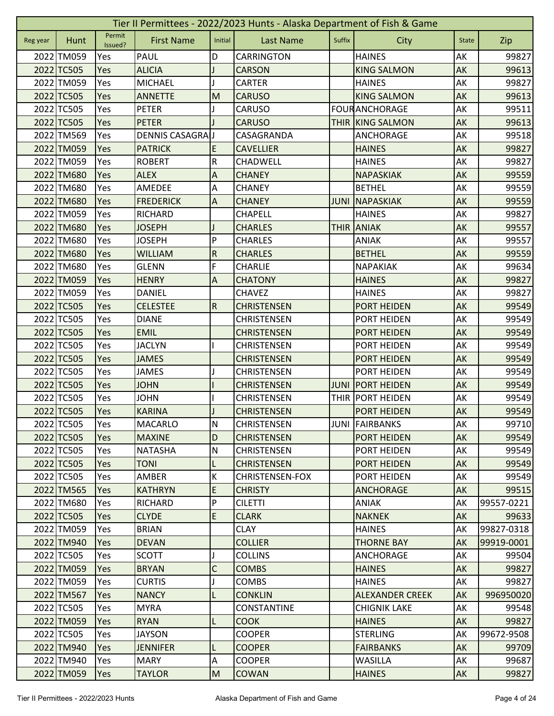|          | Tier II Permittees - 2022/2023 Hunts - Alaska Department of Fish & Game |                   |                        |                           |                        |             |                         |              |            |  |  |  |
|----------|-------------------------------------------------------------------------|-------------------|------------------------|---------------------------|------------------------|-------------|-------------------------|--------------|------------|--|--|--|
| Reg year | Hunt                                                                    | Permit<br>Issued? | <b>First Name</b>      | Initial                   | <b>Last Name</b>       | Suffix      | <b>City</b>             | <b>State</b> | Zip        |  |  |  |
|          | 2022 TM059                                                              | Yes               | <b>PAUL</b>            | D                         | CARRINGTON             |             | <b>HAINES</b>           | AK           | 99827      |  |  |  |
|          | 2022 TC505                                                              | Yes               | <b>ALICIA</b>          |                           | <b>CARSON</b>          |             | <b>KING SALMON</b>      | AK           | 99613      |  |  |  |
|          | 2022 TM059                                                              | Yes               | <b>MICHAEL</b>         |                           | CARTER                 |             | <b>HAINES</b>           | AK           | 99827      |  |  |  |
|          | 2022 TC505                                                              | Yes               | <b>ANNETTE</b>         | M                         | <b>CARUSO</b>          |             | <b>KING SALMON</b>      | AK           | 99613      |  |  |  |
|          | 2022 TC505                                                              | Yes               | <b>PETER</b>           |                           | CARUSO                 |             | <b>FOURANCHORAGE</b>    | AK           | 99511      |  |  |  |
|          | 2022 TC505                                                              | Yes               | <b>PETER</b>           |                           | <b>CARUSO</b>          |             | <b>THIR KING SALMON</b> | AK           | 99613      |  |  |  |
|          | 2022 TM569                                                              | Yes               | <b>DENNIS CASAGRAU</b> |                           | CASAGRANDA             |             | ANCHORAGE               | AK           | 99518      |  |  |  |
|          | 2022 TM059                                                              | Yes               | <b>PATRICK</b>         | E                         | <b>CAVELLIER</b>       |             | <b>HAINES</b>           | AK           | 99827      |  |  |  |
|          | 2022 TM059                                                              | Yes               | <b>ROBERT</b>          | ${\sf R}$                 | <b>CHADWELL</b>        |             | <b>HAINES</b>           | AK           | 99827      |  |  |  |
|          | 2022 TM680                                                              | Yes               | <b>ALEX</b>            | A                         | <b>CHANEY</b>          |             | <b>NAPASKIAK</b>        | AK           | 99559      |  |  |  |
|          | 2022 TM680                                                              | Yes               | AMEDEE                 | A                         | <b>CHANEY</b>          |             | <b>BETHEL</b>           | AK           | 99559      |  |  |  |
|          | 2022 TM680                                                              | Yes               | <b>FREDERICK</b>       | $\boldsymbol{\mathsf{A}}$ | <b>CHANEY</b>          | <b>JUNI</b> | NAPASKIAK               | AK           | 99559      |  |  |  |
|          | 2022 TM059                                                              | Yes               | <b>RICHARD</b>         |                           | CHAPELL                |             | <b>HAINES</b>           | АK           | 99827      |  |  |  |
|          | 2022 TM680                                                              | Yes               | <b>JOSEPH</b>          |                           | <b>CHARLES</b>         | <b>THIR</b> | <b>ANIAK</b>            | AK           | 99557      |  |  |  |
|          | 2022 TM680                                                              | Yes               | <b>JOSEPH</b>          | P                         | <b>CHARLES</b>         |             | ANIAK                   | АK           | 99557      |  |  |  |
|          | 2022 TM680                                                              | Yes               | <b>WILLIAM</b>         | ${\sf R}$                 | <b>CHARLES</b>         |             | <b>BETHEL</b>           | AK           | 99559      |  |  |  |
|          | 2022 TM680                                                              | Yes               | <b>GLENN</b>           | F                         | <b>CHARLIE</b>         |             | NAPAKIAK                | AK           | 99634      |  |  |  |
|          | 2022 TM059                                                              | Yes               | <b>HENRY</b>           | A                         | <b>CHATONY</b>         |             | <b>HAINES</b>           | AK           | 99827      |  |  |  |
|          | 2022 TM059                                                              | Yes               | DANIEL                 |                           | <b>CHAVEZ</b>          |             | <b>HAINES</b>           | AK           | 99827      |  |  |  |
|          | 2022 TC505                                                              | Yes               | <b>CELESTEE</b>        | R                         | <b>CHRISTENSEN</b>     |             | PORT HEIDEN             | AK           | 99549      |  |  |  |
|          | 2022 TC505                                                              | Yes               | <b>DIANE</b>           |                           | <b>CHRISTENSEN</b>     |             | PORT HEIDEN             | AK           | 99549      |  |  |  |
|          | 2022 TC505                                                              | Yes               | <b>EMIL</b>            |                           | <b>CHRISTENSEN</b>     |             | <b>PORT HEIDEN</b>      | AK           | 99549      |  |  |  |
|          | 2022 TC505                                                              | Yes               | <b>JACLYN</b>          |                           | <b>CHRISTENSEN</b>     |             | PORT HEIDEN             | АK           | 99549      |  |  |  |
|          | 2022 TC505                                                              | Yes               | <b>JAMES</b>           |                           | <b>CHRISTENSEN</b>     |             | PORT HEIDEN             | AK           | 99549      |  |  |  |
|          | 2022 TC505                                                              | Yes               | <b>JAMES</b>           |                           | <b>CHRISTENSEN</b>     |             | PORT HEIDEN             | AK           | 99549      |  |  |  |
|          | 2022 TC505                                                              | Yes               | <b>JOHN</b>            |                           | <b>CHRISTENSEN</b>     | <b>JUNI</b> | <b>PORT HEIDEN</b>      | AK           | 99549      |  |  |  |
|          | 2022 TC505                                                              | Yes               | <b>JOHN</b>            |                           | <b>CHRISTENSEN</b>     |             | THIR PORT HEIDEN        | AK           | 99549      |  |  |  |
|          | 2022 TC505                                                              | Yes               | <b>KARINA</b>          |                           | <b>CHRISTENSEN</b>     |             | <b>PORT HEIDEN</b>      | AK           | 99549      |  |  |  |
|          | 2022 TC505                                                              | Yes               | <b>MACARLO</b>         | N                         | <b>CHRISTENSEN</b>     |             | JUNI FAIRBANKS          | <b>AK</b>    | 99710      |  |  |  |
|          | 2022 TC505                                                              | Yes               | <b>MAXINE</b>          | D                         | <b>CHRISTENSEN</b>     |             | PORT HEIDEN             | AK           | 99549      |  |  |  |
|          | 2022 TC505                                                              | Yes               | <b>NATASHA</b>         | ${\sf N}$                 | CHRISTENSEN            |             | PORT HEIDEN             | AK           | 99549      |  |  |  |
|          | 2022 TC505                                                              | Yes               | <b>TONI</b>            | L                         | <b>CHRISTENSEN</b>     |             | <b>PORT HEIDEN</b>      | AK           | 99549      |  |  |  |
|          | 2022 TC505                                                              | Yes               | AMBER                  | Κ                         | <b>CHRISTENSEN-FOX</b> |             | PORT HEIDEN             | AK           | 99549      |  |  |  |
|          | 2022 TM565                                                              | <b>Yes</b>        | <b>KATHRYN</b>         | E                         | <b>CHRISTY</b>         |             | <b>ANCHORAGE</b>        | AK           | 99515      |  |  |  |
|          | 2022 TM680                                                              | Yes               | <b>RICHARD</b>         | P                         | <b>CILETTI</b>         |             | <b>ANIAK</b>            | AK           | 99557-0221 |  |  |  |
|          | 2022 TC505                                                              | Yes               | <b>CLYDE</b>           | $\mathsf E$               | <b>CLARK</b>           |             | <b>NAKNEK</b>           | AK           | 99633      |  |  |  |
|          | 2022 TM059                                                              | Yes               | <b>BRIAN</b>           |                           | <b>CLAY</b>            |             | <b>HAINES</b>           | AK           | 99827-0318 |  |  |  |
|          | 2022 TM940                                                              | Yes               | <b>DEVAN</b>           |                           | <b>COLLIER</b>         |             | <b>THORNE BAY</b>       | AK           | 99919-0001 |  |  |  |
|          | 2022 TC505                                                              | Yes               | <b>SCOTT</b>           |                           | <b>COLLINS</b>         |             | ANCHORAGE               | AK           | 99504      |  |  |  |
|          | 2022 TM059                                                              | Yes               | <b>BRYAN</b>           | $\mathsf{C}$              | <b>COMBS</b>           |             | <b>HAINES</b>           | AK           | 99827      |  |  |  |
|          | 2022 TM059                                                              | Yes               | <b>CURTIS</b>          |                           | <b>COMBS</b>           |             | <b>HAINES</b>           | AK           | 99827      |  |  |  |
|          | 2022 TM567                                                              | Yes               | <b>NANCY</b>           |                           | <b>CONKLIN</b>         |             | <b>ALEXANDER CREEK</b>  | AK           | 996950020  |  |  |  |
|          | 2022 TC505                                                              | Yes               | <b>MYRA</b>            |                           | CONSTANTINE            |             | <b>CHIGNIK LAKE</b>     | AK           | 99548      |  |  |  |
|          | 2022 TM059                                                              | Yes               | <b>RYAN</b>            | L                         | <b>COOK</b>            |             | <b>HAINES</b>           | AK           | 99827      |  |  |  |
|          | 2022 TC505                                                              | Yes               | <b>JAYSON</b>          |                           | <b>COOPER</b>          |             | <b>STERLING</b>         | AK           | 99672-9508 |  |  |  |
|          | 2022 TM940                                                              | Yes               | <b>JENNIFER</b>        |                           | <b>COOPER</b>          |             | <b>FAIRBANKS</b>        | AK           | 99709      |  |  |  |
|          | 2022 TM940                                                              |                   |                        | L                         | <b>COOPER</b>          |             | <b>WASILLA</b>          | AK           | 99687      |  |  |  |
|          |                                                                         | Yes               | <b>MARY</b>            | $\overline{A}$            |                        |             |                         |              |            |  |  |  |
|          | 2022 TM059                                                              | <b>Yes</b>        | <b>TAYLOR</b>          | M                         | <b>COWAN</b>           |             | <b>HAINES</b>           | AK           | 99827      |  |  |  |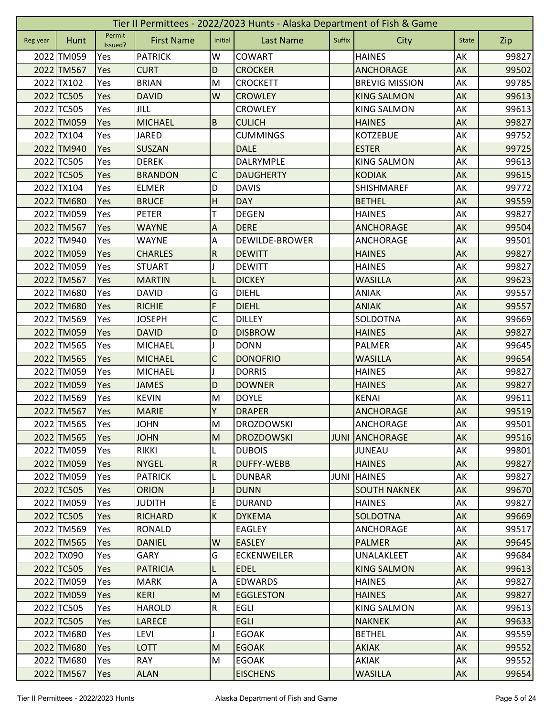| Tier II Permittees - 2022/2023 Hunts - Alaska Department of Fish & Game |            |                   |                   |                           |                       |             |                       |              |       |  |  |
|-------------------------------------------------------------------------|------------|-------------------|-------------------|---------------------------|-----------------------|-------------|-----------------------|--------------|-------|--|--|
| Reg year                                                                | Hunt       | Permit<br>Issued? | <b>First Name</b> | Initial                   | <b>Last Name</b>      | Suffix      | City                  | <b>State</b> | Zip   |  |  |
|                                                                         | 2022 TM059 | Yes               | <b>PATRICK</b>    | W                         | COWART                |             | <b>HAINES</b>         | AK           | 99827 |  |  |
|                                                                         | 2022 TM567 | Yes               | <b>CURT</b>       | D                         | <b>CROCKER</b>        |             | <b>ANCHORAGE</b>      | AK           | 99502 |  |  |
|                                                                         | 2022 TX102 | Yes               | <b>BRIAN</b>      | M                         | <b>CROCKETT</b>       |             | <b>BREVIG MISSION</b> | AK           | 99785 |  |  |
|                                                                         | 2022 TC505 | Yes               | <b>DAVID</b>      | W                         | <b>CROWLEY</b>        |             | <b>KING SALMON</b>    | AK           | 99613 |  |  |
|                                                                         | 2022 TC505 | Yes               | <b>JILL</b>       |                           | <b>CROWLEY</b>        |             | <b>KING SALMON</b>    | AK           | 99613 |  |  |
|                                                                         | 2022 TM059 | Yes               | <b>MICHAEL</b>    | $\overline{B}$            | <b>CULICH</b>         |             | <b>HAINES</b>         | AK           | 99827 |  |  |
|                                                                         | 2022 TX104 | Yes               | <b>JARED</b>      |                           | <b>CUMMINGS</b>       |             | <b>KOTZEBUE</b>       | AK           | 99752 |  |  |
|                                                                         | 2022 TM940 | Yes               | <b>SUSZAN</b>     |                           | <b>DALE</b>           |             | <b>ESTER</b>          | AK           | 99725 |  |  |
|                                                                         | 2022 TC505 | Yes               | <b>DEREK</b>      |                           | DALRYMPLE             |             | <b>KING SALMON</b>    | AK           | 99613 |  |  |
|                                                                         | 2022 TC505 | Yes               | <b>BRANDON</b>    | C                         | <b>DAUGHERTY</b>      |             | <b>KODIAK</b>         | AK           | 99615 |  |  |
|                                                                         | 2022 TX104 | Yes               | <b>ELMER</b>      | D                         | <b>DAVIS</b>          |             | <b>SHISHMAREF</b>     | AK           | 99772 |  |  |
|                                                                         | 2022 TM680 | Yes               | <b>BRUCE</b>      | H                         | <b>DAY</b>            |             | <b>BETHEL</b>         | AK           | 99559 |  |  |
|                                                                         | 2022 TM059 | Yes               | <b>PETER</b>      | т                         | <b>DEGEN</b>          |             | <b>HAINES</b>         | AK           | 99827 |  |  |
|                                                                         | 2022 TM567 | Yes               | <b>WAYNE</b>      | A                         | <b>DERE</b>           |             | <b>ANCHORAGE</b>      | AK           | 99504 |  |  |
|                                                                         | 2022 TM940 | Yes               | WAYNE             | А                         | <b>DEWILDE-BROWER</b> |             | ANCHORAGE             | AK           | 99501 |  |  |
|                                                                         | 2022 TM059 | Yes               | <b>CHARLES</b>    | ${\sf R}$                 | <b>DEWITT</b>         |             | <b>HAINES</b>         | AK           | 99827 |  |  |
|                                                                         | 2022 TM059 | Yes               | <b>STUART</b>     |                           | <b>DEWITT</b>         |             | <b>HAINES</b>         | AK           | 99827 |  |  |
|                                                                         | 2022 TM567 | Yes               | <b>MARTIN</b>     | L                         | <b>DICKEY</b>         |             | <b>WASILLA</b>        | AK           | 99623 |  |  |
|                                                                         | 2022 TM680 | Yes               | <b>DAVID</b>      | G                         | <b>DIEHL</b>          |             | <b>ANIAK</b>          | AK           | 99557 |  |  |
|                                                                         | 2022 TM680 | Yes               | <b>RICHIE</b>     | F                         | <b>DIEHL</b>          |             | <b>ANIAK</b>          | AK           | 99557 |  |  |
|                                                                         | 2022 TM569 | Yes               | <b>JOSEPH</b>     | C                         | <b>DILLEY</b>         |             | SOLDOTNA              | AK           | 99669 |  |  |
|                                                                         | 2022 TM059 | Yes               | <b>DAVID</b>      | D                         | <b>DISBROW</b>        |             | <b>HAINES</b>         | AK           | 99827 |  |  |
|                                                                         | 2022 TM565 | Yes               | <b>MICHAEL</b>    |                           | <b>DONN</b>           |             | PALMER                | AK           | 99645 |  |  |
|                                                                         | 2022 TM565 | Yes               | <b>MICHAEL</b>    | $\mathsf C$               | <b>DONOFRIO</b>       |             | <b>WASILLA</b>        | AK           | 99654 |  |  |
|                                                                         | 2022 TM059 | Yes               | <b>MICHAEL</b>    |                           | <b>DORRIS</b>         |             | <b>HAINES</b>         | АK           | 99827 |  |  |
|                                                                         | 2022 TM059 | Yes               | <b>JAMES</b>      | D                         | <b>DOWNER</b>         |             | <b>HAINES</b>         | AK           | 99827 |  |  |
|                                                                         | 2022 TM569 | Yes               | <b>KEVIN</b>      | M                         | <b>DOYLE</b>          |             | <b>KENAI</b>          | AK           | 99611 |  |  |
|                                                                         | 2022 TM567 | Yes               | <b>MARIE</b>      | Y                         | <b>DRAPER</b>         |             | <b>ANCHORAGE</b>      | AK           | 99519 |  |  |
|                                                                         | 2022 TM565 | Yes               | <b>JOHN</b>       | ${\sf M}$                 | <b>DROZDOWSKI</b>     |             | ANCHORAGE             | AK           | 99501 |  |  |
|                                                                         | 2022 TM565 | <b>Yes</b>        | <b>JOHN</b>       | M                         | <b>DROZDOWSKI</b>     | <b>JUNI</b> | <b>ANCHORAGE</b>      | AK           | 99516 |  |  |
|                                                                         | 2022 TM059 | Yes               | <b>RIKKI</b>      | L                         | <b>DUBOIS</b>         |             | <b>JUNEAU</b>         | AK           | 99801 |  |  |
|                                                                         | 2022 TM059 | Yes               | <b>NYGEL</b>      | ${\sf R}$                 | <b>DUFFY-WEBB</b>     |             | <b>HAINES</b>         | AK           | 99827 |  |  |
|                                                                         | 2022 TM059 | Yes               | <b>PATRICK</b>    |                           | <b>DUNBAR</b>         | <b>JUNI</b> | <b>HAINES</b>         | AK           | 99827 |  |  |
|                                                                         | 2022 TC505 | Yes               | <b>ORION</b>      |                           | <b>DUNN</b>           |             | <b>SOUTH NAKNEK</b>   | AK           | 99670 |  |  |
|                                                                         | 2022 TM059 | Yes               | <b>JUDITH</b>     | E                         | <b>DURAND</b>         |             | <b>HAINES</b>         | AK           | 99827 |  |  |
|                                                                         | 2022 TC505 | Yes               | <b>RICHARD</b>    | K                         | <b>DYKEMA</b>         |             | <b>SOLDOTNA</b>       | <b>AK</b>    | 99669 |  |  |
|                                                                         | 2022 TM569 | Yes               | RONALD            |                           | <b>EAGLEY</b>         |             | ANCHORAGE             | AK           | 99517 |  |  |
|                                                                         | 2022 TM565 | Yes               | <b>DANIEL</b>     | W                         | <b>EASLEY</b>         |             | <b>PALMER</b>         | AK           | 99645 |  |  |
|                                                                         | 2022 TX090 | <b>Yes</b>        | <b>GARY</b>       | G                         | <b>ECKENWEILER</b>    |             | UNALAKLEET            | AK           | 99684 |  |  |
|                                                                         | 2022 TC505 | Yes               | <b>PATRICIA</b>   | L                         | <b>EDEL</b>           |             | <b>KING SALMON</b>    | AK           | 99613 |  |  |
|                                                                         | 2022 TM059 | Yes               | <b>MARK</b>       | $\boldsymbol{\mathsf{A}}$ | <b>EDWARDS</b>        |             | <b>HAINES</b>         | AK           | 99827 |  |  |
|                                                                         | 2022 TM059 | Yes               | <b>KERI</b>       | M                         | <b>EGGLESTON</b>      |             | <b>HAINES</b>         | <b>AK</b>    | 99827 |  |  |
|                                                                         | 2022 TC505 | Yes               | <b>HAROLD</b>     | $\overline{\mathsf{R}}$   | <b>EGLI</b>           |             | <b>KING SALMON</b>    | AK           | 99613 |  |  |
|                                                                         | 2022 TC505 | Yes               | <b>LARECE</b>     |                           | <b>EGLI</b>           |             | <b>NAKNEK</b>         | AK           | 99633 |  |  |
|                                                                         | 2022 TM680 | Yes               | LEVI              |                           | <b>EGOAK</b>          |             | <b>BETHEL</b>         | AK           | 99559 |  |  |
|                                                                         | 2022 TM680 | Yes               | <b>LOTT</b>       | M                         | <b>EGOAK</b>          |             | <b>AKIAK</b>          | AK           | 99552 |  |  |
|                                                                         | 2022 TM680 | Yes               | <b>RAY</b>        | M                         | <b>EGOAK</b>          |             | AKIAK                 | AK           | 99552 |  |  |
|                                                                         | 2022 TM567 | Yes               | <b>ALAN</b>       |                           | <b>EISCHENS</b>       |             | <b>WASILLA</b>        | <b>AK</b>    | 99654 |  |  |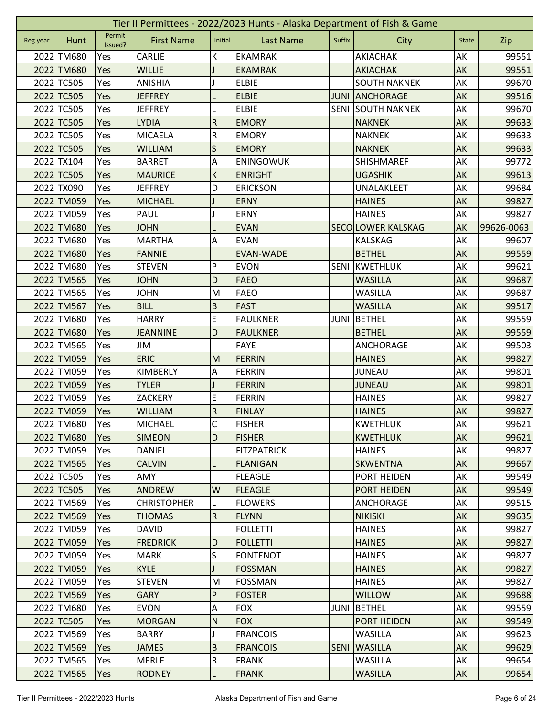|          | Tier II Permittees - 2022/2023 Hunts - Alaska Department of Fish & Game |                   |                    |                         |                    |             |                          |              |            |  |  |  |
|----------|-------------------------------------------------------------------------|-------------------|--------------------|-------------------------|--------------------|-------------|--------------------------|--------------|------------|--|--|--|
| Reg year | Hunt                                                                    | Permit<br>Issued? | <b>First Name</b>  | Initial                 | <b>Last Name</b>   | Suffix      | City                     | <b>State</b> | Zip        |  |  |  |
|          | 2022 TM680                                                              | Yes               | <b>CARLIE</b>      | K                       | <b>EKAMRAK</b>     |             | AKIACHAK                 | AK           | 99551      |  |  |  |
|          | 2022 TM680                                                              | Yes               | <b>WILLIE</b>      |                         | <b>EKAMRAK</b>     |             | <b>AKIACHAK</b>          | AK           | 99551      |  |  |  |
|          | 2022 TC505                                                              | Yes               | <b>ANISHIA</b>     |                         | <b>ELBIE</b>       |             | <b>SOUTH NAKNEK</b>      | АK           | 99670      |  |  |  |
|          | 2022 TC505                                                              | Yes               | <b>JEFFREY</b>     |                         | <b>ELBIE</b>       | <b>JUNI</b> | <b>ANCHORAGE</b>         | AK           | 99516      |  |  |  |
|          | 2022 TC505                                                              | Yes               | <b>JEFFREY</b>     | L                       | <b>ELBIE</b>       |             | <b>SENI SOUTH NAKNEK</b> | AK           | 99670      |  |  |  |
|          | 2022 TC505                                                              | Yes               | <b>LYDIA</b>       | ${\sf R}$               | <b>EMORY</b>       |             | <b>NAKNEK</b>            | AK           | 99633      |  |  |  |
|          | 2022 TC505                                                              | Yes               | <b>MICAELA</b>     | ${\sf R}$               | <b>EMORY</b>       |             | <b>NAKNEK</b>            | AK           | 99633      |  |  |  |
|          | 2022 TC505                                                              | Yes               | <b>WILLIAM</b>     | S                       | <b>EMORY</b>       |             | <b>NAKNEK</b>            | AK           | 99633      |  |  |  |
|          | 2022 TX104                                                              | Yes               | <b>BARRET</b>      | Α                       | ENINGOWUK          |             | SHISHMAREF               | AK           | 99772      |  |  |  |
|          | 2022 TC505                                                              | Yes               | <b>MAURICE</b>     | $\sf K$                 | <b>ENRIGHT</b>     |             | <b>UGASHIK</b>           | AK           | 99613      |  |  |  |
|          | 2022 TX090                                                              | Yes               | <b>JEFFREY</b>     | D                       | <b>ERICKSON</b>    |             | UNALAKLEET               | AK           | 99684      |  |  |  |
|          | 2022 TM059                                                              | Yes               | <b>MICHAEL</b>     |                         | <b>ERNY</b>        |             | <b>HAINES</b>            | AK           | 99827      |  |  |  |
|          | 2022 TM059                                                              | Yes               | <b>PAUL</b>        |                         | <b>ERNY</b>        |             | <b>HAINES</b>            | AK           | 99827      |  |  |  |
|          | 2022 TM680                                                              | Yes               | <b>JOHN</b>        | L                       | <b>EVAN</b>        |             | <b>SECOLOWER KALSKAG</b> | AK           | 99626-0063 |  |  |  |
|          | 2022 TM680                                                              | Yes               | <b>MARTHA</b>      | A                       | <b>EVAN</b>        |             | <b>KALSKAG</b>           | AK           | 99607      |  |  |  |
|          | 2022 TM680                                                              | Yes               | <b>FANNIE</b>      |                         | <b>EVAN-WADE</b>   |             | <b>BETHEL</b>            | AK           | 99559      |  |  |  |
|          | 2022 TM680                                                              | Yes               | <b>STEVEN</b>      | P                       | <b>EVON</b>        | <b>SENI</b> | KWETHLUK                 | AK           | 99621      |  |  |  |
|          | 2022 TM565                                                              | Yes               | <b>JOHN</b>        | D                       | <b>FAEO</b>        |             | <b>WASILLA</b>           | AK           | 99687      |  |  |  |
|          | 2022 TM565                                                              | Yes               | <b>JOHN</b>        | M                       | <b>FAEO</b>        |             | WASILLA                  | AK           | 99687      |  |  |  |
|          | 2022 TM567                                                              | Yes               | <b>BILL</b>        | $\sf B$                 | <b>FAST</b>        |             | <b>WASILLA</b>           | AK           | 99517      |  |  |  |
|          | 2022 TM680                                                              | Yes               | <b>HARRY</b>       | E                       | <b>FAULKNER</b>    | <b>JUNI</b> | BETHEL                   | AK           | 99559      |  |  |  |
|          | 2022 TM680                                                              | Yes               | <b>JEANNINE</b>    | D                       | <b>FAULKNER</b>    |             | <b>BETHEL</b>            | AK           | 99559      |  |  |  |
|          | 2022 TM565                                                              | Yes               | JIM                |                         | <b>FAYE</b>        |             | ANCHORAGE                | AK           | 99503      |  |  |  |
|          | 2022 TM059                                                              | Yes               | <b>ERIC</b>        | M                       | <b>FERRIN</b>      |             | <b>HAINES</b>            | <b>AK</b>    | 99827      |  |  |  |
|          | 2022 TM059                                                              | Yes               | KIMBERLY           | Α                       | <b>FERRIN</b>      |             | <b>JUNEAU</b>            | AK           | 99801      |  |  |  |
|          | 2022 TM059                                                              | Yes               | <b>TYLER</b>       |                         | <b>FERRIN</b>      |             | <b>JUNEAU</b>            | AK           | 99801      |  |  |  |
|          | 2022 TM059                                                              | Yes               | <b>ZACKERY</b>     | E                       | FERRIN             |             | <b>HAINES</b>            | AK           | 99827      |  |  |  |
|          | 2022 TM059                                                              | Yes               | <b>WILLIAM</b>     | ${\sf R}$               | <b>FINLAY</b>      |             | <b>HAINES</b>            | AK           | 99827      |  |  |  |
|          | 2022 TM680                                                              | Yes               | MICHAEL            | $\overline{C}$          | <b>FISHER</b>      |             | <b>KWETHLUK</b>          | AK           | 99621      |  |  |  |
|          | 2022 TM680                                                              | Yes               | <b>SIMEON</b>      | D                       | <b>FISHER</b>      |             | <b>KWETHLUK</b>          | AK           | 99621      |  |  |  |
|          | 2022 TM059                                                              | Yes               | <b>DANIEL</b>      | L                       | <b>FITZPATRICK</b> |             | <b>HAINES</b>            | AK           | 99827      |  |  |  |
|          | 2022 TM565                                                              | Yes               | <b>CALVIN</b>      | L                       | <b>FLANIGAN</b>    |             | <b>SKWENTNA</b>          | AK           | 99667      |  |  |  |
|          | 2022 TC505                                                              | Yes               | AMY                |                         | <b>FLEAGLE</b>     |             | PORT HEIDEN              | AK           | 99549      |  |  |  |
|          | 2022 TC505                                                              | Yes               | <b>ANDREW</b>      | W                       | <b>FLEAGLE</b>     |             | <b>PORT HEIDEN</b>       | AK           | 99549      |  |  |  |
|          | 2022 TM569                                                              | Yes               | <b>CHRISTOPHER</b> |                         | <b>FLOWERS</b>     |             | ANCHORAGE                | AK           | 99515      |  |  |  |
|          | 2022 TM569                                                              | Yes               | <b>THOMAS</b>      | $\overline{R}$          | <b>FLYNN</b>       |             | <b>NIKISKI</b>           | AK           | 99635      |  |  |  |
|          | 2022 TM059                                                              | Yes               | <b>DAVID</b>       |                         | <b>FOLLETTI</b>    |             | <b>HAINES</b>            | AK           | 99827      |  |  |  |
|          | 2022 TM059                                                              | Yes               | <b>FREDRICK</b>    | D                       | <b>FOLLETTI</b>    |             | <b>HAINES</b>            | AK           | 99827      |  |  |  |
|          | 2022 TM059                                                              | Yes               | <b>MARK</b>        | S                       | <b>FONTENOT</b>    |             | <b>HAINES</b>            | AK           | 99827      |  |  |  |
|          | 2022 TM059                                                              | <b>Yes</b>        | <b>KYLE</b>        |                         | <b>FOSSMAN</b>     |             | <b>HAINES</b>            | AK           | 99827      |  |  |  |
|          | 2022 TM059                                                              | Yes               | <b>STEVEN</b>      | M                       | <b>FOSSMAN</b>     |             | <b>HAINES</b>            | AK           | 99827      |  |  |  |
|          | 2022 TM569                                                              | Yes               | <b>GARY</b>        | P                       | <b>FOSTER</b>      |             | <b>WILLOW</b>            | AK           | 99688      |  |  |  |
|          | 2022 TM680                                                              | Yes               | <b>EVON</b>        | A                       | <b>FOX</b>         | <b>JUNI</b> | <b>BETHEL</b>            | AK           | 99559      |  |  |  |
|          | 2022 TC505                                                              | <b>Yes</b>        | <b>MORGAN</b>      | $\mathsf{N}$            | <b>FOX</b>         |             | <b>PORT HEIDEN</b>       | AK           | 99549      |  |  |  |
|          | 2022 TM569                                                              | Yes               | <b>BARRY</b>       | J                       | <b>FRANCOIS</b>    |             | <b>WASILLA</b>           | AK           | 99623      |  |  |  |
|          | 2022 TM569                                                              | Yes               | <b>JAMES</b>       | $\overline{B}$          | <b>FRANCOIS</b>    | <b>SENI</b> | <b>WASILLA</b>           | AK           | 99629      |  |  |  |
|          | 2022 TM565                                                              | Yes               | <b>MERLE</b>       | $\overline{\mathsf{R}}$ | <b>FRANK</b>       |             | <b>WASILLA</b>           | AK           | 99654      |  |  |  |
|          | 2022 TM565                                                              | Yes               | <b>RODNEY</b>      | $\mathsf{L}$            | <b>FRANK</b>       |             | <b>WASILLA</b>           | AK           | 99654      |  |  |  |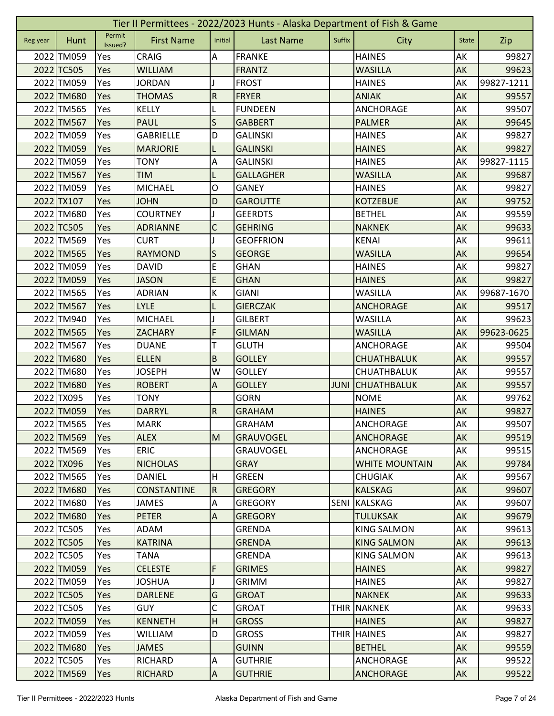|          | Tier II Permittees - 2022/2023 Hunts - Alaska Department of Fish & Game |                   |                    |                           |                  |             |                       |              |            |  |  |  |
|----------|-------------------------------------------------------------------------|-------------------|--------------------|---------------------------|------------------|-------------|-----------------------|--------------|------------|--|--|--|
| Reg year | Hunt                                                                    | Permit<br>Issued? | <b>First Name</b>  | Initial                   | <b>Last Name</b> | Suffix      | City                  | <b>State</b> | Zip        |  |  |  |
|          | 2022 TM059                                                              | Yes               | <b>CRAIG</b>       | Α                         | <b>FRANKE</b>    |             | <b>HAINES</b>         | AK           | 99827      |  |  |  |
|          | 2022 TC505                                                              | Yes               | <b>WILLIAM</b>     |                           | <b>FRANTZ</b>    |             | <b>WASILLA</b>        | AK           | 99623      |  |  |  |
|          | 2022 TM059                                                              | Yes               | <b>JORDAN</b>      |                           | <b>FROST</b>     |             | <b>HAINES</b>         | AK           | 99827-1211 |  |  |  |
|          | 2022 TM680                                                              | Yes               | <b>THOMAS</b>      | $\overline{R}$            | <b>FRYER</b>     |             | <b>ANIAK</b>          | AK           | 99557      |  |  |  |
|          | 2022 TM565                                                              | Yes               | <b>KELLY</b>       | L                         | <b>FUNDEEN</b>   |             | ANCHORAGE             | AK           | 99507      |  |  |  |
|          | 2022 TM567                                                              | Yes               | <b>PAUL</b>        | S                         | <b>GABBERT</b>   |             | <b>PALMER</b>         | AK           | 99645      |  |  |  |
|          | 2022 TM059                                                              | Yes               | <b>GABRIELLE</b>   | D                         | <b>GALINSKI</b>  |             | <b>HAINES</b>         | AK           | 99827      |  |  |  |
|          | 2022 TM059                                                              | Yes               | <b>MARJORIE</b>    | L                         | <b>GALINSKI</b>  |             | <b>HAINES</b>         | AK           | 99827      |  |  |  |
|          | 2022 TM059                                                              | Yes               | <b>TONY</b>        | A                         | <b>GALINSKI</b>  |             | <b>HAINES</b>         | AK           | 99827-1115 |  |  |  |
|          | 2022 TM567                                                              | Yes               | <b>TIM</b>         |                           | <b>GALLAGHER</b> |             | <b>WASILLA</b>        | AK           | 99687      |  |  |  |
|          | 2022 TM059                                                              | Yes               | <b>MICHAEL</b>     | O                         | <b>GANEY</b>     |             | <b>HAINES</b>         | AK           | 99827      |  |  |  |
|          | 2022 TX107                                                              | Yes               | <b>JOHN</b>        | $\mathsf D$               | <b>GAROUTTE</b>  |             | <b>KOTZEBUE</b>       | AK           | 99752      |  |  |  |
|          | 2022 TM680                                                              | Yes               | <b>COURTNEY</b>    |                           | <b>GEERDTS</b>   |             | <b>BETHEL</b>         | AK           | 99559      |  |  |  |
|          | 2022 TC505                                                              | Yes               | <b>ADRIANNE</b>    | $\mathsf C$               | <b>GEHRING</b>   |             | <b>NAKNEK</b>         | AK           | 99633      |  |  |  |
|          | 2022 TM569                                                              | Yes               | <b>CURT</b>        |                           | <b>GEOFFRION</b> |             | KENAI                 | AK           | 99611      |  |  |  |
|          | 2022 TM565                                                              | Yes               | <b>RAYMOND</b>     | S                         | <b>GEORGE</b>    |             | <b>WASILLA</b>        | AK           | 99654      |  |  |  |
|          | 2022 TM059                                                              | Yes               | <b>DAVID</b>       | E                         | <b>GHAN</b>      |             | <b>HAINES</b>         | AK           | 99827      |  |  |  |
|          | 2022 TM059                                                              | Yes               | <b>JASON</b>       | E                         | <b>GHAN</b>      |             | <b>HAINES</b>         | AK           | 99827      |  |  |  |
|          | 2022 TM565                                                              | Yes               | <b>ADRIAN</b>      | К                         | <b>GIANI</b>     |             | <b>WASILLA</b>        | AK           | 99687-1670 |  |  |  |
|          | 2022 TM567                                                              | Yes               | <b>LYLE</b>        |                           | <b>GIERCZAK</b>  |             | <b>ANCHORAGE</b>      | AK           | 99517      |  |  |  |
|          | 2022 TM940                                                              | Yes               | <b>MICHAEL</b>     |                           | <b>GILBERT</b>   |             | <b>WASILLA</b>        | AK           | 99623      |  |  |  |
|          | 2022 TM565                                                              | Yes               | <b>ZACHARY</b>     | F                         | <b>GILMAN</b>    |             | <b>WASILLA</b>        | AK           | 99623-0625 |  |  |  |
|          | 2022 TM567                                                              | Yes               | <b>DUANE</b>       | T                         | <b>GLUTH</b>     |             | ANCHORAGE             | AK           | 99504      |  |  |  |
|          | 2022 TM680                                                              | Yes               | <b>ELLEN</b>       | $\sf B$                   | <b>GOLLEY</b>    |             | <b>CHUATHBALUK</b>    | AK           | 99557      |  |  |  |
|          | 2022 TM680                                                              | Yes               | <b>JOSEPH</b>      | W                         | <b>GOLLEY</b>    |             | CHUATHBALUK           | AK           | 99557      |  |  |  |
|          | 2022 TM680                                                              | Yes               | <b>ROBERT</b>      | $\overline{A}$            | <b>GOLLEY</b>    | <b>JUNI</b> | <b>CHUATHBALUK</b>    | AK           | 99557      |  |  |  |
|          | 2022 TX095                                                              | Yes               | <b>TONY</b>        |                           | <b>GORN</b>      |             | <b>NOME</b>           | AK           | 99762      |  |  |  |
|          | 2022 TM059                                                              | Yes               | <b>DARRYL</b>      | $\overline{R}$            | <b>GRAHAM</b>    |             | <b>HAINES</b>         | AK           | 99827      |  |  |  |
|          | 2022 TM565                                                              | Yes               | <b>MARK</b>        |                           | <b>GRAHAM</b>    |             | <b>ANCHORAGE</b>      | AK           | 99507      |  |  |  |
|          | 2022 TM569                                                              | Yes               | <b>ALEX</b>        | M                         | <b>GRAUVOGEL</b> |             | <b>ANCHORAGE</b>      | AK           | 99519      |  |  |  |
|          | 2022 TM569                                                              | Yes               | <b>ERIC</b>        |                           | <b>GRAUVOGEL</b> |             | ANCHORAGE             | AK           | 99515      |  |  |  |
|          | 2022 TX096                                                              | Yes               | <b>NICHOLAS</b>    |                           | <b>GRAY</b>      |             | <b>WHITE MOUNTAIN</b> | AK           | 99784      |  |  |  |
|          | 2022 TM565                                                              | Yes               | DANIEL             | Η                         | <b>GREEN</b>     |             | <b>CHUGIAK</b>        | AK           | 99567      |  |  |  |
|          | 2022 TM680                                                              | <b>Yes</b>        | <b>CONSTANTINE</b> | ${\sf R}$                 | <b>GREGORY</b>   |             | <b>KALSKAG</b>        | AK           | 99607      |  |  |  |
|          | 2022 TM680                                                              | Yes               | <b>JAMES</b>       | A                         | <b>GREGORY</b>   | <b>SENI</b> | <b>KALSKAG</b>        | AK           | 99607      |  |  |  |
|          | 2022 TM680                                                              | Yes               | <b>PETER</b>       | $\boldsymbol{\mathsf{A}}$ | <b>GREGORY</b>   |             | <b>TULUKSAK</b>       | AK           | 99679      |  |  |  |
|          | 2022 TC505                                                              | Yes               | ADAM               |                           | <b>GRENDA</b>    |             | <b>KING SALMON</b>    | AK           | 99613      |  |  |  |
|          | 2022 TC505                                                              | Yes               | <b>KATRINA</b>     |                           | <b>GRENDA</b>    |             | <b>KING SALMON</b>    | AK           | 99613      |  |  |  |
|          | 2022 TC505                                                              | Yes               | <b>TANA</b>        |                           | <b>GRENDA</b>    |             | <b>KING SALMON</b>    | AK           | 99613      |  |  |  |
|          | 2022 TM059                                                              | Yes               | <b>CELESTE</b>     | F                         | <b>GRIMES</b>    |             | <b>HAINES</b>         | AK           | 99827      |  |  |  |
|          | 2022 TM059                                                              | Yes               | <b>JOSHUA</b>      |                           | <b>GRIMM</b>     |             | <b>HAINES</b>         | AK           | 99827      |  |  |  |
|          | 2022 TC505                                                              | Yes               | <b>DARLENE</b>     | G                         | <b>GROAT</b>     |             | <b>NAKNEK</b>         | AK           | 99633      |  |  |  |
|          | 2022 TC505                                                              | Yes               | <b>GUY</b>         | C                         | <b>GROAT</b>     | <b>THIR</b> | <b>NAKNEK</b>         | AK           | 99633      |  |  |  |
|          | 2022 TM059                                                              | <b>Yes</b>        | <b>KENNETH</b>     | H                         | <b>GROSS</b>     |             | <b>HAINES</b>         | AK           | 99827      |  |  |  |
|          | 2022 TM059                                                              | Yes               | <b>WILLIAM</b>     | D                         | <b>GROSS</b>     |             | THIR HAINES           | AK           | 99827      |  |  |  |
|          | 2022 TM680                                                              | Yes               | <b>JAMES</b>       |                           | <b>GUINN</b>     |             | <b>BETHEL</b>         | AK           | 99559      |  |  |  |
|          | 2022 TC505                                                              | Yes               | <b>RICHARD</b>     | $\overline{A}$            | <b>GUTHRIE</b>   |             | ANCHORAGE             | AK           | 99522      |  |  |  |
|          | 2022 TM569                                                              | Yes               | <b>RICHARD</b>     | $\overline{A}$            | <b>GUTHRIE</b>   |             | <b>ANCHORAGE</b>      | AK           | 99522      |  |  |  |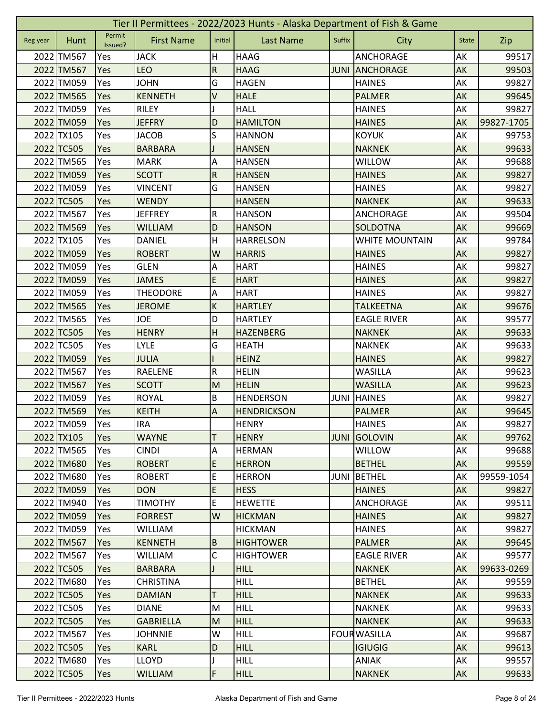|          | Tier II Permittees - 2022/2023 Hunts - Alaska Department of Fish & Game |                   |                   |                           |                    |             |                       |              |            |  |  |
|----------|-------------------------------------------------------------------------|-------------------|-------------------|---------------------------|--------------------|-------------|-----------------------|--------------|------------|--|--|
| Reg year | Hunt                                                                    | Permit<br>Issued? | <b>First Name</b> | Initial                   | <b>Last Name</b>   | Suffix      | City                  | <b>State</b> | Zip        |  |  |
|          | 2022 TM567                                                              | Yes               | <b>JACK</b>       | н                         | <b>HAAG</b>        |             | <b>ANCHORAGE</b>      | AK           | 99517      |  |  |
|          | 2022 TM567                                                              | Yes               | <b>LEO</b>        | ${\sf R}$                 | <b>HAAG</b>        | <b>JUNI</b> | <b>ANCHORAGE</b>      | AK           | 99503      |  |  |
|          | 2022 TM059                                                              | Yes               | <b>JOHN</b>       | G                         | <b>HAGEN</b>       |             | <b>HAINES</b>         | AK           | 99827      |  |  |
|          | 2022 TM565                                                              | Yes               | <b>KENNETH</b>    | V                         | <b>HALE</b>        |             | <b>PALMER</b>         | AK           | 99645      |  |  |
|          | 2022 TM059                                                              | Yes               | <b>RILEY</b>      |                           | <b>HALL</b>        |             | <b>HAINES</b>         | AK           | 99827      |  |  |
|          | 2022 TM059                                                              | Yes               | <b>JEFFRY</b>     | D                         | <b>HAMILTON</b>    |             | <b>HAINES</b>         | AK           | 99827-1705 |  |  |
|          | 2022 TX105                                                              | Yes               | <b>JACOB</b>      | S                         | <b>HANNON</b>      |             | <b>KOYUK</b>          | AK           | 99753      |  |  |
|          | 2022 TC505                                                              | Yes               | <b>BARBARA</b>    |                           | <b>HANSEN</b>      |             | <b>NAKNEK</b>         | AK           | 99633      |  |  |
|          | 2022 TM565                                                              | Yes               | <b>MARK</b>       | A                         | <b>HANSEN</b>      |             | WILLOW                | AK           | 99688      |  |  |
|          | 2022 TM059                                                              | Yes               | <b>SCOTT</b>      | ${\sf R}$                 | <b>HANSEN</b>      |             | <b>HAINES</b>         | AK           | 99827      |  |  |
|          | 2022 TM059                                                              | Yes               | <b>VINCENT</b>    | G                         | <b>HANSEN</b>      |             | <b>HAINES</b>         | AK           | 99827      |  |  |
|          | 2022 TC505                                                              | Yes               | <b>WENDY</b>      |                           | <b>HANSEN</b>      |             | <b>NAKNEK</b>         | AK           | 99633      |  |  |
|          | 2022 TM567                                                              | Yes               | <b>JEFFREY</b>    | R                         | <b>HANSON</b>      |             | ANCHORAGE             | AK           | 99504      |  |  |
|          | 2022 TM569                                                              | Yes               | <b>WILLIAM</b>    | D                         | <b>HANSON</b>      |             | SOLDOTNA              | AK           | 99669      |  |  |
|          | 2022 TX105                                                              | Yes               | <b>DANIEL</b>     | Η                         | <b>HARRELSON</b>   |             | <b>WHITE MOUNTAIN</b> | АK           | 99784      |  |  |
|          | 2022 TM059                                                              | Yes               | <b>ROBERT</b>     | W                         | <b>HARRIS</b>      |             | <b>HAINES</b>         | AK           | 99827      |  |  |
|          | 2022 TM059                                                              | Yes               | <b>GLEN</b>       | $\boldsymbol{\mathsf{A}}$ | <b>HART</b>        |             | <b>HAINES</b>         | AK           | 99827      |  |  |
|          | 2022 TM059                                                              | Yes               | <b>JAMES</b>      | E                         | <b>HART</b>        |             | <b>HAINES</b>         | AK           | 99827      |  |  |
|          | 2022 TM059                                                              | Yes               | <b>THEODORE</b>   | A                         | <b>HART</b>        |             | <b>HAINES</b>         | AK           | 99827      |  |  |
|          | 2022 TM565                                                              | Yes               | <b>JEROME</b>     | $\sf K$                   | <b>HARTLEY</b>     |             | <b>TALKEETNA</b>      | AK           | 99676      |  |  |
|          | 2022 TM565                                                              | Yes               | <b>JOE</b>        | D                         | <b>HARTLEY</b>     |             | <b>EAGLE RIVER</b>    | AK           | 99577      |  |  |
|          | 2022 TC505                                                              | Yes               | <b>HENRY</b>      | H                         | <b>HAZENBERG</b>   |             | <b>NAKNEK</b>         | AK           | 99633      |  |  |
|          | 2022 TC505                                                              | Yes               | <b>LYLE</b>       | G                         | <b>HEATH</b>       |             | <b>NAKNEK</b>         | AK           | 99633      |  |  |
|          | 2022 TM059                                                              | Yes               | <b>JULIA</b>      |                           | <b>HEINZ</b>       |             | <b>HAINES</b>         | AK           | 99827      |  |  |
|          | 2022 TM567                                                              | Yes               | <b>RAELENE</b>    | ${\sf R}$                 | <b>HELIN</b>       |             | <b>WASILLA</b>        | AK           | 99623      |  |  |
|          | 2022 TM567                                                              | Yes               | <b>SCOTT</b>      | M                         | <b>HELIN</b>       |             | <b>WASILLA</b>        | AK           | 99623      |  |  |
|          | 2022 TM059                                                              | Yes               | <b>ROYAL</b>      | B                         | <b>HENDERSON</b>   | <b>JUNI</b> | <b>HAINES</b>         | AK           | 99827      |  |  |
|          | 2022 TM569                                                              | Yes               | <b>KEITH</b>      | A                         | <b>HENDRICKSON</b> |             | <b>PALMER</b>         | AK           | 99645      |  |  |
|          | 2022 TM059                                                              | Yes               | <b>IRA</b>        |                           | <b>HENRY</b>       |             | <b>HAINES</b>         | AK           | 99827      |  |  |
|          | 2022 TX105                                                              | Yes               | <b>WAYNE</b>      | T                         | <b>HENRY</b>       | <b>JUNI</b> | GOLOVIN               | AK           | 99762      |  |  |
|          | 2022 TM565                                                              | Yes               | <b>CINDI</b>      | $\boldsymbol{\mathsf{A}}$ | <b>HERMAN</b>      |             | <b>WILLOW</b>         | AK           | 99688      |  |  |
|          | 2022 TM680                                                              | Yes               | <b>ROBERT</b>     | E                         | <b>HERRON</b>      |             | <b>BETHEL</b>         | AK           | 99559      |  |  |
|          | 2022 TM680                                                              | Yes               | <b>ROBERT</b>     | E                         | <b>HERRON</b>      | <b>JUNI</b> | <b>BETHEL</b>         | AK           | 99559-1054 |  |  |
|          | 2022 TM059                                                              | Yes               | <b>DON</b>        | $\mathsf E$               | <b>HESS</b>        |             | <b>HAINES</b>         | AK           | 99827      |  |  |
|          | 2022 TM940                                                              | Yes               | <b>TIMOTHY</b>    | E                         | <b>HEWETTE</b>     |             | ANCHORAGE             | AK           | 99511      |  |  |
|          | 2022 TM059                                                              | Yes               | <b>FORREST</b>    | W                         | <b>HICKMAN</b>     |             | <b>HAINES</b>         | AK           | 99827      |  |  |
|          | 2022 TM059                                                              | Yes               | <b>WILLIAM</b>    |                           | <b>HICKMAN</b>     |             | <b>HAINES</b>         | AK           | 99827      |  |  |
|          | 2022 TM567                                                              | Yes               | KENNETH           | B                         | <b>HIGHTOWER</b>   |             | PALMER                | <b>AK</b>    | 99645      |  |  |
|          | 2022 TM567                                                              | Yes               | <b>WILLIAM</b>    | C                         | <b>HIGHTOWER</b>   |             | <b>EAGLE RIVER</b>    | AK           | 99577      |  |  |
|          | 2022 TC505                                                              | Yes               | <b>BARBARA</b>    |                           | <b>HILL</b>        |             | <b>NAKNEK</b>         | AK           | 99633-0269 |  |  |
|          | 2022 TM680                                                              | Yes               | <b>CHRISTINA</b>  |                           | <b>HILL</b>        |             | <b>BETHEL</b>         | AK           | 99559      |  |  |
|          | 2022 TC505                                                              | Yes               | <b>DAMIAN</b>     | T                         | <b>HILL</b>        |             | <b>NAKNEK</b>         | AK           | 99633      |  |  |
|          | 2022 TC505                                                              | Yes               | <b>DIANE</b>      | M                         | <b>HILL</b>        |             | <b>NAKNEK</b>         | AK           | 99633      |  |  |
|          | 2022 TC505                                                              | <b>Yes</b>        | <b>GABRIELLA</b>  | M                         | <b>HILL</b>        |             | <b>NAKNEK</b>         | AK           | 99633      |  |  |
|          | 2022 TM567                                                              | Yes               | <b>JOHNNIE</b>    | W                         | <b>HILL</b>        |             | <b>FOUR WASILLA</b>   | AK           | 99687      |  |  |
|          | 2022 TC505                                                              | Yes               | <b>KARL</b>       | D                         | <b>HILL</b>        |             | <b>IGIUGIG</b>        | AK           | 99613      |  |  |
|          | 2022 TM680                                                              | Yes               | <b>LLOYD</b>      |                           | <b>HILL</b>        |             | ANIAK                 | AK           | 99557      |  |  |
|          | 2022 TC505                                                              | Yes               | <b>WILLIAM</b>    | F                         | <b>HILL</b>        |             | <b>NAKNEK</b>         | AK           | 99633      |  |  |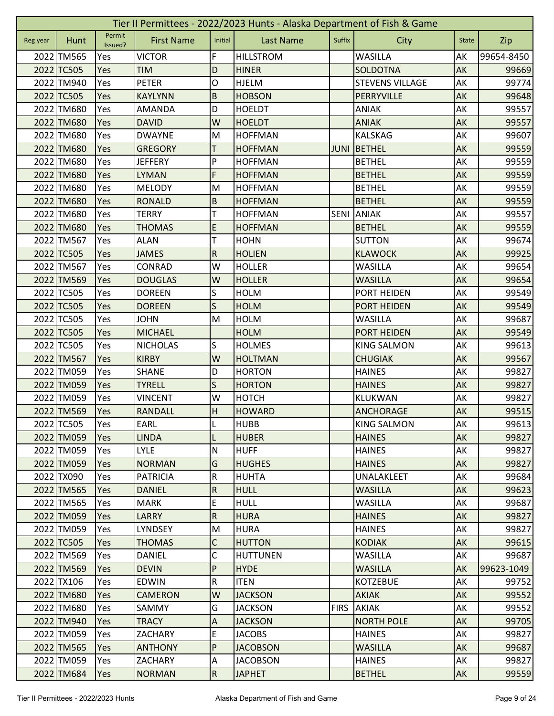|          | Tier II Permittees - 2022/2023 Hunts - Alaska Department of Fish & Game |                   |                   |                           |                  |             |                        |              |            |  |  |
|----------|-------------------------------------------------------------------------|-------------------|-------------------|---------------------------|------------------|-------------|------------------------|--------------|------------|--|--|
| Reg year | Hunt                                                                    | Permit<br>Issued? | <b>First Name</b> | Initial                   | <b>Last Name</b> | Suffix      | City                   | <b>State</b> | Zip        |  |  |
|          | 2022 TM565                                                              | Yes               | <b>VICTOR</b>     | F                         | <b>HILLSTROM</b> |             | <b>WASILLA</b>         | AK           | 99654-8450 |  |  |
|          | 2022 TC505                                                              | Yes               | <b>TIM</b>        | D                         | <b>HINER</b>     |             | <b>SOLDOTNA</b>        | AK           | 99669      |  |  |
|          | 2022 TM940                                                              | Yes               | <b>PETER</b>      | 0                         | <b>HJELM</b>     |             | <b>STEVENS VILLAGE</b> | АK           | 99774      |  |  |
|          | 2022 TC505                                                              | Yes               | <b>KAYLYNN</b>    | $\sf B$                   | <b>HOBSON</b>    |             | PERRYVILLE             | AK           | 99648      |  |  |
|          | 2022 TM680                                                              | Yes               | <b>AMANDA</b>     | D                         | <b>HOELDT</b>    |             | <b>ANIAK</b>           | AK           | 99557      |  |  |
|          | 2022 TM680                                                              | Yes               | <b>DAVID</b>      | W                         | <b>HOELDT</b>    |             | <b>ANIAK</b>           | AK           | 99557      |  |  |
|          | 2022 TM680                                                              | Yes               | <b>DWAYNE</b>     | M                         | <b>HOFFMAN</b>   |             | <b>KALSKAG</b>         | AK           | 99607      |  |  |
|          | 2022 TM680                                                              | Yes               | <b>GREGORY</b>    | Т                         | <b>HOFFMAN</b>   | <b>JUNI</b> | BETHEL                 | AK           | 99559      |  |  |
|          | 2022 TM680                                                              | Yes               | <b>JEFFERY</b>    | P                         | <b>HOFFMAN</b>   |             | <b>BETHEL</b>          | AK           | 99559      |  |  |
|          | 2022 TM680                                                              | Yes               | <b>LYMAN</b>      | F                         | <b>HOFFMAN</b>   |             | <b>BETHEL</b>          | AK           | 99559      |  |  |
|          | 2022 TM680                                                              | Yes               | <b>MELODY</b>     | M                         | <b>HOFFMAN</b>   |             | <b>BETHEL</b>          | AK           | 99559      |  |  |
|          | 2022 TM680                                                              | Yes               | <b>RONALD</b>     | $\overline{B}$            | <b>HOFFMAN</b>   |             | <b>BETHEL</b>          | AK           | 99559      |  |  |
|          | 2022 TM680                                                              | Yes               | <b>TERRY</b>      | т                         | <b>HOFFMAN</b>   | <b>SENI</b> | <b>ANIAK</b>           | AK           | 99557      |  |  |
|          | 2022 TM680                                                              | Yes               | <b>THOMAS</b>     | E                         | <b>HOFFMAN</b>   |             | <b>BETHEL</b>          | AK           | 99559      |  |  |
|          | 2022 TM567                                                              | Yes               | <b>ALAN</b>       | T                         | <b>HOHN</b>      |             | <b>SUTTON</b>          | AK           | 99674      |  |  |
|          | 2022 TC505                                                              | Yes               | <b>JAMES</b>      | ${\sf R}$                 | <b>HOLIEN</b>    |             | <b>KLAWOCK</b>         | AK           | 99925      |  |  |
|          | 2022 TM567                                                              | Yes               | CONRAD            | W                         | <b>HOLLER</b>    |             | <b>WASILLA</b>         | AK           | 99654      |  |  |
|          | 2022 TM569                                                              | Yes               | <b>DOUGLAS</b>    | W                         | <b>HOLLER</b>    |             | <b>WASILLA</b>         | AK           | 99654      |  |  |
|          | 2022 TC505                                                              | Yes               | <b>DOREEN</b>     | S                         | <b>HOLM</b>      |             | PORT HEIDEN            | AK           | 99549      |  |  |
|          | 2022 TC505                                                              | Yes               | <b>DOREEN</b>     | $\mathsf S$               | <b>HOLM</b>      |             | <b>PORT HEIDEN</b>     | AK           | 99549      |  |  |
|          | 2022 TC505                                                              | Yes               | <b>JOHN</b>       | M                         | <b>HOLM</b>      |             | <b>WASILLA</b>         | AK           | 99687      |  |  |
|          | 2022 TC505                                                              | Yes               | <b>MICHAEL</b>    |                           | <b>HOLM</b>      |             | PORT HEIDEN            | AK           | 99549      |  |  |
|          | 2022 TC505                                                              | Yes               | <b>NICHOLAS</b>   | S                         | <b>HOLMES</b>    |             | <b>KING SALMON</b>     | AK           | 99613      |  |  |
|          | 2022 TM567                                                              | Yes               | <b>KIRBY</b>      | W                         | <b>HOLTMAN</b>   |             | <b>CHUGIAK</b>         | <b>AK</b>    | 99567      |  |  |
|          | 2022 TM059                                                              | Yes               | <b>SHANE</b>      | D                         | <b>HORTON</b>    |             | <b>HAINES</b>          | AK           | 99827      |  |  |
|          | 2022 TM059                                                              | Yes               | <b>TYRELL</b>     | S                         | <b>HORTON</b>    |             | <b>HAINES</b>          | AK           | 99827      |  |  |
|          | 2022 TM059                                                              | Yes               | <b>VINCENT</b>    | W                         | <b>HOTCH</b>     |             | <b>KLUKWAN</b>         | AK           | 99827      |  |  |
|          | 2022 TM569                                                              | Yes               | <b>RANDALL</b>    | H                         | <b>HOWARD</b>    |             | <b>ANCHORAGE</b>       | AK           | 99515      |  |  |
|          | 2022 TC505                                                              | Yes               | EARL              | L                         | <b>HUBB</b>      |             | <b>KING SALMON</b>     | AK           | 99613      |  |  |
|          | 2022 TM059                                                              | Yes               | <b>LINDA</b>      | L                         | <b>HUBER</b>     |             | <b>HAINES</b>          | <b>AK</b>    | 99827      |  |  |
|          | 2022 TM059                                                              | Yes               | <b>LYLE</b>       | N                         | <b>HUFF</b>      |             | <b>HAINES</b>          | AK           | 99827      |  |  |
|          | 2022 TM059                                                              | Yes               | <b>NORMAN</b>     | G                         | <b>HUGHES</b>    |             | <b>HAINES</b>          | AK           | 99827      |  |  |
|          | 2022 TX090                                                              | Yes               | <b>PATRICIA</b>   | ${\sf R}$                 | <b>HUHTA</b>     |             | UNALAKLEET             | AK           | 99684      |  |  |
|          | 2022 TM565                                                              | Yes               | <b>DANIEL</b>     | $\overline{R}$            | <b>HULL</b>      |             | <b>WASILLA</b>         | AK           | 99623      |  |  |
|          | 2022 TM565                                                              | Yes               | <b>MARK</b>       | E                         | <b>HULL</b>      |             | <b>WASILLA</b>         | AK           | 99687      |  |  |
|          | 2022 TM059                                                              | Yes               | <b>LARRY</b>      | $\overline{R}$            | <b>HURA</b>      |             | <b>HAINES</b>          | AK           | 99827      |  |  |
|          | 2022 TM059                                                              | Yes               | LYNDSEY           | M                         | <b>HURA</b>      |             | <b>HAINES</b>          | AK           | 99827      |  |  |
|          | 2022 TC505                                                              | Yes               | <b>THOMAS</b>     | $\mathsf C$               | <b>HUTTON</b>    |             | <b>KODIAK</b>          | AK           | 99615      |  |  |
|          | 2022 TM569                                                              | Yes               | DANIEL            | С                         | <b>HUTTUNEN</b>  |             | WASILLA                | AK           | 99687      |  |  |
|          | 2022 TM569                                                              | <b>Yes</b>        | <b>DEVIN</b>      | $\mathsf{P}$              | <b>HYDE</b>      |             | <b>WASILLA</b>         | AK           | 99623-1049 |  |  |
|          | 2022 TX106                                                              | Yes               | <b>EDWIN</b>      | ${\sf R}$                 | <b>ITEN</b>      |             | <b>KOTZEBUE</b>        | AK           | 99752      |  |  |
|          | 2022 TM680                                                              | Yes               | <b>CAMERON</b>    | W                         | <b>JACKSON</b>   |             | <b>AKIAK</b>           | AK           | 99552      |  |  |
|          | 2022 TM680                                                              | Yes               | SAMMY             | G                         | <b>JACKSON</b>   | <b>FIRS</b> | <b>AKIAK</b>           | AK           | 99552      |  |  |
|          | 2022 TM940                                                              | <b>Yes</b>        | <b>TRACY</b>      | $\boldsymbol{\mathsf{A}}$ | <b>JACKSON</b>   |             | <b>NORTH POLE</b>      | AK           | 99705      |  |  |
|          | 2022 TM059                                                              | Yes               | ZACHARY           | E                         | <b>JACOBS</b>    |             | <b>HAINES</b>          | AK           | 99827      |  |  |
|          | 2022 TM565                                                              | <b>Yes</b>        | <b>ANTHONY</b>    | ${\sf P}$                 | <b>JACOBSON</b>  |             | <b>WASILLA</b>         | AK           | 99687      |  |  |
|          | 2022 TM059                                                              | Yes               | ZACHARY           | A                         | <b>JACOBSON</b>  |             | <b>HAINES</b>          | AK           | 99827      |  |  |
|          | 2022 TM684                                                              | Yes               | <b>NORMAN</b>     | R.                        | <b>JAPHET</b>    |             | <b>BETHEL</b>          | AK           | 99559      |  |  |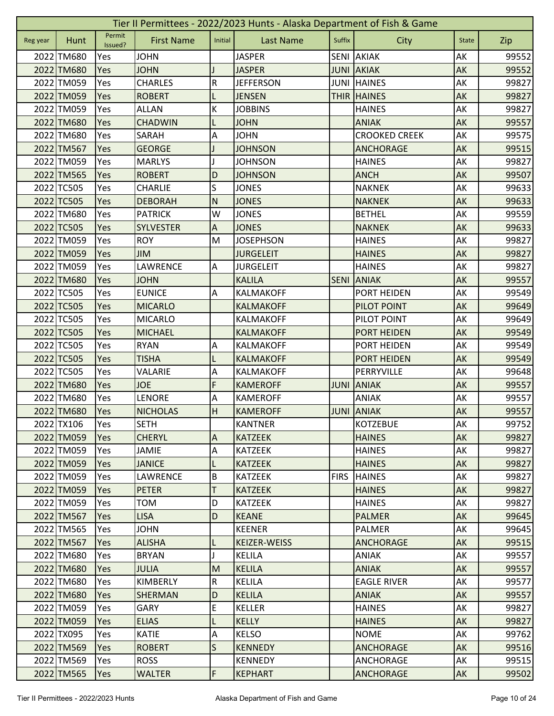|          | Tier II Permittees - 2022/2023 Hunts - Alaska Department of Fish & Game |                   |                   |                           |                     |             |                      |              |       |  |  |
|----------|-------------------------------------------------------------------------|-------------------|-------------------|---------------------------|---------------------|-------------|----------------------|--------------|-------|--|--|
| Reg year | Hunt                                                                    | Permit<br>Issued? | <b>First Name</b> | Initial                   | <b>Last Name</b>    | Suffix      | City                 | <b>State</b> | Zip   |  |  |
|          | 2022 TM680                                                              | Yes               | <b>JOHN</b>       |                           | <b>JASPER</b>       |             | <b>SENI AKIAK</b>    | AK           | 99552 |  |  |
|          | 2022 TM680                                                              | Yes               | <b>JOHN</b>       |                           | <b>JASPER</b>       |             | <b>JUNI AKIAK</b>    | AK           | 99552 |  |  |
|          | 2022 TM059                                                              | Yes               | <b>CHARLES</b>    | ${\sf R}$                 | <b>JEFFERSON</b>    | JUNI        | <b>HAINES</b>        | AK           | 99827 |  |  |
|          | 2022 TM059                                                              | Yes               | <b>ROBERT</b>     |                           | <b>JENSEN</b>       |             | <b>THIR HAINES</b>   | AK           | 99827 |  |  |
|          | 2022 TM059                                                              | Yes               | <b>ALLAN</b>      | К                         | <b>JOBBINS</b>      |             | <b>HAINES</b>        | AK           | 99827 |  |  |
|          | 2022 TM680                                                              | Yes               | <b>CHADWIN</b>    | L                         | <b>JOHN</b>         |             | <b>ANIAK</b>         | AK           | 99557 |  |  |
|          | 2022 TM680                                                              | Yes               | SARAH             | Α                         | <b>JOHN</b>         |             | <b>CROOKED CREEK</b> | AK           | 99575 |  |  |
|          | 2022 TM567                                                              | Yes               | <b>GEORGE</b>     |                           | <b>JOHNSON</b>      |             | <b>ANCHORAGE</b>     | AK           | 99515 |  |  |
|          | 2022 TM059                                                              | Yes               | <b>MARLYS</b>     |                           | <b>JOHNSON</b>      |             | <b>HAINES</b>        | AK           | 99827 |  |  |
|          | 2022 TM565                                                              | Yes               | <b>ROBERT</b>     | D                         | <b>JOHNSON</b>      |             | <b>ANCH</b>          | AK           | 99507 |  |  |
|          | 2022 TC505                                                              | Yes               | <b>CHARLIE</b>    | S                         | <b>JONES</b>        |             | <b>NAKNEK</b>        | AK           | 99633 |  |  |
|          | 2022 TC505                                                              | Yes               | <b>DEBORAH</b>    | N                         | <b>JONES</b>        |             | <b>NAKNEK</b>        | AK           | 99633 |  |  |
|          | 2022 TM680                                                              | Yes               | <b>PATRICK</b>    | W                         | <b>JONES</b>        |             | <b>BETHEL</b>        | AK           | 99559 |  |  |
|          | 2022 TC505                                                              | Yes               | <b>SYLVESTER</b>  | $\boldsymbol{\mathsf{A}}$ | <b>JONES</b>        |             | <b>NAKNEK</b>        | AK           | 99633 |  |  |
|          | 2022 TM059                                                              | Yes               | <b>ROY</b>        | M                         | <b>JOSEPHSON</b>    |             | <b>HAINES</b>        | AK           | 99827 |  |  |
|          | 2022 TM059                                                              | Yes               | <b>JIM</b>        |                           | <b>JURGELEIT</b>    |             | <b>HAINES</b>        | AK           | 99827 |  |  |
|          | 2022 TM059                                                              | Yes               | LAWRENCE          | A                         | <b>JURGELEIT</b>    |             | <b>HAINES</b>        | AK           | 99827 |  |  |
|          | 2022 TM680                                                              | Yes               | <b>JOHN</b>       |                           | <b>KALILA</b>       | <b>SENI</b> | <b>ANIAK</b>         | AK           | 99557 |  |  |
|          | 2022 TC505                                                              | Yes               | <b>EUNICE</b>     | A                         | <b>KALMAKOFF</b>    |             | PORT HEIDEN          | AK           | 99549 |  |  |
|          | 2022 TC505                                                              | Yes               | <b>MICARLO</b>    |                           | <b>KALMAKOFF</b>    |             | PILOT POINT          | AK           | 99649 |  |  |
|          | 2022 TC505                                                              | Yes               | <b>MICARLO</b>    |                           | KALMAKOFF           |             | PILOT POINT          | AK           | 99649 |  |  |
|          | 2022 TC505                                                              | Yes               | <b>MICHAEL</b>    |                           | <b>KALMAKOFF</b>    |             | <b>PORT HEIDEN</b>   | AK           | 99549 |  |  |
|          | 2022 TC505                                                              | Yes               | <b>RYAN</b>       | Α                         | <b>KALMAKOFF</b>    |             | PORT HEIDEN          | AK           | 99549 |  |  |
|          | 2022 TC505                                                              | Yes               | <b>TISHA</b>      | L                         | <b>KALMAKOFF</b>    |             | PORT HEIDEN          | AK           | 99549 |  |  |
|          | 2022 TC505                                                              | Yes               | VALARIE           | Α                         | KALMAKOFF           |             | PERRYVILLE           | AK           | 99648 |  |  |
|          | 2022 TM680                                                              | Yes               | <b>JOE</b>        | F                         | <b>KAMEROFF</b>     | <b>JUNI</b> | <b>ANIAK</b>         | AK           | 99557 |  |  |
|          | 2022 TM680                                                              | Yes               | <b>LENORE</b>     | A                         | <b>KAMEROFF</b>     |             | <b>ANIAK</b>         | AK           | 99557 |  |  |
|          | 2022 TM680                                                              | Yes               | <b>NICHOLAS</b>   | H                         | <b>KAMEROFF</b>     |             | <b>JUNI ANIAK</b>    | AK           | 99557 |  |  |
|          | 2022 TX106                                                              | Yes               | <b>SETH</b>       |                           | <b>KANTNER</b>      |             | KOTZEBUE             | AK           | 99752 |  |  |
|          | 2022 TM059                                                              | Yes               | <b>CHERYL</b>     | $\overline{A}$            | <b>KATZEEK</b>      |             | <b>HAINES</b>        | AK           | 99827 |  |  |
|          | 2022 TM059                                                              | Yes               | JAMIE             | $\overline{A}$            | <b>KATZEEK</b>      |             | <b>HAINES</b>        | AK           | 99827 |  |  |
|          | 2022 TM059                                                              | Yes               | <b>JANICE</b>     | L                         | <b>KATZEEK</b>      |             | <b>HAINES</b>        | AK           | 99827 |  |  |
|          | 2022 TM059                                                              | Yes               | <b>LAWRENCE</b>   | $\sf B$                   | <b>KATZEEK</b>      | <b>FIRS</b> | <b>HAINES</b>        | AK           | 99827 |  |  |
|          | 2022 TM059                                                              | Yes               | <b>PETER</b>      | $\mathsf T$               | <b>KATZEEK</b>      |             | <b>HAINES</b>        | AK           | 99827 |  |  |
|          | 2022 TM059                                                              | Yes               | <b>TOM</b>        | D                         | <b>KATZEEK</b>      |             | <b>HAINES</b>        | AK           | 99827 |  |  |
|          | 2022 TM567                                                              | Yes               | <b>LISA</b>       | D                         | <b>KEANE</b>        |             | <b>PALMER</b>        | AK           | 99645 |  |  |
|          | 2022 TM565                                                              | Yes               | <b>JOHN</b>       |                           | <b>KEENER</b>       |             | <b>PALMER</b>        | AK           | 99645 |  |  |
|          | 2022 TM567                                                              | Yes               | <b>ALISHA</b>     | L                         | <b>KEIZER-WEISS</b> |             | <b>ANCHORAGE</b>     | AK           | 99515 |  |  |
|          | 2022 TM680                                                              | Yes               | <b>BRYAN</b>      | J                         | <b>KELILA</b>       |             | ANIAK                | AK           | 99557 |  |  |
|          | 2022 TM680                                                              | Yes               | <b>JULIA</b>      | M                         | <b>KELILA</b>       |             | <b>ANIAK</b>         | AK           | 99557 |  |  |
|          | 2022 TM680                                                              | Yes               | KIMBERLY          | ${\sf R}$                 | <b>KELILA</b>       |             | <b>EAGLE RIVER</b>   | AK           | 99577 |  |  |
|          | 2022 TM680                                                              | Yes               | <b>SHERMAN</b>    | D                         | <b>KELILA</b>       |             | <b>ANIAK</b>         | <b>AK</b>    | 99557 |  |  |
|          | 2022 TM059                                                              | Yes               | <b>GARY</b>       | E                         | <b>KELLER</b>       |             | <b>HAINES</b>        | AK           | 99827 |  |  |
|          | 2022 TM059                                                              | <b>Yes</b>        | <b>ELIAS</b>      | L                         | <b>KELLY</b>        |             | <b>HAINES</b>        | AK           | 99827 |  |  |
|          | 2022 TX095                                                              | Yes               | <b>KATIE</b>      | $\overline{A}$            | <b>KELSO</b>        |             | <b>NOME</b>          | AK           | 99762 |  |  |
|          | 2022 TM569                                                              | <b>Yes</b>        | <b>ROBERT</b>     | $\mathsf S$               | <b>KENNEDY</b>      |             | <b>ANCHORAGE</b>     | AK           | 99516 |  |  |
|          | 2022 TM569                                                              | Yes               | <b>ROSS</b>       |                           | <b>KENNEDY</b>      |             | ANCHORAGE            | AK           | 99515 |  |  |
|          | 2022 TM565                                                              | Yes               | <b>WALTER</b>     | F                         | <b>KEPHART</b>      |             | <b>ANCHORAGE</b>     | AK           | 99502 |  |  |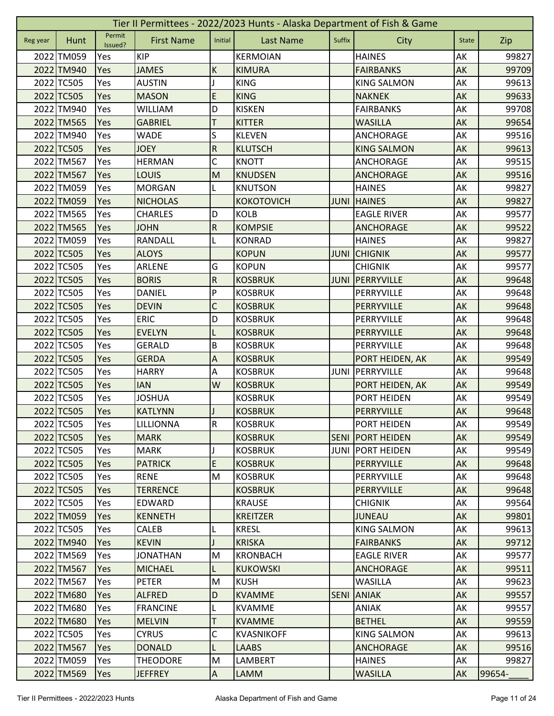|          | Tier II Permittees - 2022/2023 Hunts - Alaska Department of Fish & Game |                   |                   |                |                   |             |                         |              |        |  |  |
|----------|-------------------------------------------------------------------------|-------------------|-------------------|----------------|-------------------|-------------|-------------------------|--------------|--------|--|--|
| Reg year | Hunt                                                                    | Permit<br>Issued? | <b>First Name</b> | Initial        | <b>Last Name</b>  | Suffix      | City                    | <b>State</b> | Zip    |  |  |
|          | 2022 TM059                                                              | Yes               | <b>KIP</b>        |                | <b>KERMOIAN</b>   |             | <b>HAINES</b>           | AK           | 99827  |  |  |
|          | 2022 TM940                                                              | Yes               | <b>JAMES</b>      | К              | <b>KIMURA</b>     |             | <b>FAIRBANKS</b>        | AK           | 99709  |  |  |
|          | 2022 TC505                                                              | Yes               | <b>AUSTIN</b>     |                | <b>KING</b>       |             | <b>KING SALMON</b>      | AK           | 99613  |  |  |
|          | 2022 TC505                                                              | Yes               | <b>MASON</b>      | E              | <b>KING</b>       |             | <b>NAKNEK</b>           | AK           | 99633  |  |  |
|          | 2022 TM940                                                              | Yes               | <b>WILLIAM</b>    | D              | <b>KISKEN</b>     |             | <b>FAIRBANKS</b>        | AK           | 99708  |  |  |
|          | 2022 TM565                                                              | Yes               | <b>GABRIEL</b>    | T              | <b>KITTER</b>     |             | <b>WASILLA</b>          | AK           | 99654  |  |  |
|          | 2022 TM940                                                              | Yes               | <b>WADE</b>       | S              | <b>KLEVEN</b>     |             | <b>ANCHORAGE</b>        | AK           | 99516  |  |  |
|          | 2022 TC505                                                              | Yes               | <b>JOEY</b>       | ${\sf R}$      | <b>KLUTSCH</b>    |             | <b>KING SALMON</b>      | AK           | 99613  |  |  |
|          | 2022 TM567                                                              | Yes               | <b>HERMAN</b>     | C              | <b>KNOTT</b>      |             | <b>ANCHORAGE</b>        | AK           | 99515  |  |  |
|          | 2022 TM567                                                              | Yes               | LOUIS             | M              | <b>KNUDSEN</b>    |             | <b>ANCHORAGE</b>        | AK           | 99516  |  |  |
|          | 2022 TM059                                                              | Yes               | <b>MORGAN</b>     |                | <b>KNUTSON</b>    |             | <b>HAINES</b>           | AK           | 99827  |  |  |
|          | 2022 TM059                                                              | Yes               | <b>NICHOLAS</b>   |                | <b>KOKOTOVICH</b> | <b>JUNI</b> | <b>HAINES</b>           | AK           | 99827  |  |  |
|          | 2022 TM565                                                              | Yes               | <b>CHARLES</b>    | D              | <b>KOLB</b>       |             | <b>EAGLE RIVER</b>      | AK           | 99577  |  |  |
|          | 2022 TM565                                                              | Yes               | <b>JOHN</b>       | $\overline{R}$ | <b>KOMPSIE</b>    |             | <b>ANCHORAGE</b>        | AK           | 99522  |  |  |
|          | 2022 TM059                                                              | Yes               | <b>RANDALL</b>    | L              | <b>KONRAD</b>     |             | <b>HAINES</b>           | AK           | 99827  |  |  |
|          | 2022 TC505                                                              | Yes               | <b>ALOYS</b>      |                | <b>KOPUN</b>      | <b>JUNI</b> | <b>CHIGNIK</b>          | AK           | 99577  |  |  |
|          | 2022 TC505                                                              | Yes               | ARLENE            | G              | <b>KOPUN</b>      |             | <b>CHIGNIK</b>          | AK           | 99577  |  |  |
|          | 2022 TC505                                                              | Yes               | <b>BORIS</b>      | ${\sf R}$      | <b>KOSBRUK</b>    | <b>JUNI</b> | PERRYVILLE              | AK           | 99648  |  |  |
|          | 2022 TC505                                                              | Yes               | <b>DANIEL</b>     | P              | <b>KOSBRUK</b>    |             | PERRYVILLE              | AK           | 99648  |  |  |
|          | 2022 TC505                                                              | Yes               | <b>DEVIN</b>      | $\mathsf C$    | <b>KOSBRUK</b>    |             | PERRYVILLE              | AK           | 99648  |  |  |
|          | 2022 TC505                                                              | Yes               | <b>ERIC</b>       | D              | <b>KOSBRUK</b>    |             | PERRYVILLE              | AK           | 99648  |  |  |
|          | 2022 TC505                                                              | Yes               | <b>EVELYN</b>     | L              | <b>KOSBRUK</b>    |             | PERRYVILLE              | AK           | 99648  |  |  |
|          | 2022 TC505                                                              | Yes               | <b>GERALD</b>     | B              | <b>KOSBRUK</b>    |             | PERRYVILLE              | AK           | 99648  |  |  |
|          | 2022 TC505                                                              | Yes               | <b>GERDA</b>      | A              | <b>KOSBRUK</b>    |             | PORT HEIDEN, AK         | AK           | 99549  |  |  |
|          | 2022 TC505                                                              | Yes               | <b>HARRY</b>      | Α              | <b>KOSBRUK</b>    | <b>JUNI</b> | PERRYVILLE              | AK           | 99648  |  |  |
|          | 2022 TC505                                                              | Yes               | <b>IAN</b>        | W              | <b>KOSBRUK</b>    |             | PORT HEIDEN, AK         | AK           | 99549  |  |  |
|          | 2022 TC505                                                              | Yes               | <b>JOSHUA</b>     |                | <b>KOSBRUK</b>    |             | PORT HEIDEN             | AK           | 99549  |  |  |
|          | 2022 TC505                                                              | Yes               | <b>KATLYNN</b>    |                | <b>KOSBRUK</b>    |             | PERRYVILLE              | AK           | 99648  |  |  |
|          | 2022 TC505                                                              | Yes               | LILLIONNA         | IR.            | <b>KOSBRUK</b>    |             | PORT HEIDEN             | <b>AK</b>    | 99549  |  |  |
|          | 2022 TC505                                                              | Yes               | <b>MARK</b>       |                | <b>KOSBRUK</b>    | <b>SENI</b> | <b>PORT HEIDEN</b>      | AK           | 99549  |  |  |
|          | 2022 TC505                                                              | Yes               | <b>MARK</b>       |                | <b>KOSBRUK</b>    |             | <b>JUNI PORT HEIDEN</b> | AK           | 99549  |  |  |
|          | 2022 TC505                                                              | Yes               | <b>PATRICK</b>    | E              | <b>KOSBRUK</b>    |             | PERRYVILLE              | AK           | 99648  |  |  |
|          | 2022 TC505                                                              | Yes               | <b>RENE</b>       | M              | <b>KOSBRUK</b>    |             | PERRYVILLE              | AK           | 99648  |  |  |
|          | 2022 TC505                                                              | Yes               | <b>TERRENCE</b>   |                | <b>KOSBRUK</b>    |             | <b>PERRYVILLE</b>       | AK           | 99648  |  |  |
|          | 2022 TC505                                                              | Yes               | EDWARD            |                | <b>KRAUSE</b>     |             | <b>CHIGNIK</b>          | AK           | 99564  |  |  |
|          | 2022 TM059                                                              | Yes               | <b>KENNETH</b>    |                | <b>KREITZER</b>   |             | <b>JUNEAU</b>           | AK           | 99801  |  |  |
|          | 2022 TC505                                                              | Yes               | <b>CALEB</b>      |                | <b>KRESL</b>      |             | <b>KING SALMON</b>      | AK           | 99613  |  |  |
|          | 2022 TM940                                                              | Yes               | <b>KEVIN</b>      |                | <b>KRISKA</b>     |             | <b>FAIRBANKS</b>        | AK           | 99712  |  |  |
|          | 2022 TM569                                                              | Yes               | <b>JONATHAN</b>   | M              | <b>KRONBACH</b>   |             | <b>EAGLE RIVER</b>      | AK           | 99577  |  |  |
|          | 2022 TM567                                                              | Yes               | <b>MICHAEL</b>    | L              | <b>KUKOWSKI</b>   |             | <b>ANCHORAGE</b>        | <b>AK</b>    | 99511  |  |  |
|          | 2022 TM567                                                              | <b>Yes</b>        | <b>PETER</b>      | M              | <b>KUSH</b>       |             | <b>WASILLA</b>          | AK           | 99623  |  |  |
|          | 2022 TM680                                                              | Yes               | <b>ALFRED</b>     | D              | <b>KVAMME</b>     | <b>SENI</b> | <b>ANIAK</b>            | AK           | 99557  |  |  |
|          | 2022 TM680                                                              | Yes               | <b>FRANCINE</b>   | L              | <b>KVAMME</b>     |             | <b>ANIAK</b>            | AK           | 99557  |  |  |
|          | 2022 TM680                                                              | Yes               | <b>MELVIN</b>     | Τ              | <b>KVAMME</b>     |             | <b>BETHEL</b>           | AK           | 99559  |  |  |
|          | 2022 TC505                                                              | Yes               | <b>CYRUS</b>      | C              | <b>KVASNIKOFF</b> |             | <b>KING SALMON</b>      | AK           | 99613  |  |  |
|          | 2022 TM567                                                              | Yes               | <b>DONALD</b>     | L              | LAABS             |             | ANCHORAGE               | AK           | 99516  |  |  |
|          | 2022 TM059                                                              | Yes               | <b>THEODORE</b>   | M              | LAMBERT           |             | <b>HAINES</b>           | AK           | 99827  |  |  |
|          | 2022 TM569                                                              | Yes               | <b>JEFFREY</b>    | $\overline{A}$ | <b>LAMM</b>       |             | <b>WASILLA</b>          | AK           | 99654- |  |  |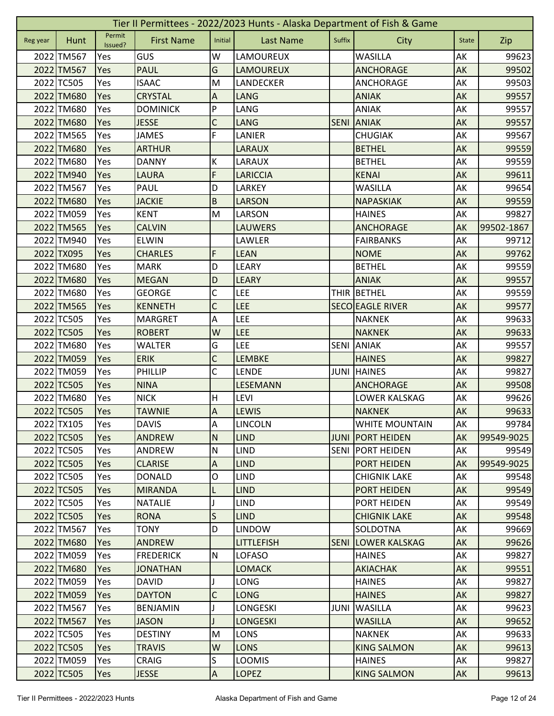|          | Tier II Permittees - 2022/2023 Hunts - Alaska Department of Fish & Game |                   |                   |                           |                   |             |                         |              |            |  |  |
|----------|-------------------------------------------------------------------------|-------------------|-------------------|---------------------------|-------------------|-------------|-------------------------|--------------|------------|--|--|
| Reg year | Hunt                                                                    | Permit<br>Issued? | <b>First Name</b> | Initial                   | <b>Last Name</b>  | Suffix      | City                    | <b>State</b> | Zip        |  |  |
|          | 2022 TM567                                                              | Yes               | <b>GUS</b>        | W                         | LAMOUREUX         |             | <b>WASILLA</b>          | AK           | 99623      |  |  |
|          | 2022 TM567                                                              | Yes               | <b>PAUL</b>       | G                         | <b>LAMOUREUX</b>  |             | <b>ANCHORAGE</b>        | AK           | 99502      |  |  |
|          | 2022 TC505                                                              | Yes               | <b>ISAAC</b>      | M                         | LANDECKER         |             | ANCHORAGE               | AK           | 99503      |  |  |
|          | 2022 TM680                                                              | Yes               | <b>CRYSTAL</b>    | A                         | <b>LANG</b>       |             | <b>ANIAK</b>            | AK           | 99557      |  |  |
|          | 2022 TM680                                                              | Yes               | <b>DOMINICK</b>   | P                         | LANG              |             | <b>ANIAK</b>            | AK           | 99557      |  |  |
|          | 2022 TM680                                                              | Yes               | <b>JESSE</b>      | $\mathsf C$               | <b>LANG</b>       | <b>SENI</b> | <b>ANIAK</b>            | AK           | 99557      |  |  |
|          | 2022 TM565                                                              | Yes               | <b>JAMES</b>      | F                         | LANIER            |             | <b>CHUGIAK</b>          | AK           | 99567      |  |  |
|          | 2022 TM680                                                              | Yes               | <b>ARTHUR</b>     |                           | <b>LARAUX</b>     |             | <b>BETHEL</b>           | AK           | 99559      |  |  |
|          | 2022 TM680                                                              | Yes               | <b>DANNY</b>      | К                         | LARAUX            |             | <b>BETHEL</b>           | AK           | 99559      |  |  |
|          | 2022 TM940                                                              | Yes               | <b>LAURA</b>      | F                         | <b>LARICCIA</b>   |             | <b>KENAI</b>            | AK           | 99611      |  |  |
|          | 2022 TM567                                                              | Yes               | <b>PAUL</b>       | D                         | LARKEY            |             | <b>WASILLA</b>          | AK           | 99654      |  |  |
|          | 2022 TM680                                                              | Yes               | <b>JACKIE</b>     | $\sf B$                   | <b>LARSON</b>     |             | <b>NAPASKIAK</b>        | AK           | 99559      |  |  |
|          | 2022 TM059                                                              | Yes               | <b>KENT</b>       | M                         | LARSON            |             | <b>HAINES</b>           | AK           | 99827      |  |  |
|          | 2022 TM565                                                              | Yes               | <b>CALVIN</b>     |                           | <b>LAUWERS</b>    |             | <b>ANCHORAGE</b>        | AK           | 99502-1867 |  |  |
|          | 2022 TM940                                                              | Yes               | <b>ELWIN</b>      |                           | LAWLER            |             | <b>FAIRBANKS</b>        | AK           | 99712      |  |  |
|          | 2022 TX095                                                              | Yes               | <b>CHARLES</b>    | F                         | <b>LEAN</b>       |             | <b>NOME</b>             | AK           | 99762      |  |  |
|          | 2022 TM680                                                              | Yes               | <b>MARK</b>       | D                         | LEARY             |             | <b>BETHEL</b>           | AK           | 99559      |  |  |
|          | 2022 TM680                                                              | Yes               | <b>MEGAN</b>      | D                         | <b>LEARY</b>      |             | <b>ANIAK</b>            | AK           | 99557      |  |  |
|          | 2022 TM680                                                              | Yes               | <b>GEORGE</b>     | $\mathsf C$               | <b>LEE</b>        |             | THIR BETHEL             | AK           | 99559      |  |  |
|          | 2022 TM565                                                              | Yes               | <b>KENNETH</b>    | $\mathsf C$               | <b>LEE</b>        |             | <b>SECO EAGLE RIVER</b> | AK           | 99577      |  |  |
|          | 2022 TC505                                                              | Yes               | <b>MARGRET</b>    | A                         | LEE               |             | <b>NAKNEK</b>           | AK           | 99633      |  |  |
|          | 2022 TC505                                                              | Yes               | <b>ROBERT</b>     | W                         | <b>LEE</b>        |             | <b>NAKNEK</b>           | AK           | 99633      |  |  |
|          | 2022 TM680                                                              | Yes               | <b>WALTER</b>     | G                         | <b>LEE</b>        | <b>SENI</b> | <b>ANIAK</b>            | AK           | 99557      |  |  |
|          | 2022 TM059                                                              | Yes               | <b>ERIK</b>       | $\mathsf C$               | <b>LEMBKE</b>     |             | <b>HAINES</b>           | AK           | 99827      |  |  |
|          | 2022 TM059                                                              | Yes               | PHILLIP           | C                         | <b>LENDE</b>      | <b>JUNI</b> | <b>HAINES</b>           | AK           | 99827      |  |  |
|          | 2022 TC505                                                              | Yes               | <b>NINA</b>       |                           | <b>LESEMANN</b>   |             | <b>ANCHORAGE</b>        | <b>AK</b>    | 99508      |  |  |
|          | 2022 TM680                                                              | Yes               | <b>NICK</b>       | н                         | <b>LEVI</b>       |             | LOWER KALSKAG           | AK           | 99626      |  |  |
|          | 2022 TC505                                                              | Yes               | <b>TAWNIE</b>     | $\boldsymbol{\mathsf{A}}$ | <b>LEWIS</b>      |             | <b>NAKNEK</b>           | AK           | 99633      |  |  |
|          | 2022 TX105                                                              | Yes               | <b>DAVIS</b>      | A                         | LINCOLN           |             | <b>WHITE MOUNTAIN</b>   | AK           | 99784      |  |  |
|          | 2022 TC505                                                              | Yes               | <b>ANDREW</b>     | N                         | <b>LIND</b>       | <b>JUNI</b> | <b>PORT HEIDEN</b>      | AK           | 99549-9025 |  |  |
|          | 2022 TC505                                                              | Yes               | ANDREW            | N                         | <b>LIND</b>       | <b>SENI</b> | <b>PORT HEIDEN</b>      | AK           | 99549      |  |  |
|          | 2022 TC505                                                              | Yes               | <b>CLARISE</b>    | $\overline{A}$            | <b>LIND</b>       |             | <b>PORT HEIDEN</b>      | AK           | 99549-9025 |  |  |
|          | 2022 TC505                                                              | Yes               | <b>DONALD</b>     | O                         | <b>LIND</b>       |             | <b>CHIGNIK LAKE</b>     | AK           | 99548      |  |  |
|          | 2022 TC505                                                              | Yes               | <b>MIRANDA</b>    | L                         | <b>LIND</b>       |             | PORT HEIDEN             | AK           | 99549      |  |  |
|          | 2022 TC505                                                              | Yes               | <b>NATALIE</b>    |                           | <b>LIND</b>       |             | PORT HEIDEN             | AK           | 99549      |  |  |
|          | 2022 TC505                                                              | Yes               | <b>RONA</b>       | $\mathsf{S}$              | <b>LIND</b>       |             | <b>CHIGNIK LAKE</b>     | AK           | 99548      |  |  |
|          | 2022 TM567                                                              | Yes               | <b>TONY</b>       | D                         | <b>LINDOW</b>     |             | <b>SOLDOTNA</b>         | AK           | 99669      |  |  |
|          | 2022 TM680                                                              | Yes               | <b>ANDREW</b>     |                           | <b>LITTLEFISH</b> | <b>SENI</b> | <b>LOWER KALSKAG</b>    | AK           | 99626      |  |  |
|          | 2022 TM059                                                              | Yes               | <b>FREDERICK</b>  | N                         | <b>LOFASO</b>     |             | <b>HAINES</b>           | AK           | 99827      |  |  |
|          | 2022 TM680                                                              | Yes               | <b>JONATHAN</b>   |                           | <b>LOMACK</b>     |             | <b>AKIACHAK</b>         | AK           | 99551      |  |  |
|          | 2022 TM059                                                              | Yes               | <b>DAVID</b>      |                           | LONG              |             | <b>HAINES</b>           | AK           | 99827      |  |  |
|          | 2022 TM059                                                              | Yes               | <b>DAYTON</b>     | $\mathsf{C}$              | <b>LONG</b>       |             | <b>HAINES</b>           | AK           | 99827      |  |  |
|          | 2022 TM567                                                              | Yes               | <b>BENJAMIN</b>   | J                         | LONGESKI          | <b>JUNI</b> | <b>WASILLA</b>          | AK           | 99623      |  |  |
|          | 2022 TM567                                                              | <b>Yes</b>        | <b>JASON</b>      | J                         | <b>LONGESKI</b>   |             | <b>WASILLA</b>          | AK           | 99652      |  |  |
|          | 2022 TC505                                                              | Yes               | <b>DESTINY</b>    | M                         | <b>LONS</b>       |             | <b>NAKNEK</b>           | AK           | 99633      |  |  |
|          | 2022 TC505                                                              | Yes               | <b>TRAVIS</b>     | W                         | <b>LONS</b>       |             | <b>KING SALMON</b>      | AK           | 99613      |  |  |
|          | 2022 TM059                                                              | Yes               | CRAIG             | S                         | <b>LOOMIS</b>     |             | <b>HAINES</b>           | AK           | 99827      |  |  |
|          | 2022 TC505                                                              | Yes               | <b>JESSE</b>      | $\overline{A}$            | <b>LOPEZ</b>      |             | <b>KING SALMON</b>      | AK           | 99613      |  |  |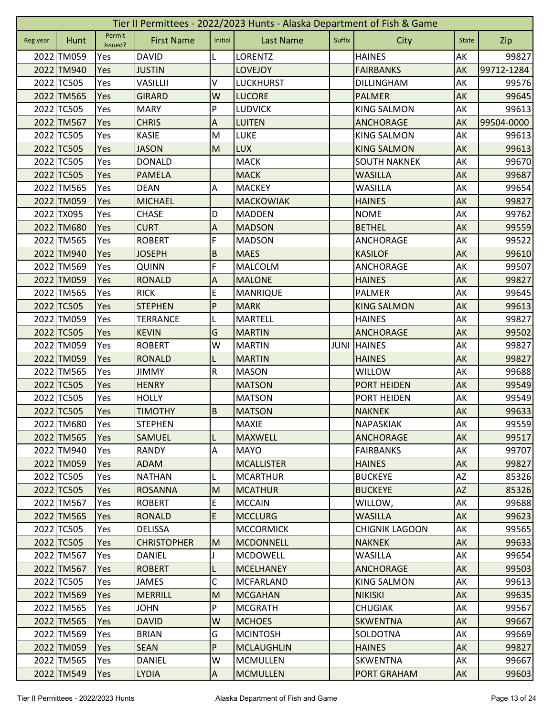|          | Tier II Permittees - 2022/2023 Hunts - Alaska Department of Fish & Game |                   |                    |                |                   |        |                       |              |            |  |  |
|----------|-------------------------------------------------------------------------|-------------------|--------------------|----------------|-------------------|--------|-----------------------|--------------|------------|--|--|
| Reg year | Hunt                                                                    | Permit<br>Issued? | <b>First Name</b>  | Initial        | <b>Last Name</b>  | Suffix | City                  | <b>State</b> | Zip        |  |  |
|          | 2022 TM059                                                              | Yes               | <b>DAVID</b>       | L              | <b>LORENTZ</b>    |        | <b>HAINES</b>         | AK           | 99827      |  |  |
|          | 2022 TM940                                                              | Yes               | <b>JUSTIN</b>      |                | <b>LOVEJOY</b>    |        | <b>FAIRBANKS</b>      | AK           | 99712-1284 |  |  |
|          | 2022 TC505                                                              | Yes               | VASILLII           | V              | <b>LUCKHURST</b>  |        | <b>DILLINGHAM</b>     | AK           | 99576      |  |  |
|          | 2022 TM565                                                              | Yes               | <b>GIRARD</b>      | W              | <b>LUCORE</b>     |        | <b>PALMER</b>         | AK           | 99645      |  |  |
|          | 2022 TC505                                                              | Yes               | <b>MARY</b>        | P              | <b>LUDVICK</b>    |        | <b>KING SALMON</b>    | AK           | 99613      |  |  |
|          | 2022 TM567                                                              | Yes               | <b>CHRIS</b>       | A              | <b>LUITEN</b>     |        | <b>ANCHORAGE</b>      | AK           | 99504-0000 |  |  |
|          | 2022 TC505                                                              | Yes               | <b>KASIE</b>       | M              | <b>LUKE</b>       |        | <b>KING SALMON</b>    | AK           | 99613      |  |  |
|          | 2022 TC505                                                              | Yes               | <b>JASON</b>       | M              | <b>LUX</b>        |        | <b>KING SALMON</b>    | AK           | 99613      |  |  |
|          | 2022 TC505                                                              | Yes               | <b>DONALD</b>      |                | <b>MACK</b>       |        | <b>SOUTH NAKNEK</b>   | AK           | 99670      |  |  |
|          | 2022 TC505                                                              | Yes               | <b>PAMELA</b>      |                | <b>MACK</b>       |        | <b>WASILLA</b>        | AK           | 99687      |  |  |
|          | 2022 TM565                                                              | Yes               | <b>DEAN</b>        | Α              | <b>MACKEY</b>     |        | <b>WASILLA</b>        | AK           | 99654      |  |  |
|          | 2022 TM059                                                              | Yes               | <b>MICHAEL</b>     |                | <b>MACKOWIAK</b>  |        | <b>HAINES</b>         | AK           | 99827      |  |  |
|          | 2022 TX095                                                              | Yes               | <b>CHASE</b>       | D              | <b>MADDEN</b>     |        | <b>NOME</b>           | AK           | 99762      |  |  |
|          | 2022 TM680                                                              | Yes               | <b>CURT</b>        | $\overline{A}$ | <b>MADSON</b>     |        | <b>BETHEL</b>         | AK           | 99559      |  |  |
|          | 2022 TM565                                                              | Yes               | <b>ROBERT</b>      | F              | <b>MADSON</b>     |        | ANCHORAGE             | AK           | 99522      |  |  |
|          | 2022 TM940                                                              | Yes               | <b>JOSEPH</b>      | $\sf B$        | <b>MAES</b>       |        | <b>KASILOF</b>        | AK           | 99610      |  |  |
|          | 2022 TM569                                                              | Yes               | <b>QUINN</b>       | F              | MALCOLM           |        | ANCHORAGE             | AK           | 99507      |  |  |
|          | 2022 TM059                                                              | Yes               | <b>RONALD</b>      | A              | <b>MALONE</b>     |        | <b>HAINES</b>         | AK           | 99827      |  |  |
|          | 2022 TM565                                                              | Yes               | <b>RICK</b>        | E              | <b>MANRIQUE</b>   |        | <b>PALMER</b>         | AK           | 99645      |  |  |
|          | 2022 TC505                                                              | Yes               | <b>STEPHEN</b>     | $\mathsf{P}$   | <b>MARK</b>       |        | <b>KING SALMON</b>    | AK           | 99613      |  |  |
|          | 2022 TM059                                                              | Yes               | <b>TERRANCE</b>    | L              | <b>MARTELL</b>    |        | <b>HAINES</b>         | AK           | 99827      |  |  |
|          | 2022 TC505                                                              | Yes               | <b>KEVIN</b>       | G              | <b>MARTIN</b>     |        | <b>ANCHORAGE</b>      | AK           | 99502      |  |  |
|          | 2022 TM059                                                              | Yes               | <b>ROBERT</b>      | W              | <b>MARTIN</b>     | JUNI   | <b>HAINES</b>         | AK           | 99827      |  |  |
|          | 2022 TM059                                                              | Yes               | <b>RONALD</b>      |                | <b>MARTIN</b>     |        | <b>HAINES</b>         | AK           | 99827      |  |  |
|          | 2022 TM565                                                              | Yes               | <b>JIMMY</b>       | ${\sf R}$      | <b>MASON</b>      |        | <b>WILLOW</b>         | AK           | 99688      |  |  |
|          | 2022 TC505                                                              | Yes               | <b>HENRY</b>       |                | <b>MATSON</b>     |        | <b>PORT HEIDEN</b>    | AK           | 99549      |  |  |
|          | 2022 TC505                                                              | Yes               | <b>HOLLY</b>       |                | <b>MATSON</b>     |        | PORT HEIDEN           | AK           | 99549      |  |  |
|          | 2022 TC505                                                              | Yes               | <b>TIMOTHY</b>     | B              | <b>MATSON</b>     |        | <b>NAKNEK</b>         | AK           | 99633      |  |  |
|          | 2022 TM680                                                              | Yes               | <b>STEPHEN</b>     |                | <b>MAXIE</b>      |        | NAPASKIAK             | <b>AK</b>    | 99559      |  |  |
|          | 2022 TM565                                                              | Yes               | <b>SAMUEL</b>      | L              | <b>MAXWELL</b>    |        | <b>ANCHORAGE</b>      | AK           | 99517      |  |  |
|          | 2022 TM940                                                              | Yes               | <b>RANDY</b>       | A              | <b>MAYO</b>       |        | <b>FAIRBANKS</b>      | AK           | 99707      |  |  |
|          | 2022 TM059                                                              | Yes               | <b>ADAM</b>        |                | <b>MCALLISTER</b> |        | <b>HAINES</b>         | AK           | 99827      |  |  |
|          | 2022 TC505                                                              | Yes               | <b>NATHAN</b>      | L              | <b>MCARTHUR</b>   |        | <b>BUCKEYE</b>        | AZ           | 85326      |  |  |
|          | 2022 TC505                                                              | Yes               | <b>ROSANNA</b>     | M              | <b>MCATHUR</b>    |        | <b>BUCKEYE</b>        | <b>AZ</b>    | 85326      |  |  |
|          | 2022 TM567                                                              | Yes               | <b>ROBERT</b>      | E.             | <b>MCCAIN</b>     |        | WILLOW,               | AK           | 99688      |  |  |
|          | 2022 TM565                                                              | Yes               | <b>RONALD</b>      | $\mathsf E$    | <b>MCCLURG</b>    |        | <b>WASILLA</b>        | AK           | 99623      |  |  |
|          | 2022 TC505                                                              | Yes               | <b>DELISSA</b>     |                | <b>MCCORMICK</b>  |        | <b>CHIGNIK LAGOON</b> | AK           | 99565      |  |  |
|          | 2022 TC505                                                              | Yes               | <b>CHRISTOPHER</b> | M              | <b>MCDONNELL</b>  |        | <b>NAKNEK</b>         | AK           | 99633      |  |  |
|          | 2022 TM567                                                              | Yes               | DANIEL             | J              | <b>MCDOWELL</b>   |        | <b>WASILLA</b>        | AK           | 99654      |  |  |
|          | 2022 TM567                                                              | Yes               | <b>ROBERT</b>      | L              | <b>MCELHANEY</b>  |        | <b>ANCHORAGE</b>      | AK           | 99503      |  |  |
|          | 2022 TC505                                                              | <b>Yes</b>        | JAMES              | C              | <b>MCFARLAND</b>  |        | <b>KING SALMON</b>    | AK           | 99613      |  |  |
|          | 2022 TM569                                                              | Yes               | <b>MERRILL</b>     | M              | <b>MCGAHAN</b>    |        | <b>NIKISKI</b>        | AK           | 99635      |  |  |
|          | 2022 TM565                                                              | Yes               | <b>JOHN</b>        | P              | <b>MCGRATH</b>    |        | <b>CHUGIAK</b>        | AK           | 99567      |  |  |
|          | 2022 TM565                                                              | Yes               | <b>DAVID</b>       | W              | <b>MCHOES</b>     |        | <b>SKWENTNA</b>       | AK           | 99667      |  |  |
|          | 2022 TM569                                                              | Yes               | <b>BRIAN</b>       | G              | <b>MCINTOSH</b>   |        | SOLDOTNA              | AK           | 99669      |  |  |
|          | 2022 TM059                                                              | Yes               | <b>SEAN</b>        | P              | <b>MCLAUGHLIN</b> |        | <b>HAINES</b>         | AK           | 99827      |  |  |
|          | 2022 TM565                                                              | Yes               | <b>DANIEL</b>      | W              | <b>MCMULLEN</b>   |        | <b>SKWENTNA</b>       | AK           | 99667      |  |  |
|          | 2022 TM549                                                              | Yes               | <b>LYDIA</b>       | $\overline{A}$ | <b>MCMULLEN</b>   |        | <b>PORT GRAHAM</b>    | AK           | 99603      |  |  |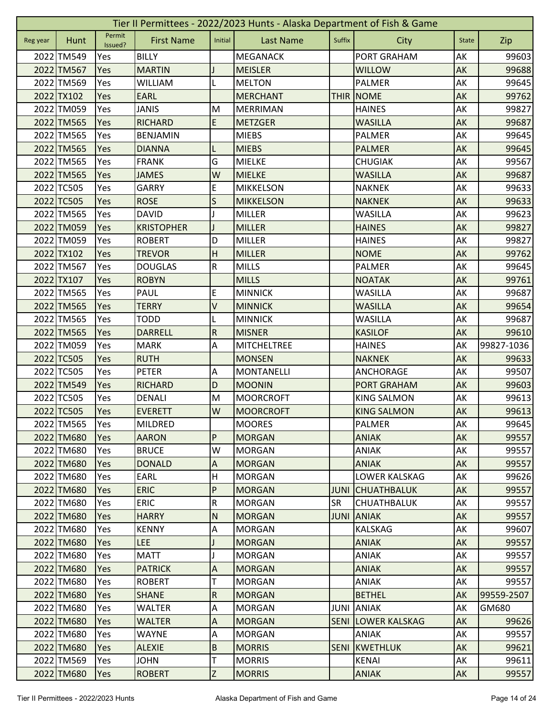|          | Tier II Permittees - 2022/2023 Hunts - Alaska Department of Fish & Game |                   |                   |                           |                    |             |                      |              |            |  |  |
|----------|-------------------------------------------------------------------------|-------------------|-------------------|---------------------------|--------------------|-------------|----------------------|--------------|------------|--|--|
| Reg year | Hunt                                                                    | Permit<br>Issued? | <b>First Name</b> | Initial                   | <b>Last Name</b>   | Suffix      | City                 | <b>State</b> | Zip        |  |  |
|          | 2022 TM549                                                              | Yes               | <b>BILLY</b>      |                           | <b>MEGANACK</b>    |             | PORT GRAHAM          | AK           | 99603      |  |  |
|          | 2022 TM567                                                              | Yes               | <b>MARTIN</b>     |                           | <b>MEISLER</b>     |             | <b>WILLOW</b>        | AK           | 99688      |  |  |
|          | 2022 TM569                                                              | Yes               | <b>WILLIAM</b>    | L                         | <b>MELTON</b>      |             | PALMER               | AK           | 99645      |  |  |
|          | 2022 TX102                                                              | Yes               | <b>EARL</b>       |                           | <b>MERCHANT</b>    | <b>THIR</b> | <b>NOME</b>          | AK           | 99762      |  |  |
|          | 2022 TM059                                                              | Yes               | <b>JANIS</b>      | M                         | <b>MERRIMAN</b>    |             | <b>HAINES</b>        | AK           | 99827      |  |  |
|          | 2022 TM565                                                              | Yes               | <b>RICHARD</b>    | E                         | <b>METZGER</b>     |             | <b>WASILLA</b>       | AK           | 99687      |  |  |
|          | 2022 TM565                                                              | Yes               | <b>BENJAMIN</b>   |                           | <b>MIEBS</b>       |             | PALMER               | AK           | 99645      |  |  |
|          | 2022 TM565                                                              | Yes               | <b>DIANNA</b>     | L                         | <b>MIEBS</b>       |             | <b>PALMER</b>        | AK           | 99645      |  |  |
|          | 2022 TM565                                                              | Yes               | <b>FRANK</b>      | G                         | <b>MIELKE</b>      |             | <b>CHUGIAK</b>       | AK           | 99567      |  |  |
|          | 2022 TM565                                                              | Yes               | <b>JAMES</b>      | W                         | <b>MIELKE</b>      |             | <b>WASILLA</b>       | AK           | 99687      |  |  |
|          | 2022 TC505                                                              | Yes               | <b>GARRY</b>      | E                         | <b>MIKKELSON</b>   |             | <b>NAKNEK</b>        | AK           | 99633      |  |  |
|          | 2022 TC505                                                              | Yes               | <b>ROSE</b>       | S                         | <b>MIKKELSON</b>   |             | <b>NAKNEK</b>        | AK           | 99633      |  |  |
|          | 2022 TM565                                                              | Yes               | <b>DAVID</b>      |                           | <b>MILLER</b>      |             | <b>WASILLA</b>       | AK           | 99623      |  |  |
|          | 2022 TM059                                                              | Yes               | <b>KRISTOPHER</b> |                           | <b>MILLER</b>      |             | <b>HAINES</b>        | AK           | 99827      |  |  |
|          | 2022 TM059                                                              | Yes               | <b>ROBERT</b>     | D                         | MILLER             |             | <b>HAINES</b>        | AK           | 99827      |  |  |
|          | 2022 TX102                                                              | Yes               | <b>TREVOR</b>     | H                         | <b>MILLER</b>      |             | <b>NOME</b>          | AK           | 99762      |  |  |
|          | 2022 TM567                                                              | Yes               | <b>DOUGLAS</b>    | $\overline{\mathsf{R}}$   | <b>MILLS</b>       |             | <b>PALMER</b>        | AK           | 99645      |  |  |
|          | 2022 TX107                                                              | Yes               | <b>ROBYN</b>      |                           | <b>MILLS</b>       |             | <b>NOATAK</b>        | AK           | 99761      |  |  |
|          | 2022 TM565                                                              | Yes               | <b>PAUL</b>       | E                         | <b>MINNICK</b>     |             | <b>WASILLA</b>       | AK           | 99687      |  |  |
|          | 2022 TM565                                                              | Yes               | <b>TERRY</b>      | V                         | <b>MINNICK</b>     |             | <b>WASILLA</b>       | AK           | 99654      |  |  |
|          | 2022 TM565                                                              | Yes               | <b>TODD</b>       |                           | <b>MINNICK</b>     |             | <b>WASILLA</b>       | AK           | 99687      |  |  |
|          | 2022 TM565                                                              | Yes               | <b>DARRELL</b>    | ${\sf R}$                 | <b>MISNER</b>      |             | <b>KASILOF</b>       | AK           | 99610      |  |  |
|          | 2022 TM059                                                              | Yes               | <b>MARK</b>       | Α                         | <b>MITCHELTREE</b> |             | <b>HAINES</b>        | AK           | 99827-1036 |  |  |
|          | 2022 TC505                                                              | Yes               | <b>RUTH</b>       |                           | <b>MONSEN</b>      |             | <b>NAKNEK</b>        | AK           | 99633      |  |  |
|          | 2022 TC505                                                              | Yes               | <b>PETER</b>      | A                         | <b>MONTANELLI</b>  |             | ANCHORAGE            | АK           | 99507      |  |  |
|          | 2022 TM549                                                              | Yes               | <b>RICHARD</b>    | D                         | <b>MOONIN</b>      |             | <b>PORT GRAHAM</b>   | AK           | 99603      |  |  |
|          | 2022 TC505                                                              | Yes               | <b>DENALI</b>     | M                         | <b>MOORCROFT</b>   |             | <b>KING SALMON</b>   | AK           | 99613      |  |  |
|          | 2022 TC505                                                              | Yes               | <b>EVERETT</b>    | W                         | <b>MOORCROFT</b>   |             | <b>KING SALMON</b>   | AK           | 99613      |  |  |
|          | 2022 TM565                                                              | Yes               | MILDRED           |                           | <b>MOORES</b>      |             | PALMER               | AK           | 99645      |  |  |
|          | 2022 TM680                                                              | <b>Yes</b>        | <b>AARON</b>      | ${\sf P}$                 | <b>MORGAN</b>      |             | <b>ANIAK</b>         | AK           | 99557      |  |  |
|          | 2022 TM680                                                              | Yes               | <b>BRUCE</b>      | W                         | <b>MORGAN</b>      |             | <b>ANIAK</b>         | AK           | 99557      |  |  |
|          | 2022 TM680                                                              | Yes               | <b>DONALD</b>     | $\boldsymbol{\mathsf{A}}$ | <b>MORGAN</b>      |             | <b>ANIAK</b>         | AK           | 99557      |  |  |
|          | 2022 TM680                                                              | Yes               | EARL              | H                         | <b>MORGAN</b>      |             | LOWER KALSKAG        | AK           | 99626      |  |  |
|          | 2022 TM680                                                              | Yes               | <b>ERIC</b>       | ${\sf P}$                 | <b>MORGAN</b>      | <b>JUNI</b> | <b>CHUATHBALUK</b>   | AK           | 99557      |  |  |
|          | 2022 TM680                                                              | Yes               | <b>ERIC</b>       | ${\sf R}$                 | <b>MORGAN</b>      | <b>SR</b>   | CHUATHBALUK          | AK           | 99557      |  |  |
|          | 2022 TM680                                                              | <b>Yes</b>        | <b>HARRY</b>      | N                         | <b>MORGAN</b>      | <b>JUNI</b> | <b>ANIAK</b>         | <b>AK</b>    | 99557      |  |  |
|          | 2022 TM680                                                              | Yes               | <b>KENNY</b>      | A                         | <b>MORGAN</b>      |             | <b>KALSKAG</b>       | AK           | 99607      |  |  |
|          | 2022 TM680                                                              | Yes               | LEE               |                           | <b>MORGAN</b>      |             | <b>ANIAK</b>         | AK           | 99557      |  |  |
|          | 2022 TM680                                                              | Yes               | <b>MATT</b>       |                           | <b>MORGAN</b>      |             | <b>ANIAK</b>         | AK           | 99557      |  |  |
|          | 2022 TM680                                                              | Yes               | <b>PATRICK</b>    | $\boldsymbol{\mathsf{A}}$ | <b>MORGAN</b>      |             | <b>ANIAK</b>         | AK           | 99557      |  |  |
|          | 2022 TM680                                                              | Yes               | <b>ROBERT</b>     | T                         | <b>MORGAN</b>      |             | <b>ANIAK</b>         | AK           | 99557      |  |  |
|          | 2022 TM680                                                              | Yes               | <b>SHANE</b>      | $\overline{R}$            | <b>MORGAN</b>      |             | <b>BETHEL</b>        | AK           | 99559-2507 |  |  |
|          | 2022 TM680                                                              | Yes               | <b>WALTER</b>     | $\overline{A}$            | <b>MORGAN</b>      | JUNI        | <b>ANIAK</b>         | AK           | GM680      |  |  |
|          | 2022 TM680                                                              | Yes               | <b>WALTER</b>     | $\overline{A}$            | <b>MORGAN</b>      | <b>SENI</b> | <b>LOWER KALSKAG</b> | AK           | 99626      |  |  |
|          | 2022 TM680                                                              | Yes               | <b>WAYNE</b>      | A                         | <b>MORGAN</b>      |             | <b>ANIAK</b>         | AK           | 99557      |  |  |
|          | 2022 TM680                                                              | Yes               | <b>ALEXIE</b>     | $\overline{B}$            | <b>MORRIS</b>      | <b>SENI</b> | KWETHLUK             | AK           | 99621      |  |  |
|          | 2022 TM569                                                              | Yes               | <b>JOHN</b>       | T                         | <b>MORRIS</b>      |             | <b>KENAI</b>         | AK           | 99611      |  |  |
|          | 2022 TM680                                                              | Yes               | <b>ROBERT</b>     | Z                         | <b>MORRIS</b>      |             | <b>ANIAK</b>         | AK           | 99557      |  |  |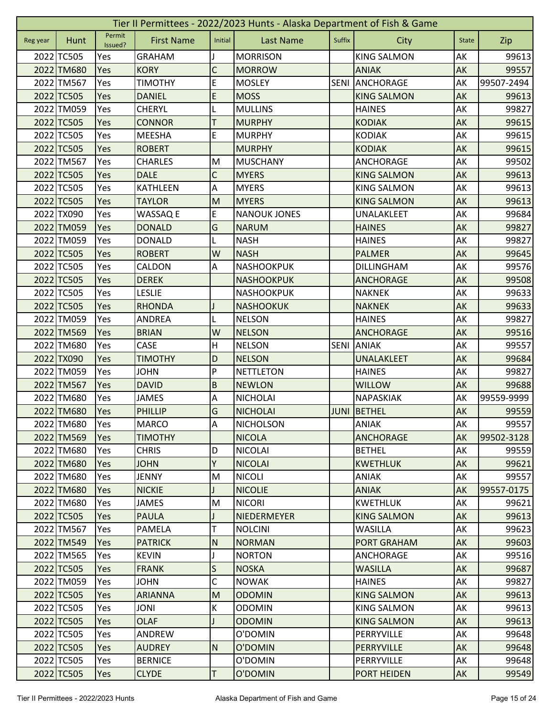|          | Tier II Permittees - 2022/2023 Hunts - Alaska Department of Fish & Game |                   |                   |                |                     |             |                    |              |            |  |  |
|----------|-------------------------------------------------------------------------|-------------------|-------------------|----------------|---------------------|-------------|--------------------|--------------|------------|--|--|
| Reg year | Hunt                                                                    | Permit<br>Issued? | <b>First Name</b> | Initial        | <b>Last Name</b>    | Suffix      | <b>City</b>        | <b>State</b> | Zip        |  |  |
|          | 2022 TC505                                                              | Yes               | <b>GRAHAM</b>     |                | <b>MORRISON</b>     |             | <b>KING SALMON</b> | AK           | 99613      |  |  |
|          | 2022 TM680                                                              | Yes               | <b>KORY</b>       | C              | <b>MORROW</b>       |             | <b>ANIAK</b>       | <b>AK</b>    | 99557      |  |  |
|          | 2022 TM567                                                              | Yes               | <b>TIMOTHY</b>    | E              | <b>MOSLEY</b>       | <b>SENI</b> | ANCHORAGE          | AK           | 99507-2494 |  |  |
|          | 2022 TC505                                                              | Yes               | <b>DANIEL</b>     | E              | <b>MOSS</b>         |             | <b>KING SALMON</b> | AK           | 99613      |  |  |
|          | 2022 TM059                                                              | Yes               | <b>CHERYL</b>     | L              | <b>MULLINS</b>      |             | <b>HAINES</b>      | AK           | 99827      |  |  |
|          | 2022 TC505                                                              | Yes               | <b>CONNOR</b>     | Τ              | <b>MURPHY</b>       |             | <b>KODIAK</b>      | AK           | 99615      |  |  |
|          | 2022 TC505                                                              | Yes               | <b>MEESHA</b>     | E              | <b>MURPHY</b>       |             | <b>KODIAK</b>      | AK           | 99615      |  |  |
|          | 2022 TC505                                                              | Yes               | <b>ROBERT</b>     |                | <b>MURPHY</b>       |             | <b>KODIAK</b>      | AK           | 99615      |  |  |
|          | 2022 TM567                                                              | Yes               | <b>CHARLES</b>    | M              | <b>MUSCHANY</b>     |             | <b>ANCHORAGE</b>   | AK           | 99502      |  |  |
|          | 2022 TC505                                                              | Yes               | <b>DALE</b>       | $\mathsf C$    | <b>MYERS</b>        |             | <b>KING SALMON</b> | AK           | 99613      |  |  |
|          | 2022 TC505                                                              | Yes               | <b>KATHLEEN</b>   | Α              | <b>MYERS</b>        |             | <b>KING SALMON</b> | AK           | 99613      |  |  |
|          | 2022 TC505                                                              | Yes               | <b>TAYLOR</b>     | M              | <b>MYERS</b>        |             | <b>KING SALMON</b> | AK           | 99613      |  |  |
|          | 2022 TX090                                                              | Yes               | WASSAQ E          | E              | <b>NANOUK JONES</b> |             | UNALAKLEET         | AK           | 99684      |  |  |
|          | 2022 TM059                                                              | Yes               | <b>DONALD</b>     | G              | <b>NARUM</b>        |             | <b>HAINES</b>      | AK           | 99827      |  |  |
|          | 2022 TM059                                                              | Yes               | <b>DONALD</b>     |                | <b>NASH</b>         |             | <b>HAINES</b>      | AK           | 99827      |  |  |
|          | 2022 TC505                                                              | Yes               | <b>ROBERT</b>     | W              | <b>NASH</b>         |             | <b>PALMER</b>      | AK           | 99645      |  |  |
|          | 2022 TC505                                                              | Yes               | CALDON            | A              | <b>NASHOOKPUK</b>   |             | <b>DILLINGHAM</b>  | AK           | 99576      |  |  |
|          | 2022 TC505                                                              | Yes               | <b>DEREK</b>      |                | <b>NASHOOKPUK</b>   |             | <b>ANCHORAGE</b>   | AK           | 99508      |  |  |
|          | 2022 TC505                                                              | Yes               | <b>LESLIE</b>     |                | <b>NASHOOKPUK</b>   |             | <b>NAKNEK</b>      | AK           | 99633      |  |  |
|          | 2022 TC505                                                              | Yes               | <b>RHONDA</b>     |                | <b>NASHOOKUK</b>    |             | <b>NAKNEK</b>      | AK           | 99633      |  |  |
|          | 2022 TM059                                                              | Yes               | <b>ANDREA</b>     |                | <b>NELSON</b>       |             | <b>HAINES</b>      | AK           | 99827      |  |  |
|          | 2022 TM569                                                              | Yes               | <b>BRIAN</b>      | W              | <b>NELSON</b>       |             | <b>ANCHORAGE</b>   | AK           | 99516      |  |  |
|          | 2022 TM680                                                              | Yes               | CASE              | H              | <b>NELSON</b>       | <b>SENI</b> | <b>ANIAK</b>       | AK           | 99557      |  |  |
|          | 2022 TX090                                                              | Yes               | <b>TIMOTHY</b>    | D              | <b>NELSON</b>       |             | UNALAKLEET         | AK           | 99684      |  |  |
|          | 2022 TM059                                                              | Yes               | <b>JOHN</b>       | P              | <b>NETTLETON</b>    |             | <b>HAINES</b>      | AK           | 99827      |  |  |
|          | 2022 TM567                                                              | Yes               | <b>DAVID</b>      | $\overline{B}$ | <b>NEWLON</b>       |             | <b>WILLOW</b>      | AK           | 99688      |  |  |
|          | 2022 TM680                                                              | Yes               | <b>JAMES</b>      | A              | <b>NICHOLAI</b>     |             | NAPASKIAK          | AK           | 99559-9999 |  |  |
|          | 2022 TM680                                                              | Yes               | PHILLIP           | G              | <b>NICHOLAI</b>     |             | <b>JUNI BETHEL</b> | AK           | 99559      |  |  |
|          | 2022 TM680                                                              | Yes               | <b>MARCO</b>      | $\overline{A}$ | <b>NICHOLSON</b>    |             | ANIAK              | AK           | 99557      |  |  |
|          | 2022 TM569                                                              | Yes               | <b>TIMOTHY</b>    |                | <b>NICOLA</b>       |             | <b>ANCHORAGE</b>   | AK           | 99502-3128 |  |  |
|          | 2022 TM680                                                              | Yes               | <b>CHRIS</b>      | D              | <b>NICOLAI</b>      |             | <b>BETHEL</b>      | AK           | 99559      |  |  |
|          | 2022 TM680                                                              | Yes               | <b>JOHN</b>       | Υ              | <b>NICOLAI</b>      |             | <b>KWETHLUK</b>    | AK           | 99621      |  |  |
|          | 2022 TM680                                                              | Yes               | <b>JENNY</b>      | M              | <b>NICOLI</b>       |             | <b>ANIAK</b>       | AK           | 99557      |  |  |
|          | 2022 TM680                                                              | Yes               | <b>NICKIE</b>     |                | <b>NICOLIE</b>      |             | <b>ANIAK</b>       | AK           | 99557-0175 |  |  |
|          | 2022 TM680                                                              | Yes               | <b>JAMES</b>      | M              | <b>NICORI</b>       |             | <b>KWETHLUK</b>    | AK           | 99621      |  |  |
|          | 2022 TC505                                                              | Yes               | <b>PAULA</b>      |                | NIEDERMEYER         |             | <b>KING SALMON</b> | AK           | 99613      |  |  |
|          | 2022 TM567                                                              | Yes               | <b>PAMELA</b>     | Т              | <b>NOLCINI</b>      |             | <b>WASILLA</b>     | AK           | 99623      |  |  |
|          | 2022 TM549                                                              | Yes               | <b>PATRICK</b>    | N              | <b>NORMAN</b>       |             | <b>PORT GRAHAM</b> | AK           | 99603      |  |  |
|          | 2022 TM565                                                              | Yes               | <b>KEVIN</b>      | J              | <b>NORTON</b>       |             | ANCHORAGE          | AK           | 99516      |  |  |
|          | 2022 TC505                                                              | <b>Yes</b>        | <b>FRANK</b>      | S              | <b>NOSKA</b>        |             | <b>WASILLA</b>     | AK           | 99687      |  |  |
|          | 2022 TM059                                                              | Yes               | <b>JOHN</b>       | C              | <b>NOWAK</b>        |             | <b>HAINES</b>      | AK           | 99827      |  |  |
|          | 2022 TC505                                                              | Yes               | <b>ARIANNA</b>    | M              | <b>ODOMIN</b>       |             | <b>KING SALMON</b> | AK           | 99613      |  |  |
|          | 2022 TC505                                                              | Yes               | <b>JONI</b>       | K              | <b>ODOMIN</b>       |             | <b>KING SALMON</b> | AK           | 99613      |  |  |
|          | 2022 TC505                                                              | <b>Yes</b>        | <b>OLAF</b>       | J              | <b>ODOMIN</b>       |             | <b>KING SALMON</b> | AK           | 99613      |  |  |
|          | 2022 TC505                                                              | Yes               | ANDREW            |                | O'DOMIN             |             | PERRYVILLE         | AK           | 99648      |  |  |
|          | 2022 TC505                                                              | Yes               | <b>AUDREY</b>     | N              | O'DOMIN             |             | <b>PERRYVILLE</b>  | AK           | 99648      |  |  |
|          | 2022 TC505                                                              | Yes               | <b>BERNICE</b>    |                | O'DOMIN             |             | PERRYVILLE         | AK           | 99648      |  |  |
|          | 2022 TC505                                                              | Yes               | <b>CLYDE</b>      | T              | O'DOMIN             |             | PORT HEIDEN        | AK           | 99549      |  |  |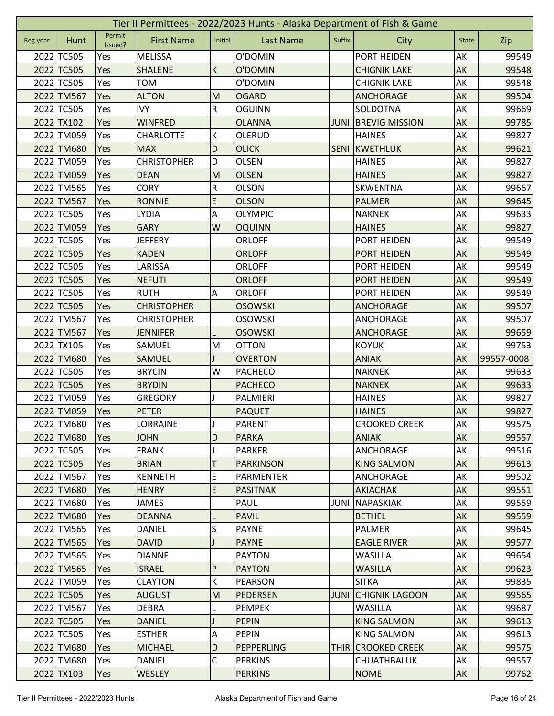|          | Tier II Permittees - 2022/2023 Hunts - Alaska Department of Fish & Game |                   |                    |                         |                   |             |                       |              |                         |  |  |  |
|----------|-------------------------------------------------------------------------|-------------------|--------------------|-------------------------|-------------------|-------------|-----------------------|--------------|-------------------------|--|--|--|
| Reg year | Hunt                                                                    | Permit<br>Issued? | <b>First Name</b>  | Initial                 | <b>Last Name</b>  | Suffix      | City                  | <b>State</b> | Zip                     |  |  |  |
|          | 2022 TC505                                                              | Yes               | <b>MELISSA</b>     |                         | O'DOMIN           |             | PORT HEIDEN           | AK           | 99549                   |  |  |  |
|          | 2022 TC505                                                              | Yes               | <b>SHALENE</b>     | K                       | O'DOMIN           |             | <b>CHIGNIK LAKE</b>   | AK           | 99548                   |  |  |  |
|          | 2022 TC505                                                              | Yes               | <b>TOM</b>         |                         | O'DOMIN           |             | <b>CHIGNIK LAKE</b>   | AK           | 99548                   |  |  |  |
|          | 2022 TM567                                                              | Yes               | <b>ALTON</b>       | M                       | <b>OGARD</b>      |             | <b>ANCHORAGE</b>      | AK           | 99504                   |  |  |  |
|          | 2022 TC505                                                              | Yes               | <b>IVY</b>         | $\overline{\mathsf{R}}$ | <b>OGUINN</b>     |             | <b>SOLDOTNA</b>       | AK           | 99669                   |  |  |  |
|          | 2022 TX102                                                              | Yes               | <b>WINFRED</b>     |                         | <b>OLANNA</b>     | <b>JUNI</b> | <b>BREVIG MISSION</b> | AK           | 99785                   |  |  |  |
|          | 2022 TM059                                                              | Yes               | <b>CHARLOTTE</b>   | К                       | OLERUD            |             | <b>HAINES</b>         | AK           | 99827                   |  |  |  |
|          | 2022 TM680                                                              | Yes               | <b>MAX</b>         | D                       | <b>OLICK</b>      | <b>SENI</b> | KWETHLUK              | AK           | 99621                   |  |  |  |
|          | 2022 TM059                                                              | Yes               | <b>CHRISTOPHER</b> | D                       | <b>OLSEN</b>      |             | <b>HAINES</b>         | AK           | 99827                   |  |  |  |
|          | 2022 TM059                                                              | Yes               | <b>DEAN</b>        | M                       | <b>OLSEN</b>      |             | <b>HAINES</b>         | AK           | 99827                   |  |  |  |
|          | 2022 TM565                                                              | Yes               | <b>CORY</b>        | ${\sf R}$               | <b>OLSON</b>      |             | <b>SKWENTNA</b>       | AK           | 99667                   |  |  |  |
|          | 2022 TM567                                                              | Yes               | <b>RONNIE</b>      | E                       | <b>OLSON</b>      |             | <b>PALMER</b>         | AK           | 99645                   |  |  |  |
|          | 2022 TC505                                                              | Yes               | <b>LYDIA</b>       | Α                       | <b>OLYMPIC</b>    |             | <b>NAKNEK</b>         | AK           | 99633                   |  |  |  |
|          | 2022 TM059                                                              | Yes               | <b>GARY</b>        | W                       | <b>OQUINN</b>     |             | <b>HAINES</b>         | AK           | 99827                   |  |  |  |
|          | 2022 TC505                                                              | Yes               | <b>JEFFERY</b>     |                         | <b>ORLOFF</b>     |             | PORT HEIDEN           | АK           | 99549                   |  |  |  |
|          | 2022 TC505                                                              | Yes               | <b>KADEN</b>       |                         | <b>ORLOFF</b>     |             | <b>PORT HEIDEN</b>    | AK           | 99549                   |  |  |  |
|          | 2022 TC505                                                              | Yes               | LARISSA            |                         | <b>ORLOFF</b>     |             | PORT HEIDEN           | AK           | 99549                   |  |  |  |
|          | 2022 TC505                                                              | Yes               | <b>NEFUTI</b>      |                         | <b>ORLOFF</b>     |             | PORT HEIDEN           | AK           | 99549                   |  |  |  |
|          | 2022 TC505                                                              | Yes               | <b>RUTH</b>        | Α                       | <b>ORLOFF</b>     |             | PORT HEIDEN           | AK           | 99549                   |  |  |  |
|          | 2022 TC505                                                              | Yes               | <b>CHRISTOPHER</b> |                         | <b>OSOWSKI</b>    |             | <b>ANCHORAGE</b>      | AK           | 99507                   |  |  |  |
|          | 2022 TM567                                                              | Yes               | <b>CHRISTOPHER</b> |                         | <b>OSOWSKI</b>    |             | ANCHORAGE             | AK           | 99507                   |  |  |  |
|          | 2022 TM567                                                              | Yes               | <b>JENNIFER</b>    | L                       | <b>OSOWSKI</b>    |             | <b>ANCHORAGE</b>      | AK           | 99659                   |  |  |  |
|          | 2022 TX105                                                              | Yes               | SAMUEL             | M                       | <b>OTTON</b>      |             | <b>KOYUK</b>          | AK           | 99753                   |  |  |  |
|          | 2022 TM680                                                              | Yes               | <b>SAMUEL</b>      |                         | <b>OVERTON</b>    |             | <b>ANIAK</b>          | AK           | 99557-0008              |  |  |  |
|          | 2022 TC505                                                              | Yes               | <b>BRYCIN</b>      | W                       | <b>PACHECO</b>    |             | <b>NAKNEK</b>         | AK           | 99633                   |  |  |  |
|          | 2022 TC505                                                              | Yes               | <b>BRYDIN</b>      |                         | <b>PACHECO</b>    |             | <b>NAKNEK</b>         | AK           | 99633                   |  |  |  |
|          |                                                                         |                   |                    |                         |                   |             |                       |              |                         |  |  |  |
|          | 2022 TM059                                                              | Yes               | <b>GREGORY</b>     |                         | <b>PALMIERI</b>   |             | <b>HAINES</b>         | AK           |                         |  |  |  |
|          | 2022 TM059                                                              | Yes               | <b>PETER</b>       |                         | <b>PAQUET</b>     |             | <b>HAINES</b>         | AK           | 99827                   |  |  |  |
|          | 2022 TM680                                                              | Yes               | <b>LORRAINE</b>    | IJ                      | <b>PARENT</b>     |             | <b>CROOKED CREEK</b>  | AK           |                         |  |  |  |
|          | 2022 TM680                                                              | <b>Yes</b>        | <b>JOHN</b>        | D                       | <b>PARKA</b>      |             | <b>ANIAK</b>          | AK           | 99827<br>99575<br>99557 |  |  |  |
|          | 2022 TC505                                                              | Yes               | <b>FRANK</b>       | J                       | <b>PARKER</b>     |             | ANCHORAGE             | AK           | 99516                   |  |  |  |
|          | 2022 TC505                                                              | Yes               | <b>BRIAN</b>       | Τ                       | <b>PARKINSON</b>  |             | <b>KING SALMON</b>    | AK           |                         |  |  |  |
|          | 2022 TM567                                                              | Yes               | <b>KENNETH</b>     | E                       | <b>PARMENTER</b>  |             | ANCHORAGE             | AK           | 99613<br>99502          |  |  |  |
|          | 2022 TM680                                                              | Yes               | <b>HENRY</b>       | $\mathsf E$             | <b>PASITNAK</b>   |             | <b>AKIACHAK</b>       | AK           | 99551                   |  |  |  |
|          | 2022 TM680                                                              | Yes               | <b>JAMES</b>       |                         | PAUL              | JUNI        | <b>NAPASKIAK</b>      | AK           | 99559                   |  |  |  |
|          | 2022 TM680                                                              | <b>Yes</b>        | <b>DEANNA</b>      | L                       | <b>PAVIL</b>      |             | <b>BETHEL</b>         | <b>AK</b>    | 99559                   |  |  |  |
|          | 2022 TM565                                                              | Yes               | <b>DANIEL</b>      | S                       | <b>PAYNE</b>      |             | <b>PALMER</b>         | AK           | 99645                   |  |  |  |
|          | 2022 TM565                                                              | Yes               | <b>DAVID</b>       |                         | <b>PAYNE</b>      |             | <b>EAGLE RIVER</b>    | AK           | 99577                   |  |  |  |
|          | 2022 TM565                                                              | Yes               | <b>DIANNE</b>      |                         | <b>PAYTON</b>     |             | <b>WASILLA</b>        | AK           | 99654                   |  |  |  |
|          | 2022 TM565                                                              | Yes               | <b>ISRAEL</b>      | P                       | <b>PAYTON</b>     |             | <b>WASILLA</b>        | AK           | 99623                   |  |  |  |
|          | 2022 TM059                                                              | Yes               | <b>CLAYTON</b>     | К                       | <b>PEARSON</b>    |             | <b>SITKA</b>          | AK           | 99835                   |  |  |  |
|          | 2022 TC505                                                              | Yes               | <b>AUGUST</b>      | M                       | <b>PEDERSEN</b>   | <b>JUNI</b> | <b>CHIGNIK LAGOON</b> | AK           | 99565                   |  |  |  |
|          | 2022 TM567                                                              | Yes               | <b>DEBRA</b>       | L                       | <b>PEMPEK</b>     |             | <b>WASILLA</b>        | AK           | 99687                   |  |  |  |
|          | 2022 TC505                                                              | Yes               | <b>DANIEL</b>      |                         | <b>PEPIN</b>      |             | <b>KING SALMON</b>    | AK           | 99613                   |  |  |  |
|          | 2022 TC505                                                              | Yes               | <b>ESTHER</b>      | A                       | <b>PEPIN</b>      |             | <b>KING SALMON</b>    | AK           | 99613                   |  |  |  |
|          | 2022 TM680                                                              | Yes               | <b>MICHAEL</b>     | D                       | <b>PEPPERLING</b> | THIR        | <b>CROOKED CREEK</b>  | AK           | 99575                   |  |  |  |
|          | 2022 TM680                                                              | Yes               | DANIEL             | $\mathsf C$             | <b>PERKINS</b>    |             | <b>CHUATHBALUK</b>    | AK           | 99557                   |  |  |  |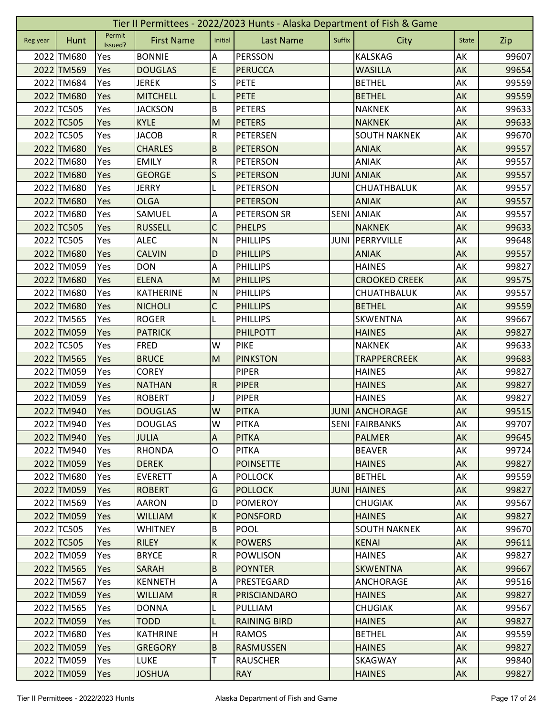|          | Tier II Permittees - 2022/2023 Hunts - Alaska Department of Fish & Game |                   |                   |                           |                     |             |                       |              |       |  |  |  |
|----------|-------------------------------------------------------------------------|-------------------|-------------------|---------------------------|---------------------|-------------|-----------------------|--------------|-------|--|--|--|
| Reg year | Hunt                                                                    | Permit<br>Issued? | <b>First Name</b> | Initial                   | <b>Last Name</b>    | Suffix      | City                  | <b>State</b> | Zip   |  |  |  |
|          | 2022 TM680                                                              | Yes               | <b>BONNIE</b>     | А                         | <b>PERSSON</b>      |             | <b>KALSKAG</b>        | AK           | 99607 |  |  |  |
|          | 2022 TM569                                                              | Yes               | <b>DOUGLAS</b>    | E                         | <b>PERUCCA</b>      |             | <b>WASILLA</b>        | AK           | 99654 |  |  |  |
|          | 2022 TM684                                                              | Yes               | <b>JEREK</b>      | S                         | <b>PETE</b>         |             | <b>BETHEL</b>         | AK           | 99559 |  |  |  |
|          | 2022 TM680                                                              | Yes               | <b>MITCHELL</b>   |                           | <b>PETE</b>         |             | <b>BETHEL</b>         | AK           | 99559 |  |  |  |
|          | 2022 TC505                                                              | Yes               | <b>JACKSON</b>    | B                         | <b>PETERS</b>       |             | <b>NAKNEK</b>         | AK           | 99633 |  |  |  |
|          | 2022 TC505                                                              | Yes               | <b>KYLE</b>       | M                         | <b>PETERS</b>       |             | <b>NAKNEK</b>         | AK           | 99633 |  |  |  |
|          | 2022 TC505                                                              | Yes               | <b>JACOB</b>      | ${\sf R}$                 | <b>PETERSEN</b>     |             | <b>SOUTH NAKNEK</b>   | AK           | 99670 |  |  |  |
|          | 2022 TM680                                                              | Yes               | <b>CHARLES</b>    | $\sf B$                   | <b>PETERSON</b>     |             | <b>ANIAK</b>          | AK           | 99557 |  |  |  |
|          | 2022 TM680                                                              | Yes               | <b>EMILY</b>      | ${\sf R}$                 | <b>PETERSON</b>     |             | ANIAK                 | AK           | 99557 |  |  |  |
|          | 2022 TM680                                                              | Yes               | <b>GEORGE</b>     | S                         | <b>PETERSON</b>     | <b>JUNI</b> | <b>ANIAK</b>          | AK           | 99557 |  |  |  |
|          | 2022 TM680                                                              | Yes               | <b>JERRY</b>      |                           | <b>PETERSON</b>     |             | CHUATHBALUK           | AK           | 99557 |  |  |  |
|          | 2022 TM680                                                              | Yes               | <b>OLGA</b>       |                           | <b>PETERSON</b>     |             | <b>ANIAK</b>          | AK           | 99557 |  |  |  |
|          | 2022 TM680                                                              | Yes               | SAMUEL            | A                         | <b>PETERSON SR</b>  | <b>SENI</b> | <b>ANIAK</b>          | AK           | 99557 |  |  |  |
|          | 2022 TC505                                                              | Yes               | <b>RUSSELL</b>    | $\mathsf{C}$              | <b>PHELPS</b>       |             | <b>NAKNEK</b>         | AK           | 99633 |  |  |  |
|          | 2022 TC505                                                              | Yes               | <b>ALEC</b>       | $\mathsf{N}$              | <b>PHILLIPS</b>     | JUNI        | PERRYVILLE            | AK           | 99648 |  |  |  |
|          | 2022 TM680                                                              | Yes               | <b>CALVIN</b>     | D                         | <b>PHILLIPS</b>     |             | <b>ANIAK</b>          | AK           | 99557 |  |  |  |
|          | 2022 TM059                                                              | Yes               | <b>DON</b>        | A                         | <b>PHILLIPS</b>     |             | <b>HAINES</b>         | AK           | 99827 |  |  |  |
|          | 2022 TM680                                                              | Yes               | <b>ELENA</b>      | M                         | <b>PHILLIPS</b>     |             | <b>CROOKED CREEK</b>  | AK           | 99575 |  |  |  |
|          | 2022 TM680                                                              | Yes               | <b>KATHERINE</b>  | ${\sf N}$                 | <b>PHILLIPS</b>     |             | CHUATHBALUK           | AK           | 99557 |  |  |  |
|          | 2022 TM680                                                              | Yes               | <b>NICHOLI</b>    | C                         | <b>PHILLIPS</b>     |             | <b>BETHEL</b>         | AK           | 99559 |  |  |  |
|          | 2022 TM565                                                              | Yes               | <b>ROGER</b>      |                           | <b>PHILLIPS</b>     |             | <b>SKWENTNA</b>       | AK           | 99667 |  |  |  |
|          | 2022 TM059                                                              | Yes               | <b>PATRICK</b>    |                           | <b>PHILPOTT</b>     |             | <b>HAINES</b>         | AK           | 99827 |  |  |  |
|          | 2022 TC505                                                              | Yes               | <b>FRED</b>       | W                         | <b>PIKE</b>         |             | <b>NAKNEK</b>         | AK           | 99633 |  |  |  |
|          | 2022 TM565                                                              | Yes               | <b>BRUCE</b>      | M                         | <b>PINKSTON</b>     |             | <b>TRAPPERCREEK</b>   | AK           | 99683 |  |  |  |
|          | 2022 TM059                                                              | Yes               | <b>COREY</b>      |                           | <b>PIPER</b>        |             | <b>HAINES</b>         | AK           | 99827 |  |  |  |
|          | 2022 TM059                                                              | Yes               | <b>NATHAN</b>     | $\overline{R}$            | <b>PIPER</b>        |             | <b>HAINES</b>         | AK           | 99827 |  |  |  |
|          | 2022 TM059                                                              | Yes               | <b>ROBERT</b>     |                           | <b>PIPER</b>        |             | <b>HAINES</b>         | AK           | 99827 |  |  |  |
|          | 2022 TM940                                                              | Yes               | <b>DOUGLAS</b>    | W                         | <b>PITKA</b>        |             | <b>JUNI ANCHORAGE</b> | AK           | 99515 |  |  |  |
|          | 2022 TM940                                                              | Yes               | <b>DOUGLAS</b>    | W                         | <b>PITKA</b>        |             | SENI FAIRBANKS        | AK           | 99707 |  |  |  |
|          | 2022 TM940                                                              | Yes               | <b>JULIA</b>      | $\boldsymbol{\mathsf{A}}$ | <b>PITKA</b>        |             | <b>PALMER</b>         | <b>AK</b>    | 99645 |  |  |  |
|          | 2022 TM940                                                              | Yes               | <b>RHONDA</b>     | $\mathsf O$               | <b>PITKA</b>        |             | <b>BEAVER</b>         | AK           | 99724 |  |  |  |
|          | 2022 TM059                                                              | Yes               | <b>DEREK</b>      |                           | <b>POINSETTE</b>    |             | <b>HAINES</b>         | AK           | 99827 |  |  |  |
|          | 2022 TM680                                                              | Yes               | <b>EVERETT</b>    | Α                         | <b>POLLOCK</b>      |             | <b>BETHEL</b>         | AK           | 99559 |  |  |  |
|          | 2022 TM059                                                              | Yes               | <b>ROBERT</b>     | G                         | <b>POLLOCK</b>      | <b>JUNI</b> | <b>HAINES</b>         | AK           | 99827 |  |  |  |
|          | 2022 TM569                                                              | Yes               | <b>AARON</b>      | D                         | <b>POMEROY</b>      |             | <b>CHUGIAK</b>        | AK           | 99567 |  |  |  |
|          | 2022 TM059                                                              | Yes               | <b>WILLIAM</b>    | $\sf K$                   | <b>PONSFORD</b>     |             | <b>HAINES</b>         | <b>AK</b>    | 99827 |  |  |  |
|          | 2022 TC505                                                              | Yes               | <b>WHITNEY</b>    | $\sf B$                   | <b>POOL</b>         |             | <b>SOUTH NAKNEK</b>   | AK           | 99670 |  |  |  |
|          | 2022 TC505                                                              | Yes               | <b>RILEY</b>      | $\sf K$                   | <b>POWERS</b>       |             | <b>KENAI</b>          | AK           | 99611 |  |  |  |
|          | 2022 TM059                                                              | Yes               | <b>BRYCE</b>      | ${\sf R}$                 | <b>POWLISON</b>     |             | <b>HAINES</b>         | AK           | 99827 |  |  |  |
|          | 2022 TM565                                                              | <b>Yes</b>        | <b>SARAH</b>      | $\sf B$                   | <b>POYNTER</b>      |             | <b>SKWENTNA</b>       | AK           | 99667 |  |  |  |
|          | 2022 TM567                                                              | Yes               | <b>KENNETH</b>    | A                         | PRESTEGARD          |             | ANCHORAGE             | AK           | 99516 |  |  |  |
|          | 2022 TM059                                                              | Yes               | <b>WILLIAM</b>    | $\overline{R}$            | <b>PRISCIANDARO</b> |             | <b>HAINES</b>         | AK           | 99827 |  |  |  |
|          | 2022 TM565                                                              | Yes               | <b>DONNA</b>      | L                         | PULLIAM             |             | <b>CHUGIAK</b>        | AK           | 99567 |  |  |  |
|          | 2022 TM059                                                              | <b>Yes</b>        | <b>TODD</b>       | L                         | <b>RAINING BIRD</b> |             | <b>HAINES</b>         | AK           | 99827 |  |  |  |
|          | 2022 TM680                                                              | Yes               | <b>KATHRINE</b>   | H                         | <b>RAMOS</b>        |             | <b>BETHEL</b>         | AK           | 99559 |  |  |  |
|          | 2022 TM059                                                              | Yes               | <b>GREGORY</b>    | B                         | <b>RASMUSSEN</b>    |             | <b>HAINES</b>         | AK           | 99827 |  |  |  |
|          | 2022 TM059                                                              | Yes               | <b>LUKE</b>       | т                         | <b>RAUSCHER</b>     |             | SKAGWAY               | AK           | 99840 |  |  |  |
|          | 2022 TM059                                                              | Yes               | <b>JOSHUA</b>     |                           | <b>RAY</b>          |             | <b>HAINES</b>         | <b>AK</b>    | 99827 |  |  |  |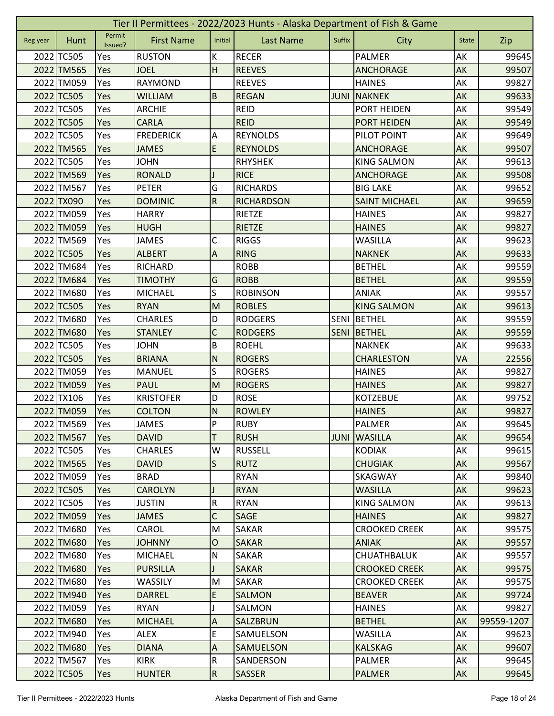|          | Tier II Permittees - 2022/2023 Hunts - Alaska Department of Fish & Game |                   |                   |                           |                   |             |                      |              |            |  |  |  |
|----------|-------------------------------------------------------------------------|-------------------|-------------------|---------------------------|-------------------|-------------|----------------------|--------------|------------|--|--|--|
| Reg year | <b>Hunt</b>                                                             | Permit<br>Issued? | <b>First Name</b> | Initial                   | <b>Last Name</b>  | Suffix      | City                 | <b>State</b> | Zip        |  |  |  |
|          | 2022 TC505                                                              | Yes               | <b>RUSTON</b>     | К                         | <b>RECER</b>      |             | <b>PALMER</b>        | AK           | 99645      |  |  |  |
|          | 2022 TM565                                                              | Yes               | <b>JOEL</b>       | H                         | <b>REEVES</b>     |             | <b>ANCHORAGE</b>     | AK           | 99507      |  |  |  |
|          | 2022 TM059                                                              | Yes               | <b>RAYMOND</b>    |                           | <b>REEVES</b>     |             | <b>HAINES</b>        | AK           | 99827      |  |  |  |
|          | 2022 TC505                                                              | Yes               | <b>WILLIAM</b>    | $\overline{B}$            | <b>REGAN</b>      | <b>JUNI</b> | <b>NAKNEK</b>        | AK           | 99633      |  |  |  |
|          | 2022 TC505                                                              | Yes               | <b>ARCHIE</b>     |                           | <b>REID</b>       |             | <b>PORT HEIDEN</b>   | AK           | 99549      |  |  |  |
|          | 2022 TC505                                                              | Yes               | <b>CARLA</b>      |                           | <b>REID</b>       |             | PORT HEIDEN          | AK           | 99549      |  |  |  |
|          | 2022 TC505                                                              | Yes               | <b>FREDERICK</b>  | A                         | <b>REYNOLDS</b>   |             | PILOT POINT          | AK           | 99649      |  |  |  |
|          | 2022 TM565                                                              | Yes               | <b>JAMES</b>      | $\mathsf E$               | <b>REYNOLDS</b>   |             | <b>ANCHORAGE</b>     | AK           | 99507      |  |  |  |
|          | 2022 TC505                                                              | Yes               | <b>JOHN</b>       |                           | <b>RHYSHEK</b>    |             | <b>KING SALMON</b>   | AK           | 99613      |  |  |  |
|          | 2022 TM569                                                              | Yes               | <b>RONALD</b>     |                           | <b>RICE</b>       |             | <b>ANCHORAGE</b>     | AK           | 99508      |  |  |  |
|          | 2022 TM567                                                              | Yes               | <b>PETER</b>      | G                         | <b>RICHARDS</b>   |             | <b>BIG LAKE</b>      | AK           | 99652      |  |  |  |
|          | 2022 TX090                                                              | Yes               | <b>DOMINIC</b>    | ${\sf R}$                 | <b>RICHARDSON</b> |             | <b>SAINT MICHAEL</b> | AK           | 99659      |  |  |  |
|          | 2022 TM059                                                              | Yes               | <b>HARRY</b>      |                           | RIETZE            |             | <b>HAINES</b>        | AK           | 99827      |  |  |  |
|          | 2022 TM059                                                              | Yes               | <b>HUGH</b>       |                           | <b>RIETZE</b>     |             | <b>HAINES</b>        | AK           | 99827      |  |  |  |
|          | 2022 TM569                                                              | Yes               | <b>JAMES</b>      | С                         | <b>RIGGS</b>      |             | WASILLA              | AK           | 99623      |  |  |  |
|          | 2022 TC505                                                              | Yes               | <b>ALBERT</b>     | $\overline{A}$            | <b>RING</b>       |             | <b>NAKNEK</b>        | AK           | 99633      |  |  |  |
|          | 2022 TM684                                                              | Yes               | <b>RICHARD</b>    |                           | <b>ROBB</b>       |             | <b>BETHEL</b>        | AK           | 99559      |  |  |  |
|          | 2022 TM684                                                              | Yes               | <b>TIMOTHY</b>    | G                         | <b>ROBB</b>       |             | <b>BETHEL</b>        | AK           | 99559      |  |  |  |
|          | 2022 TM680                                                              | Yes               | <b>MICHAEL</b>    | S                         | <b>ROBINSON</b>   |             | <b>ANIAK</b>         | AK           | 99557      |  |  |  |
|          | 2022 TC505                                                              | Yes               | <b>RYAN</b>       | M                         | <b>ROBLES</b>     |             | <b>KING SALMON</b>   | AK           | 99613      |  |  |  |
|          | 2022 TM680                                                              | Yes               | <b>CHARLES</b>    | D                         | <b>RODGERS</b>    |             | SENI BETHEL          | AK           | 99559      |  |  |  |
|          | 2022 TM680                                                              | Yes               | <b>STANLEY</b>    | C                         | <b>RODGERS</b>    | <b>SENI</b> | BETHEL               | AK           | 99559      |  |  |  |
|          | 2022 TC505                                                              | Yes               | <b>JOHN</b>       | B                         | <b>ROEHL</b>      |             | <b>NAKNEK</b>        | AK           | 99633      |  |  |  |
|          | 2022 TC505                                                              | Yes               | <b>BRIANA</b>     | N                         | <b>ROGERS</b>     |             | <b>CHARLESTON</b>    | VA           | 22556      |  |  |  |
|          | 2022 TM059                                                              | Yes               | <b>MANUEL</b>     | S                         | <b>ROGERS</b>     |             | <b>HAINES</b>        | АK           | 99827      |  |  |  |
|          | 2022 TM059                                                              | Yes               | <b>PAUL</b>       | M                         | <b>ROGERS</b>     |             | <b>HAINES</b>        | AK           | 99827      |  |  |  |
|          | 2022 TX106                                                              | Yes               | <b>KRISTOFER</b>  | D                         | <b>ROSE</b>       |             | <b>KOTZEBUE</b>      | AK           | 99752      |  |  |  |
|          | 2022 TM059                                                              | Yes               | <b>COLTON</b>     | N                         | <b>ROWLEY</b>     |             | <b>HAINES</b>        | AK           | 99827      |  |  |  |
|          | 2022 TM569                                                              | Yes               | JAMES             | $\overline{a}$            | <b>RUBY</b>       |             | <b>PALMER</b>        | AK           | 99645      |  |  |  |
|          | 2022 TM567                                                              | <b>Yes</b>        | <b>DAVID</b>      | T                         | <b>RUSH</b>       | <b>JUNI</b> | <b>WASILLA</b>       | AK           | 99654      |  |  |  |
|          | 2022 TC505                                                              | Yes               | <b>CHARLES</b>    | W                         | <b>RUSSELL</b>    |             | <b>KODIAK</b>        | AK           | 99615      |  |  |  |
|          | 2022 TM565                                                              | Yes               | <b>DAVID</b>      | S                         | <b>RUTZ</b>       |             | <b>CHUGIAK</b>       | AK           | 99567      |  |  |  |
|          | 2022 TM059                                                              | Yes               | <b>BRAD</b>       |                           | <b>RYAN</b>       |             | SKAGWAY              | AK           | 99840      |  |  |  |
|          | 2022 TC505                                                              | Yes               | <b>CAROLYN</b>    |                           | <b>RYAN</b>       |             | <b>WASILLA</b>       | AK           | 99623      |  |  |  |
|          | 2022 TC505                                                              | Yes               | <b>JUSTIN</b>     | ${\sf R}$                 | <b>RYAN</b>       |             | <b>KING SALMON</b>   | AK           | 99613      |  |  |  |
|          | 2022 TM059                                                              | Yes               | <b>JAMES</b>      | $\mathsf C$               | SAGE              |             | <b>HAINES</b>        | <b>AK</b>    | 99827      |  |  |  |
|          | 2022 TM680                                                              | Yes               | CAROL             | M                         | <b>SAKAR</b>      |             | <b>CROOKED CREEK</b> | AK           | 99575      |  |  |  |
|          | 2022 TM680                                                              | Yes               | <b>JOHNNY</b>     | $\mathsf O$               | <b>SAKAR</b>      |             | <b>ANIAK</b>         | AK           | 99557      |  |  |  |
|          | 2022 TM680                                                              | Yes               | <b>MICHAEL</b>    | ${\sf N}$                 | SAKAR             |             | <b>CHUATHBALUK</b>   | AK           | 99557      |  |  |  |
|          | 2022 TM680                                                              | Yes               | <b>PURSILLA</b>   |                           | <b>SAKAR</b>      |             | <b>CROOKED CREEK</b> | AK           | 99575      |  |  |  |
|          | 2022 TM680                                                              | Yes               | <b>WASSILY</b>    | M                         | SAKAR             |             | <b>CROOKED CREEK</b> | AK           | 99575      |  |  |  |
|          | 2022 TM940                                                              | Yes               | <b>DARREL</b>     | E                         | <b>SALMON</b>     |             | <b>BEAVER</b>        | AK           | 99724      |  |  |  |
|          | 2022 TM059                                                              | Yes               | <b>RYAN</b>       | J                         | SALMON            |             | <b>HAINES</b>        | AK           | 99827      |  |  |  |
|          | 2022 TM680                                                              | Yes               | <b>MICHAEL</b>    | $\boldsymbol{\mathsf{A}}$ | SALZBRUN          |             | <b>BETHEL</b>        | AK           | 99559-1207 |  |  |  |
|          | 2022 TM940                                                              | Yes               | <b>ALEX</b>       | E                         | SAMUELSON         |             | <b>WASILLA</b>       | AK           | 99623      |  |  |  |
|          | 2022 TM680                                                              | Yes               | <b>DIANA</b>      | $\overline{A}$            | SAMUELSON         |             | <b>KALSKAG</b>       | AK           | 99607      |  |  |  |
|          | 2022 TM567                                                              | Yes               | <b>KIRK</b>       | $\overline{\mathsf{R}}$   | SANDERSON         |             | PALMER               | AK           | 99645      |  |  |  |
|          | 2022 TC505                                                              | Yes               | <b>HUNTER</b>     | R                         | <b>SASSER</b>     |             | <b>PALMER</b>        | AK           | 99645      |  |  |  |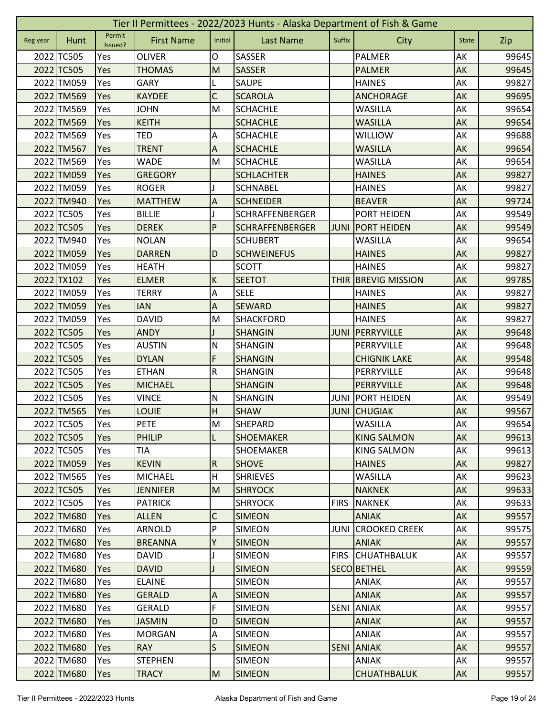|          | Tier II Permittees - 2022/2023 Hunts - Alaska Department of Fish & Game |                   |                   |                |                        |             |                       |              |       |  |  |
|----------|-------------------------------------------------------------------------|-------------------|-------------------|----------------|------------------------|-------------|-----------------------|--------------|-------|--|--|
| Reg year | Hunt                                                                    | Permit<br>Issued? | <b>First Name</b> | Initial        | <b>Last Name</b>       | Suffix      | City                  | <b>State</b> | Zip   |  |  |
|          | 2022 TC505                                                              | Yes               | <b>OLIVER</b>     | O              | <b>SASSER</b>          |             | <b>PALMER</b>         | AK           | 99645 |  |  |
|          | 2022 TC505                                                              | Yes               | <b>THOMAS</b>     | M              | <b>SASSER</b>          |             | <b>PALMER</b>         | AK           | 99645 |  |  |
|          | 2022 TM059                                                              | Yes               | <b>GARY</b>       |                | <b>SAUPE</b>           |             | <b>HAINES</b>         | АK           | 99827 |  |  |
|          | 2022 TM569                                                              | Yes               | <b>KAYDEE</b>     | $\mathsf{C}$   | <b>SCAROLA</b>         |             | <b>ANCHORAGE</b>      | AK           | 99695 |  |  |
|          | 2022 TM569                                                              | Yes               | <b>JOHN</b>       | M              | <b>SCHACHLE</b>        |             | <b>WASILLA</b>        | AK           | 99654 |  |  |
|          | 2022 TM569                                                              | Yes               | <b>KEITH</b>      |                | <b>SCHACHLE</b>        |             | <b>WASILLA</b>        | AK           | 99654 |  |  |
|          | 2022 TM569                                                              | Yes               | <b>TED</b>        | Α              | <b>SCHACHLE</b>        |             | <b>WILLIOW</b>        | AK           | 99688 |  |  |
|          | 2022 TM567                                                              | Yes               | <b>TRENT</b>      | $\overline{A}$ | <b>SCHACHLE</b>        |             | <b>WASILLA</b>        | AK           | 99654 |  |  |
|          | 2022 TM569                                                              | Yes               | <b>WADE</b>       | M              | <b>SCHACHLE</b>        |             | <b>WASILLA</b>        | AK           | 99654 |  |  |
|          | 2022 TM059                                                              | Yes               | <b>GREGORY</b>    |                | <b>SCHLACHTER</b>      |             | <b>HAINES</b>         | AK           | 99827 |  |  |
|          | 2022 TM059                                                              | Yes               | <b>ROGER</b>      |                | <b>SCHNABEL</b>        |             | <b>HAINES</b>         | AK           | 99827 |  |  |
|          | 2022 TM940                                                              | Yes               | <b>MATTHEW</b>    | $\overline{A}$ | <b>SCHNEIDER</b>       |             | <b>BEAVER</b>         | AK           | 99724 |  |  |
|          | 2022 TC505                                                              | Yes               | <b>BILLIE</b>     |                | <b>SCHRAFFENBERGER</b> |             | PORT HEIDEN           | AK           | 99549 |  |  |
|          | 2022 TC505                                                              | Yes               | <b>DEREK</b>      | P              | <b>SCHRAFFENBERGER</b> | <b>JUNI</b> | <b>PORT HEIDEN</b>    | AK           | 99549 |  |  |
|          | 2022 TM940                                                              | Yes               | <b>NOLAN</b>      |                | <b>SCHUBERT</b>        |             | <b>WASILLA</b>        | AK           | 99654 |  |  |
|          | 2022 TM059                                                              | Yes               | <b>DARREN</b>     | D              | <b>SCHWEINEFUS</b>     |             | <b>HAINES</b>         | AK           | 99827 |  |  |
|          | 2022 TM059                                                              | Yes               | <b>HEATH</b>      |                | <b>SCOTT</b>           |             | <b>HAINES</b>         | AK           | 99827 |  |  |
|          | 2022 TX102                                                              | Yes               | <b>ELMER</b>      | K              | <b>SEETOT</b>          | <b>THIR</b> | <b>BREVIG MISSION</b> | AK           | 99785 |  |  |
|          | 2022 TM059                                                              | Yes               | <b>TERRY</b>      | A              | <b>SELE</b>            |             | <b>HAINES</b>         | AK           | 99827 |  |  |
|          | 2022 TM059                                                              | Yes               | <b>IAN</b>        | A              | <b>SEWARD</b>          |             | <b>HAINES</b>         | AK           | 99827 |  |  |
|          | 2022 TM059                                                              | Yes               | <b>DAVID</b>      | M              | <b>SHACKFORD</b>       |             | <b>HAINES</b>         | AK           | 99827 |  |  |
|          | 2022 TC505                                                              | Yes               | <b>ANDY</b>       |                | <b>SHANGIN</b>         | <b>JUNI</b> | PERRYVILLE            | AK           | 99648 |  |  |
|          | 2022 TC505                                                              | Yes               | <b>AUSTIN</b>     | $\mathsf{N}$   | <b>SHANGIN</b>         |             | PERRYVILLE            | АK           | 99648 |  |  |
|          | 2022 TC505                                                              | Yes               | <b>DYLAN</b>      | F              | <b>SHANGIN</b>         |             | <b>CHIGNIK LAKE</b>   | AK           | 99548 |  |  |
|          | 2022 TC505                                                              | Yes               | <b>ETHAN</b>      | ${\sf R}$      | SHANGIN                |             | PERRYVILLE            | AK           | 99648 |  |  |
|          | 2022 TC505                                                              | Yes               | <b>MICHAEL</b>    |                | <b>SHANGIN</b>         |             | PERRYVILLE            | AK           | 99648 |  |  |
|          | 2022 TC505                                                              | Yes               | <b>VINCE</b>      | N              | <b>SHANGIN</b>         | <b>JUNI</b> | <b>PORT HEIDEN</b>    | AK           | 99549 |  |  |
|          | 2022 TM565                                                              | Yes               | <b>LOUIE</b>      | H              | <b>SHAW</b>            |             | <b>JUNI CHUGIAK</b>   | AK           | 99567 |  |  |
|          | 2022 TC505                                                              | Yes               | <b>PETE</b>       | M              | <b>SHEPARD</b>         |             | WASILLA               | AK           | 99654 |  |  |
|          | 2022 TC505                                                              | Yes               | <b>PHILIP</b>     | L              | <b>SHOEMAKER</b>       |             | <b>KING SALMON</b>    | AK           | 99613 |  |  |
|          | 2022 TC505                                                              | Yes               | <b>TIA</b>        |                | <b>SHOEMAKER</b>       |             | <b>KING SALMON</b>    | AK           | 99613 |  |  |
|          | 2022 TM059                                                              | Yes               | <b>KEVIN</b>      | ${\sf R}$      | <b>SHOVE</b>           |             | <b>HAINES</b>         | AK           | 99827 |  |  |
|          | 2022 TM565                                                              | Yes               | MICHAEL           | H              | <b>SHRIEVES</b>        |             | <b>WASILLA</b>        | AK           | 99623 |  |  |
|          | 2022 TC505                                                              | Yes               | <b>JENNIFER</b>   | M              | <b>SHRYOCK</b>         |             | <b>NAKNEK</b>         | AK           | 99633 |  |  |
|          | 2022 TC505                                                              | Yes               | <b>PATRICK</b>    |                | <b>SHRYOCK</b>         | <b>FIRS</b> | <b>NAKNEK</b>         | AK           | 99633 |  |  |
|          | 2022 TM680                                                              | Yes               | <b>ALLEN</b>      | $\mathsf C$    | <b>SIMEON</b>          |             | <b>ANIAK</b>          | <b>AK</b>    | 99557 |  |  |
|          | 2022 TM680                                                              | Yes               | ARNOLD            | P              | <b>SIMEON</b>          | <b>JUNI</b> | <b>CROOKED CREEK</b>  | AK           | 99575 |  |  |
|          | 2022 TM680                                                              | Yes               | <b>BREANNA</b>    | Y              | <b>SIMEON</b>          |             | <b>ANIAK</b>          | AK           | 99557 |  |  |
|          | 2022 TM680                                                              | Yes               | <b>DAVID</b>      |                | <b>SIMEON</b>          | <b>FIRS</b> | ICHUATHBALUK          | AK           | 99557 |  |  |
|          | 2022 TM680                                                              | Yes               | <b>DAVID</b>      |                | <b>SIMEON</b>          |             | <b>SECO BETHEL</b>    | AK           | 99559 |  |  |
|          | 2022 TM680                                                              | Yes               | <b>ELAINE</b>     |                | <b>SIMEON</b>          |             | <b>ANIAK</b>          | AK           | 99557 |  |  |
|          | 2022 TM680                                                              | Yes               | <b>GERALD</b>     | $\overline{A}$ | <b>SIMEON</b>          |             | <b>ANIAK</b>          | AK           | 99557 |  |  |
|          | 2022 TM680                                                              | Yes               | <b>GERALD</b>     | F              | <b>SIMEON</b>          | <b>SENI</b> | <b>ANIAK</b>          | AK           | 99557 |  |  |
|          | 2022 TM680                                                              | <b>Yes</b>        | <b>JASMIN</b>     | D              | <b>SIMEON</b>          |             | <b>ANIAK</b>          | AK           | 99557 |  |  |
|          | 2022 TM680                                                              | Yes               | <b>MORGAN</b>     | $\overline{A}$ | <b>SIMEON</b>          |             | <b>ANIAK</b>          | AK           | 99557 |  |  |
|          | 2022 TM680                                                              | <b>Yes</b>        | <b>RAY</b>        | S              | <b>SIMEON</b>          | <b>SENI</b> | <b>ANIAK</b>          | AK           | 99557 |  |  |
|          | 2022 TM680                                                              | Yes               | <b>STEPHEN</b>    |                | <b>SIMEON</b>          |             | ANIAK                 | AK           | 99557 |  |  |
|          | 2022 TM680                                                              | Yes               | <b>TRACY</b>      | M              | <b>SIMEON</b>          |             | <b>CHUATHBALUK</b>    | AK           | 99557 |  |  |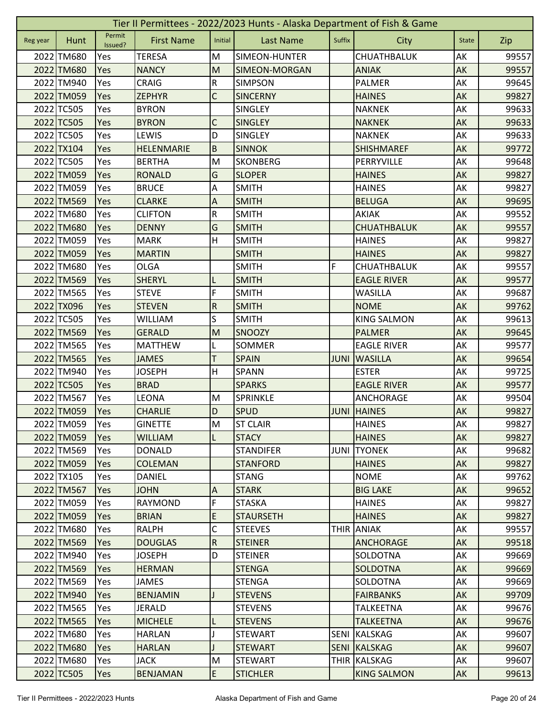|          | Tier II Permittees - 2022/2023 Hunts - Alaska Department of Fish & Game |                   |                   |                           |                      |             |                    |              |       |  |  |  |
|----------|-------------------------------------------------------------------------|-------------------|-------------------|---------------------------|----------------------|-------------|--------------------|--------------|-------|--|--|--|
| Reg year | Hunt                                                                    | Permit<br>Issued? | <b>First Name</b> | Initial                   | <b>Last Name</b>     | Suffix      | City               | <b>State</b> | Zip   |  |  |  |
|          | 2022 TM680                                                              | Yes               | <b>TERESA</b>     | M                         | SIMEON-HUNTER        |             | CHUATHBALUK        | AK           | 99557 |  |  |  |
|          | 2022 TM680                                                              | Yes               | <b>NANCY</b>      | M                         | <b>SIMEON-MORGAN</b> |             | <b>ANIAK</b>       | AK           | 99557 |  |  |  |
|          | 2022 TM940                                                              | Yes               | <b>CRAIG</b>      | ${\sf R}$                 | <b>SIMPSON</b>       |             | PALMER             | AK           | 99645 |  |  |  |
|          | 2022 TM059                                                              | Yes               | <b>ZEPHYR</b>     | $\mathsf C$               | <b>SINCERNY</b>      |             | <b>HAINES</b>      | AK           | 99827 |  |  |  |
|          | 2022 TC505                                                              | Yes               | <b>BYRON</b>      |                           | <b>SINGLEY</b>       |             | <b>NAKNEK</b>      | AK           | 99633 |  |  |  |
|          | 2022 TC505                                                              | Yes               | <b>BYRON</b>      | C                         | <b>SINGLEY</b>       |             | <b>NAKNEK</b>      | AK           | 99633 |  |  |  |
|          | 2022 TC505                                                              | Yes               | LEWIS             | D                         | SINGLEY              |             | <b>NAKNEK</b>      | AK           | 99633 |  |  |  |
|          | 2022 TX104                                                              | Yes               | HELENMARIE        | $\sf B$                   | <b>SINNOK</b>        |             | <b>SHISHMAREF</b>  | AK           | 99772 |  |  |  |
|          | 2022 TC505                                                              | Yes               | <b>BERTHA</b>     | M                         | <b>SKONBERG</b>      |             | PERRYVILLE         | AK           | 99648 |  |  |  |
|          | 2022 TM059                                                              | Yes               | <b>RONALD</b>     | G                         | <b>SLOPER</b>        |             | <b>HAINES</b>      | AK           | 99827 |  |  |  |
|          | 2022 TM059                                                              | Yes               | <b>BRUCE</b>      | Α                         | <b>SMITH</b>         |             | <b>HAINES</b>      | AK           | 99827 |  |  |  |
|          | 2022 TM569                                                              | Yes               | <b>CLARKE</b>     | A                         | <b>SMITH</b>         |             | <b>BELUGA</b>      | AK           | 99695 |  |  |  |
|          | 2022 TM680                                                              | Yes               | <b>CLIFTON</b>    | ${\sf R}$                 | <b>SMITH</b>         |             | AKIAK              | AK           | 99552 |  |  |  |
|          | 2022 TM680                                                              | Yes               | <b>DENNY</b>      | G                         | <b>SMITH</b>         |             | <b>CHUATHBALUK</b> | AK           | 99557 |  |  |  |
|          | 2022 TM059                                                              | Yes               | <b>MARK</b>       | H                         | <b>SMITH</b>         |             | <b>HAINES</b>      | AK           | 99827 |  |  |  |
|          | 2022 TM059                                                              | Yes               | <b>MARTIN</b>     |                           | <b>SMITH</b>         |             | <b>HAINES</b>      | AK           | 99827 |  |  |  |
|          | 2022 TM680                                                              | Yes               | <b>OLGA</b>       |                           | <b>SMITH</b>         | F           | CHUATHBALUK        | AK           | 99557 |  |  |  |
|          | 2022 TM569                                                              | Yes               | <b>SHERYL</b>     | L                         | <b>SMITH</b>         |             | <b>EAGLE RIVER</b> | AK           | 99577 |  |  |  |
|          | 2022 TM565                                                              | Yes               | <b>STEVE</b>      | F                         | <b>SMITH</b>         |             | <b>WASILLA</b>     | AK           | 99687 |  |  |  |
|          | 2022 TX096                                                              | Yes               | <b>STEVEN</b>     | ${\sf R}$                 | <b>SMITH</b>         |             | <b>NOME</b>        | AK           | 99762 |  |  |  |
|          | 2022 TC505                                                              | Yes               | <b>WILLIAM</b>    | S                         | <b>SMITH</b>         |             | <b>KING SALMON</b> | AK           | 99613 |  |  |  |
|          | 2022 TM569                                                              | Yes               | <b>GERALD</b>     | M                         | <b>SNOOZY</b>        |             | <b>PALMER</b>      | AK           | 99645 |  |  |  |
|          | 2022 TM565                                                              | Yes               | <b>MATTHEW</b>    |                           | SOMMER               |             | <b>EAGLE RIVER</b> | AK           | 99577 |  |  |  |
|          | 2022 TM565                                                              | Yes               | <b>JAMES</b>      | T                         | <b>SPAIN</b>         | <b>JUNI</b> | <b>WASILLA</b>     | AK           | 99654 |  |  |  |
|          | 2022 TM940                                                              | Yes               | <b>JOSEPH</b>     | H                         | <b>SPANN</b>         |             | <b>ESTER</b>       | АK           | 99725 |  |  |  |
|          | 2022 TC505                                                              | Yes               | <b>BRAD</b>       |                           | <b>SPARKS</b>        |             | <b>EAGLE RIVER</b> | AK           | 99577 |  |  |  |
|          | 2022 TM567                                                              | Yes               | LEONA             | M                         | SPRINKLE             |             | ANCHORAGE          | AK           | 99504 |  |  |  |
|          | 2022 TM059                                                              | Yes               | <b>CHARLIE</b>    | D                         | <b>SPUD</b>          |             | <b>JUNI HAINES</b> | AK           | 99827 |  |  |  |
|          | 2022 TM059                                                              | Yes               | <b>GINETTE</b>    | ${\sf M}$                 | <b>ST CLAIR</b>      |             | <b>HAINES</b>      | AK           | 99827 |  |  |  |
|          | 2022 TM059                                                              | <b>Yes</b>        | <b>WILLIAM</b>    | L                         | <b>STACY</b>         |             | <b>HAINES</b>      | AK           | 99827 |  |  |  |
|          | 2022 TM569                                                              | Yes               | <b>DONALD</b>     |                           | <b>STANDIFER</b>     | JUNI        | <b>TYONEK</b>      | AK           | 99682 |  |  |  |
|          | 2022 TM059                                                              | Yes               | <b>COLEMAN</b>    |                           | <b>STANFORD</b>      |             | <b>HAINES</b>      | AK           | 99827 |  |  |  |
|          | 2022 TX105                                                              | Yes               | <b>DANIEL</b>     |                           | <b>STANG</b>         |             | <b>NOME</b>        | AK           | 99762 |  |  |  |
|          | 2022 TM567                                                              | Yes               | <b>JOHN</b>       | $\boldsymbol{\mathsf{A}}$ | <b>STARK</b>         |             | <b>BIG LAKE</b>    | AK           | 99652 |  |  |  |
|          | 2022 TM059                                                              | Yes               | <b>RAYMOND</b>    | F                         | <b>STASKA</b>        |             | <b>HAINES</b>      | AK           | 99827 |  |  |  |
|          | 2022 TM059                                                              | <b>Yes</b>        | <b>BRIAN</b>      | $\mathsf E$               | <b>STAURSETH</b>     |             | <b>HAINES</b>      | <b>AK</b>    | 99827 |  |  |  |
|          | 2022 TM680                                                              | Yes               | <b>RALPH</b>      | C                         | <b>STEEVES</b>       | <b>THIR</b> | <b>ANIAK</b>       | AK           | 99557 |  |  |  |
|          | 2022 TM569                                                              | Yes               | <b>DOUGLAS</b>    | ${\sf R}$                 | <b>STEINER</b>       |             | <b>ANCHORAGE</b>   | AK           | 99518 |  |  |  |
|          | 2022 TM940                                                              | Yes               | <b>JOSEPH</b>     | D                         | <b>STEINER</b>       |             | SOLDOTNA           | AK           | 99669 |  |  |  |
|          | 2022 TM569                                                              | Yes               | <b>HERMAN</b>     |                           | <b>STENGA</b>        |             | <b>SOLDOTNA</b>    | AK           | 99669 |  |  |  |
|          | 2022 TM569                                                              | Yes               | <b>JAMES</b>      |                           | <b>STENGA</b>        |             | SOLDOTNA           | AK           | 99669 |  |  |  |
|          | 2022 TM940                                                              | Yes               | <b>BENJAMIN</b>   |                           | <b>STEVENS</b>       |             | <b>FAIRBANKS</b>   | AK           | 99709 |  |  |  |
|          | 2022 TM565                                                              | Yes               | <b>JERALD</b>     |                           | <b>STEVENS</b>       |             | <b>TALKEETNA</b>   | AK           | 99676 |  |  |  |
|          | 2022 TM565                                                              | Yes               | <b>MICHELE</b>    | L                         | <b>STEVENS</b>       |             | <b>TALKEETNA</b>   | AK           | 99676 |  |  |  |
|          | 2022 TM680                                                              | Yes               | <b>HARLAN</b>     |                           | <b>STEWART</b>       | <b>SENI</b> | <b>KALSKAG</b>     | AK           | 99607 |  |  |  |
|          | 2022 TM680                                                              | Yes               | <b>HARLAN</b>     |                           | <b>STEWART</b>       | <b>SENI</b> | KALSKAG            | AK           | 99607 |  |  |  |
|          | 2022 TM680                                                              | Yes               | <b>JACK</b>       | M                         | <b>STEWART</b>       |             | THIR KALSKAG       | AK           | 99607 |  |  |  |
|          | 2022 TC505                                                              | Yes               | <b>BENJAMAN</b>   | E                         | <b>STICHLER</b>      |             | <b>KING SALMON</b> | AK           | 99613 |  |  |  |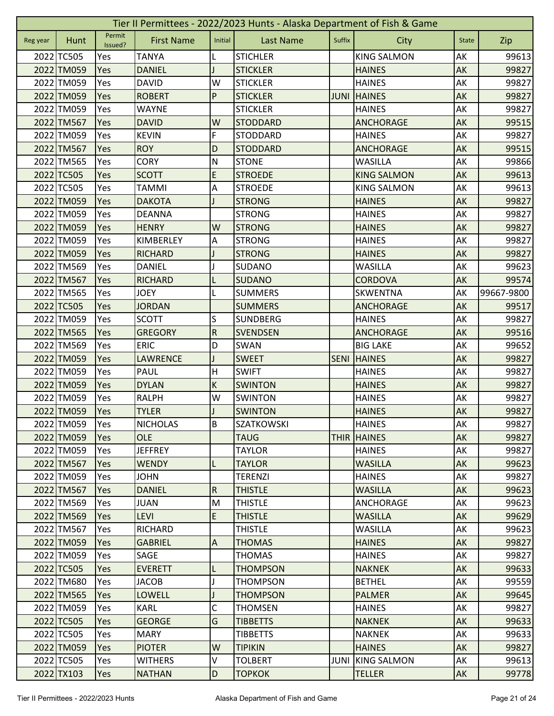|          | Tier II Permittees - 2022/2023 Hunts - Alaska Department of Fish & Game |                   |                   |                |                   |             |                    |              |            |  |  |
|----------|-------------------------------------------------------------------------|-------------------|-------------------|----------------|-------------------|-------------|--------------------|--------------|------------|--|--|
| Reg year | Hunt                                                                    | Permit<br>Issued? | <b>First Name</b> | Initial        | <b>Last Name</b>  | Suffix      | City               | <b>State</b> | Zip        |  |  |
|          | 2022 TC505                                                              | Yes               | <b>TANYA</b>      | L              | <b>STICHLER</b>   |             | <b>KING SALMON</b> | AK           | 99613      |  |  |
|          | 2022 TM059                                                              | Yes               | <b>DANIEL</b>     |                | <b>STICKLER</b>   |             | <b>HAINES</b>      | AK           | 99827      |  |  |
|          | 2022 TM059                                                              | Yes               | <b>DAVID</b>      | W              | <b>STICKLER</b>   |             | <b>HAINES</b>      | AK           | 99827      |  |  |
|          | 2022 TM059                                                              | Yes               | <b>ROBERT</b>     | P              | <b>STICKLER</b>   | <b>JUNI</b> | <b>HAINES</b>      | AK           | 99827      |  |  |
|          | 2022 TM059                                                              | Yes               | <b>WAYNE</b>      |                | <b>STICKLER</b>   |             | <b>HAINES</b>      | AK           | 99827      |  |  |
|          | 2022 TM567                                                              | Yes               | <b>DAVID</b>      | W              | <b>STODDARD</b>   |             | <b>ANCHORAGE</b>   | AK           | 99515      |  |  |
|          | 2022 TM059                                                              | Yes               | <b>KEVIN</b>      | F              | STODDARD          |             | <b>HAINES</b>      | AK           | 99827      |  |  |
|          | 2022 TM567                                                              | Yes               | <b>ROY</b>        | D              | <b>STODDARD</b>   |             | <b>ANCHORAGE</b>   | AK           | 99515      |  |  |
|          | 2022 TM565                                                              | Yes               | <b>CORY</b>       | $\mathsf{N}$   | <b>STONE</b>      |             | <b>WASILLA</b>     | AK           | 99866      |  |  |
|          | 2022 TC505                                                              | Yes               | <b>SCOTT</b>      | E              | <b>STROEDE</b>    |             | <b>KING SALMON</b> | AK           | 99613      |  |  |
|          | 2022 TC505                                                              | Yes               | <b>TAMMI</b>      | Α              | <b>STROEDE</b>    |             | <b>KING SALMON</b> | AK           | 99613      |  |  |
|          | 2022 TM059                                                              | Yes               | <b>DAKOTA</b>     |                | <b>STRONG</b>     |             | <b>HAINES</b>      | AK           | 99827      |  |  |
|          | 2022 TM059                                                              | Yes               | <b>DEANNA</b>     |                | <b>STRONG</b>     |             | <b>HAINES</b>      | AK           | 99827      |  |  |
|          | 2022 TM059                                                              | Yes               | <b>HENRY</b>      | W              | <b>STRONG</b>     |             | <b>HAINES</b>      | AK           | 99827      |  |  |
|          | 2022 TM059                                                              | Yes               | KIMBERLEY         | Α              | <b>STRONG</b>     |             | <b>HAINES</b>      | AK           | 99827      |  |  |
|          | 2022 TM059                                                              | Yes               | <b>RICHARD</b>    |                | <b>STRONG</b>     |             | <b>HAINES</b>      | AK           | 99827      |  |  |
|          | 2022 TM569                                                              | Yes               | <b>DANIEL</b>     |                | <b>SUDANO</b>     |             | <b>WASILLA</b>     | AK           | 99623      |  |  |
|          | 2022 TM567                                                              | Yes               | <b>RICHARD</b>    | L              | <b>SUDANO</b>     |             | <b>CORDOVA</b>     | AK           | 99574      |  |  |
|          | 2022 TM565                                                              | Yes               | <b>JOEY</b>       | L              | <b>SUMMERS</b>    |             | <b>SKWENTNA</b>    | AK           | 99667-9800 |  |  |
|          | 2022 TC505                                                              | Yes               | <b>JORDAN</b>     |                | <b>SUMMERS</b>    |             | <b>ANCHORAGE</b>   | AK           | 99517      |  |  |
|          | 2022 TM059                                                              | Yes               | <b>SCOTT</b>      | S              | <b>SUNDBERG</b>   |             | <b>HAINES</b>      | AK           | 99827      |  |  |
|          | 2022 TM565                                                              | Yes               | <b>GREGORY</b>    | ${\sf R}$      | <b>SVENDSEN</b>   |             | <b>ANCHORAGE</b>   | AK           | 99516      |  |  |
|          | 2022 TM569                                                              | Yes               | <b>ERIC</b>       | D              | SWAN              |             | <b>BIG LAKE</b>    | AK           | 99652      |  |  |
|          | 2022 TM059                                                              | Yes               | <b>LAWRENCE</b>   |                | <b>SWEET</b>      | <b>SENI</b> | <b>HAINES</b>      | AK           | 99827      |  |  |
|          | 2022 TM059                                                              | Yes               | PAUL              | H              | <b>SWIFT</b>      |             | <b>HAINES</b>      | AK           | 99827      |  |  |
|          | 2022 TM059                                                              | Yes               | <b>DYLAN</b>      | $\sf K$        | <b>SWINTON</b>    |             | <b>HAINES</b>      | AK           | 99827      |  |  |
|          | 2022 TM059                                                              | Yes               | <b>RALPH</b>      | W              | <b>SWINTON</b>    |             | <b>HAINES</b>      | AK           | 99827      |  |  |
|          | 2022 TM059                                                              | Yes               | <b>TYLER</b>      |                | <b>SWINTON</b>    |             | <b>HAINES</b>      | AK           | 99827      |  |  |
|          | 2022 TM059                                                              | Yes               | <b>NICHOLAS</b>   | B              | <b>SZATKOWSKI</b> |             | <b>HAINES</b>      | AK           | 99827      |  |  |
|          | 2022 TM059                                                              | Yes               | <b>OLE</b>        |                | <b>TAUG</b>       |             | <b>THIR HAINES</b> | AK           | 99827      |  |  |
|          | 2022 TM059                                                              | Yes               | <b>JEFFREY</b>    |                | <b>TAYLOR</b>     |             | <b>HAINES</b>      | AK           | 99827      |  |  |
|          | 2022 TM567                                                              | Yes               | <b>WENDY</b>      | L              | <b>TAYLOR</b>     |             | <b>WASILLA</b>     | AK           | 99623      |  |  |
|          | 2022 TM059                                                              | Yes               | <b>JOHN</b>       |                | <b>TERENZI</b>    |             | <b>HAINES</b>      | AK           | 99827      |  |  |
|          | 2022 TM567                                                              | Yes               | <b>DANIEL</b>     | ${\sf R}$      | <b>THISTLE</b>    |             | <b>WASILLA</b>     | AK           | 99623      |  |  |
|          | 2022 TM569                                                              | Yes               | <b>JUAN</b>       | M              | <b>THISTLE</b>    |             | ANCHORAGE          | AK           | 99623      |  |  |
|          | 2022 TM569                                                              | Yes               | <b>LEVI</b>       | E              | <b>THISTLE</b>    |             | <b>WASILLA</b>     | AK           | 99629      |  |  |
|          | 2022 TM567                                                              | Yes               | <b>RICHARD</b>    |                | <b>THISTLE</b>    |             | <b>WASILLA</b>     | AK           | 99623      |  |  |
|          | 2022 TM059                                                              | Yes               | <b>GABRIEL</b>    | $\overline{A}$ | <b>THOMAS</b>     |             | <b>HAINES</b>      | AK           | 99827      |  |  |
|          | 2022 TM059                                                              | Yes               | SAGE              |                | <b>THOMAS</b>     |             | <b>HAINES</b>      | AK           | 99827      |  |  |
|          | 2022 TC505                                                              | <b>Yes</b>        | <b>EVERETT</b>    | L              | <b>THOMPSON</b>   |             | <b>NAKNEK</b>      | AK           | 99633      |  |  |
|          | 2022 TM680                                                              | Yes               | <b>JACOB</b>      |                | <b>THOMPSON</b>   |             | <b>BETHEL</b>      | AK           | 99559      |  |  |
|          | 2022 TM565                                                              | Yes               | <b>LOWELL</b>     |                | <b>THOMPSON</b>   |             | <b>PALMER</b>      | AK           | 99645      |  |  |
|          | 2022 TM059                                                              | Yes               | <b>KARL</b>       | С              | <b>THOMSEN</b>    |             | <b>HAINES</b>      | AK           | 99827      |  |  |
|          | 2022 TC505                                                              | <b>Yes</b>        | <b>GEORGE</b>     | G              | <b>TIBBETTS</b>   |             | <b>NAKNEK</b>      | AK           | 99633      |  |  |
|          | 2022 TC505                                                              | Yes               | <b>MARY</b>       |                | <b>TIBBETTS</b>   |             | <b>NAKNEK</b>      | AK           | 99633      |  |  |
|          | 2022 TM059                                                              | Yes               | <b>PIOTER</b>     | W              | <b>TIPIKIN</b>    |             | <b>HAINES</b>      | AK           | 99827      |  |  |
|          | 2022 TC505                                                              | Yes               | <b>WITHERS</b>    | V              | <b>TOLBERT</b>    | <b>JUNI</b> | <b>KING SALMON</b> | AK           | 99613      |  |  |
|          | 2022 TX103                                                              | Yes               | <b>NATHAN</b>     | D              | <b>TOPKOK</b>     |             | <b>TELLER</b>      | <b>AK</b>    | 99778      |  |  |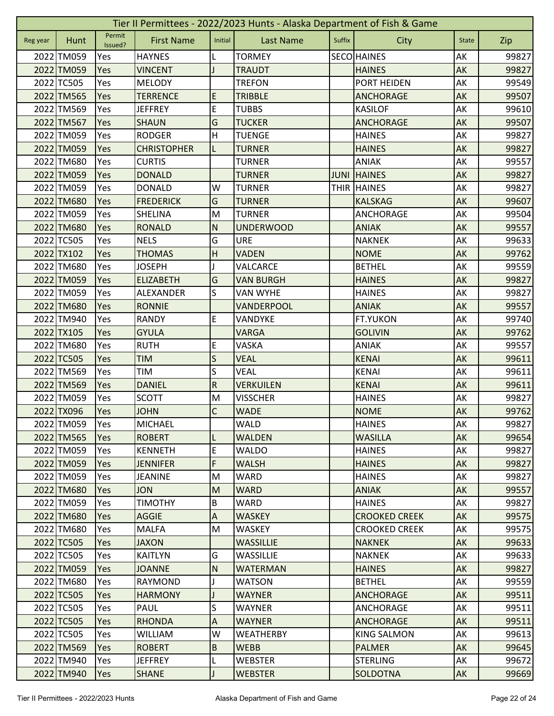|          | Tier II Permittees - 2022/2023 Hunts - Alaska Department of Fish & Game |                   |                    |                           |                  |             |                      |              |       |  |  |  |
|----------|-------------------------------------------------------------------------|-------------------|--------------------|---------------------------|------------------|-------------|----------------------|--------------|-------|--|--|--|
| Reg year | Hunt                                                                    | Permit<br>Issued? | <b>First Name</b>  | Initial                   | <b>Last Name</b> | Suffix      | City                 | <b>State</b> | Zip   |  |  |  |
|          | 2022 TM059                                                              | Yes               | <b>HAYNES</b>      | L                         | <b>TORMEY</b>    |             | <b>SECO HAINES</b>   | AK           | 99827 |  |  |  |
|          | 2022 TM059                                                              | Yes               | <b>VINCENT</b>     |                           | <b>TRAUDT</b>    |             | <b>HAINES</b>        | AK           | 99827 |  |  |  |
|          | 2022 TC505                                                              | Yes               | <b>MELODY</b>      |                           | <b>TREFON</b>    |             | PORT HEIDEN          | AK           | 99549 |  |  |  |
|          | 2022 TM565                                                              | Yes               | <b>TERRENCE</b>    | E                         | <b>TRIBBLE</b>   |             | <b>ANCHORAGE</b>     | AK           | 99507 |  |  |  |
|          | 2022 TM569                                                              | Yes               | <b>JEFFREY</b>     | E                         | <b>TUBBS</b>     |             | <b>KASILOF</b>       | AK           | 99610 |  |  |  |
|          | 2022 TM567                                                              | Yes               | <b>SHAUN</b>       | G                         | <b>TUCKER</b>    |             | <b>ANCHORAGE</b>     | AK           | 99507 |  |  |  |
|          | 2022 TM059                                                              | Yes               | <b>RODGER</b>      | Н                         | <b>TUENGE</b>    |             | <b>HAINES</b>        | AK           | 99827 |  |  |  |
|          | 2022 TM059                                                              | Yes               | <b>CHRISTOPHER</b> | L                         | <b>TURNER</b>    |             | <b>HAINES</b>        | AK           | 99827 |  |  |  |
|          | 2022 TM680                                                              | Yes               | <b>CURTIS</b>      |                           | <b>TURNER</b>    |             | ANIAK                | AK           | 99557 |  |  |  |
|          | 2022 TM059                                                              | Yes               | <b>DONALD</b>      |                           | <b>TURNER</b>    | <b>JUNI</b> | <b>HAINES</b>        | AK           | 99827 |  |  |  |
|          | 2022 TM059                                                              | Yes               | <b>DONALD</b>      | W                         | <b>TURNER</b>    |             | THIR HAINES          | AK           | 99827 |  |  |  |
|          | 2022 TM680                                                              | Yes               | <b>FREDERICK</b>   | G                         | <b>TURNER</b>    |             | <b>KALSKAG</b>       | AK           | 99607 |  |  |  |
|          | 2022 TM059                                                              | Yes               | <b>SHELINA</b>     | M                         | <b>TURNER</b>    |             | <b>ANCHORAGE</b>     | AK           | 99504 |  |  |  |
|          | 2022 TM680                                                              | Yes               | <b>RONALD</b>      | N                         | <b>UNDERWOOD</b> |             | <b>ANIAK</b>         | AK           | 99557 |  |  |  |
|          | 2022 TC505                                                              | Yes               | <b>NELS</b>        | G                         | URE              |             | <b>NAKNEK</b>        | AK           | 99633 |  |  |  |
|          | 2022 TX102                                                              | Yes               | <b>THOMAS</b>      | H                         | <b>VADEN</b>     |             | <b>NOME</b>          | AK           | 99762 |  |  |  |
|          | 2022 TM680                                                              | Yes               | <b>JOSEPH</b>      |                           | VALCARCE         |             | <b>BETHEL</b>        | AK           | 99559 |  |  |  |
|          | 2022 TM059                                                              | Yes               | <b>ELIZABETH</b>   | G                         | <b>VAN BURGH</b> |             | <b>HAINES</b>        | AK           | 99827 |  |  |  |
|          | 2022 TM059                                                              | Yes               | ALEXANDER          | S                         | <b>VAN WYHE</b>  |             | <b>HAINES</b>        | AK           | 99827 |  |  |  |
|          | 2022 TM680                                                              | Yes               | <b>RONNIE</b>      |                           | VANDERPOOL       |             | <b>ANIAK</b>         | AK           | 99557 |  |  |  |
|          | 2022 TM940                                                              | Yes               | <b>RANDY</b>       | E                         | VANDYKE          |             | <b>FT.YUKON</b>      | AK           | 99740 |  |  |  |
|          | 2022 TX105                                                              | Yes               | <b>GYULA</b>       |                           | VARGA            |             | <b>GOLIVIN</b>       | AK           | 99762 |  |  |  |
|          | 2022 TM680                                                              | Yes               | <b>RUTH</b>        | E                         | VASKA            |             | ANIAK                | AK           | 99557 |  |  |  |
|          | 2022 TC505                                                              | Yes               | <b>TIM</b>         | S                         | <b>VEAL</b>      |             | <b>KENAI</b>         | AK           | 99611 |  |  |  |
|          | 2022 TM569                                                              | Yes               | TIM                | S                         | <b>VEAL</b>      |             | <b>KENAI</b>         | AK           | 99611 |  |  |  |
|          | 2022 TM569                                                              | Yes               | <b>DANIEL</b>      | ${\sf R}$                 | <b>VERKUILEN</b> |             | <b>KENAI</b>         | AK           | 99611 |  |  |  |
|          | 2022 TM059                                                              | Yes               | <b>SCOTT</b>       | M                         | <b>VISSCHER</b>  |             | <b>HAINES</b>        | AK           | 99827 |  |  |  |
|          | 2022 TX096                                                              | Yes               | <b>JOHN</b>        | $\mathsf C$               | <b>WADE</b>      |             | <b>NOME</b>          | AK           | 99762 |  |  |  |
|          | 2022 TM059                                                              | Yes               | MICHAEL            |                           | <b>WALD</b>      |             | <b>HAINES</b>        | <b>AK</b>    | 99827 |  |  |  |
|          | 2022 TM565                                                              | Yes               | <b>ROBERT</b>      | L                         | <b>WALDEN</b>    |             | <b>WASILLA</b>       | AK           | 99654 |  |  |  |
|          | 2022 TM059                                                              | Yes               | <b>KENNETH</b>     | E                         | WALDO            |             | <b>HAINES</b>        | AK           | 99827 |  |  |  |
|          | 2022 TM059                                                              | Yes               | <b>JENNIFER</b>    | F                         | <b>WALSH</b>     |             | <b>HAINES</b>        | AK           | 99827 |  |  |  |
|          | 2022 TM059                                                              | Yes               | <b>JEANINE</b>     | M                         | WARD             |             | <b>HAINES</b>        | AK           | 99827 |  |  |  |
|          | 2022 TM680                                                              | Yes               | <b>JON</b>         | M                         | <b>WARD</b>      |             | <b>ANIAK</b>         | AK           | 99557 |  |  |  |
|          | 2022 TM059                                                              | Yes               | <b>TIMOTHY</b>     | B                         | <b>WARD</b>      |             | <b>HAINES</b>        | AK           | 99827 |  |  |  |
|          | 2022 TM680                                                              | Yes               | <b>AGGIE</b>       | $\boldsymbol{\mathsf{A}}$ | <b>WASKEY</b>    |             | <b>CROOKED CREEK</b> | AK           | 99575 |  |  |  |
|          | 2022 TM680                                                              | Yes               | <b>MALFA</b>       | M                         | <b>WASKEY</b>    |             | <b>CROOKED CREEK</b> | AK           | 99575 |  |  |  |
|          | 2022 TC505                                                              | Yes               | <b>JAXON</b>       |                           | <b>WASSILLIE</b> |             | <b>NAKNEK</b>        | AK           | 99633 |  |  |  |
|          | 2022 TC505                                                              | Yes               | <b>KAITLYN</b>     | G                         | WASSILLIE        |             | <b>NAKNEK</b>        | AK           | 99633 |  |  |  |
|          | 2022 TM059                                                              | Yes               | <b>JOANNE</b>      | N                         | <b>WATERMAN</b>  |             | <b>HAINES</b>        | AK           | 99827 |  |  |  |
|          | 2022 TM680                                                              | Yes               | <b>RAYMOND</b>     |                           | WATSON           |             | <b>BETHEL</b>        | AK           | 99559 |  |  |  |
|          | 2022 TC505                                                              | Yes               | <b>HARMONY</b>     |                           | <b>WAYNER</b>    |             | <b>ANCHORAGE</b>     | AK           | 99511 |  |  |  |
|          | 2022 TC505                                                              | Yes               | <b>PAUL</b>        | S                         | WAYNER           |             | ANCHORAGE            | AK           | 99511 |  |  |  |
|          | 2022 TC505                                                              | Yes               | <b>RHONDA</b>      | $\boldsymbol{\mathsf{A}}$ | <b>WAYNER</b>    |             | <b>ANCHORAGE</b>     | AK           | 99511 |  |  |  |
|          | 2022 TC505                                                              | Yes               | <b>WILLIAM</b>     | W                         | <b>WEATHERBY</b> |             | <b>KING SALMON</b>   | AK           | 99613 |  |  |  |
|          | 2022 TM569                                                              | Yes               | <b>ROBERT</b>      | $\sf B$                   | <b>WEBB</b>      |             | <b>PALMER</b>        | AK           | 99645 |  |  |  |
|          | 2022 TM940                                                              | Yes               | <b>JEFFREY</b>     |                           | <b>WEBSTER</b>   |             | <b>STERLING</b>      | AK           | 99672 |  |  |  |
|          | 2022 TM940                                                              |                   |                    |                           |                  |             |                      |              |       |  |  |  |
|          |                                                                         | Yes               | <b>SHANE</b>       | J                         | <b>WEBSTER</b>   |             | SOLDOTNA             | AK           | 99669 |  |  |  |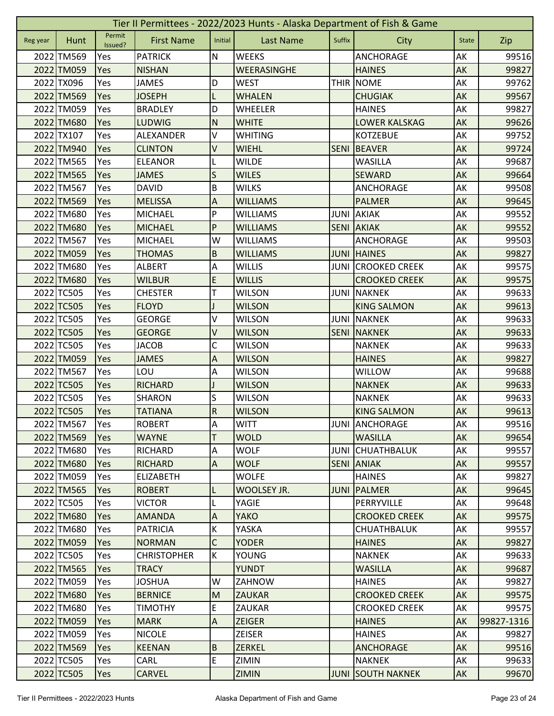|          | Tier II Permittees - 2022/2023 Hunts - Alaska Department of Fish & Game |                   |                    |                           |                    |             |                      |              |            |  |  |  |
|----------|-------------------------------------------------------------------------|-------------------|--------------------|---------------------------|--------------------|-------------|----------------------|--------------|------------|--|--|--|
| Reg year | Hunt                                                                    | Permit<br>Issued? | <b>First Name</b>  | Initial                   | <b>Last Name</b>   | Suffix      | City                 | <b>State</b> | Zip        |  |  |  |
|          | 2022 TM569                                                              | Yes               | <b>PATRICK</b>     | N                         | <b>WEEKS</b>       |             | <b>ANCHORAGE</b>     | AK           | 99516      |  |  |  |
|          | 2022 TM059                                                              | Yes               | <b>NISHAN</b>      |                           | <b>WEERASINGHE</b> |             | <b>HAINES</b>        | AK           | 99827      |  |  |  |
|          | 2022 TX096                                                              | Yes               | <b>JAMES</b>       | D                         | <b>WEST</b>        |             | THIR NOME            | AK           | 99762      |  |  |  |
|          | 2022 TM569                                                              | Yes               | <b>JOSEPH</b>      | L                         | <b>WHALEN</b>      |             | <b>CHUGIAK</b>       | AK           | 99567      |  |  |  |
|          | 2022 TM059                                                              | Yes               | <b>BRADLEY</b>     | D                         | <b>WHEELER</b>     |             | <b>HAINES</b>        | AK           | 99827      |  |  |  |
|          | 2022 TM680                                                              | Yes               | <b>LUDWIG</b>      | ${\sf N}$                 | <b>WHITE</b>       |             | <b>LOWER KALSKAG</b> | AK           | 99626      |  |  |  |
|          | 2022 TX107                                                              | Yes               | ALEXANDER          | V                         | <b>WHITING</b>     |             | <b>KOTZEBUE</b>      | AK           | 99752      |  |  |  |
|          | 2022 TM940                                                              | Yes               | <b>CLINTON</b>     | V                         | <b>WIEHL</b>       | <b>SENI</b> | <b>BEAVER</b>        | AK           | 99724      |  |  |  |
|          | 2022 TM565                                                              | Yes               | <b>ELEANOR</b>     |                           | <b>WILDE</b>       |             | <b>WASILLA</b>       | AK           | 99687      |  |  |  |
|          | 2022 TM565                                                              | Yes               | <b>JAMES</b>       | S                         | <b>WILES</b>       |             | <b>SEWARD</b>        | AK           | 99664      |  |  |  |
|          | 2022 TM567                                                              | Yes               | <b>DAVID</b>       | B                         | <b>WILKS</b>       |             | <b>ANCHORAGE</b>     | AK           | 99508      |  |  |  |
|          | 2022 TM569                                                              | Yes               | <b>MELISSA</b>     | A                         | <b>WILLIAMS</b>    |             | <b>PALMER</b>        | AK           | 99645      |  |  |  |
|          | 2022 TM680                                                              | Yes               | <b>MICHAEL</b>     | P                         | <b>WILLIAMS</b>    | <b>JUNI</b> | <b>AKIAK</b>         | AK           | 99552      |  |  |  |
|          | 2022 TM680                                                              | Yes               | <b>MICHAEL</b>     | P                         | <b>WILLIAMS</b>    | <b>SENI</b> | <b>AKIAK</b>         | AK           | 99552      |  |  |  |
|          | 2022 TM567                                                              | Yes               | <b>MICHAEL</b>     | W                         | <b>WILLIAMS</b>    |             | ANCHORAGE            | AK           | 99503      |  |  |  |
|          | 2022 TM059                                                              | Yes               | <b>THOMAS</b>      | B                         | <b>WILLIAMS</b>    |             | <b>JUNI HAINES</b>   | AK           | 99827      |  |  |  |
|          | 2022 TM680                                                              | Yes               | <b>ALBERT</b>      | $\boldsymbol{\mathsf{A}}$ | <b>WILLIS</b>      | <b>JUNI</b> | <b>CROOKED CREEK</b> | AK           | 99575      |  |  |  |
|          | 2022 TM680                                                              | Yes               | <b>WILBUR</b>      | E                         | <b>WILLIS</b>      |             | <b>CROOKED CREEK</b> | AK           | 99575      |  |  |  |
|          | 2022 TC505                                                              | Yes               | <b>CHESTER</b>     | T                         | <b>WILSON</b>      | <b>JUNI</b> | <b>NAKNEK</b>        | AK           | 99633      |  |  |  |
|          | 2022 TC505                                                              | Yes               | <b>FLOYD</b>       |                           | <b>WILSON</b>      |             | <b>KING SALMON</b>   | AK           | 99613      |  |  |  |
|          | 2022 TC505                                                              | Yes               | <b>GEORGE</b>      | ٧                         | <b>WILSON</b>      | JUNI        | <b>NAKNEK</b>        | AK           | 99633      |  |  |  |
|          | 2022 TC505                                                              | Yes               | <b>GEORGE</b>      | V                         | <b>WILSON</b>      | <b>SENI</b> | <b>NAKNEK</b>        | AK           | 99633      |  |  |  |
|          | 2022 TC505                                                              | Yes               | <b>JACOB</b>       | C                         | <b>WILSON</b>      |             | <b>NAKNEK</b>        | AK           | 99633      |  |  |  |
|          | 2022 TM059                                                              | Yes               | <b>JAMES</b>       | A                         | <b>WILSON</b>      |             | <b>HAINES</b>        | AK           | 99827      |  |  |  |
|          | 2022 TM567                                                              | Yes               | LOU                | Α                         | <b>WILSON</b>      |             | <b>WILLOW</b>        | AK           | 99688      |  |  |  |
|          | 2022 TC505                                                              | Yes               | <b>RICHARD</b>     |                           | <b>WILSON</b>      |             | <b>NAKNEK</b>        | AK           | 99633      |  |  |  |
|          | 2022 TC505                                                              | Yes               | SHARON             | S                         | <b>WILSON</b>      |             | <b>NAKNEK</b>        | AK           | 99633      |  |  |  |
|          | 2022 TC505                                                              | Yes               | <b>TATIANA</b>     | ${\sf R}$                 | <b>WILSON</b>      |             | <b>KING SALMON</b>   | AK           | 99613      |  |  |  |
|          | 2022 TM567                                                              | Yes               | <b>ROBERT</b>      | IA.                       | <b>WITT</b>        |             | JUNI ANCHORAGE       | AK           | 99516      |  |  |  |
|          | 2022 TM569                                                              | <b>Yes</b>        | <b>WAYNE</b>       | T                         | <b>WOLD</b>        |             | <b>WASILLA</b>       | AK           | 99654      |  |  |  |
|          | 2022 TM680                                                              | Yes               | <b>RICHARD</b>     | A                         | <b>WOLF</b>        | <b>JUNI</b> | <b>CHUATHBALUK</b>   | AK           | 99557      |  |  |  |
|          | 2022 TM680                                                              | Yes               | <b>RICHARD</b>     | $\Lambda$                 | <b>WOLF</b>        | <b>SENI</b> | <b>ANIAK</b>         | AK           | 99557      |  |  |  |
|          | 2022 TM059                                                              | Yes               | <b>ELIZABETH</b>   |                           | <b>WOLFE</b>       |             | <b>HAINES</b>        | AK           | 99827      |  |  |  |
|          | 2022 TM565                                                              | Yes               | <b>ROBERT</b>      | L                         | WOOLSEY JR.        | <b>JUNI</b> | <b>PALMER</b>        | AK           | 99645      |  |  |  |
|          | 2022 TC505                                                              | Yes               | <b>VICTOR</b>      |                           | YAGIE              |             | PERRYVILLE           | AK           | 99648      |  |  |  |
|          | 2022 TM680                                                              | Yes               | <b>AMANDA</b>      | $\boldsymbol{\mathsf{A}}$ | <b>YAKO</b>        |             | <b>CROOKED CREEK</b> | AK           | 99575      |  |  |  |
|          | 2022 TM680                                                              | Yes               | <b>PATRICIA</b>    | К                         | YASKA              |             | <b>CHUATHBALUK</b>   | AK           | 99557      |  |  |  |
|          | 2022 TM059                                                              | Yes               | <b>NORMAN</b>      | $\mathsf{C}$              | <b>YODER</b>       |             | <b>HAINES</b>        | AK           | 99827      |  |  |  |
|          | 2022 TC505                                                              | Yes               | <b>CHRISTOPHER</b> | K                         | YOUNG              |             | <b>NAKNEK</b>        | AK           | 99633      |  |  |  |
|          | 2022 TM565                                                              | Yes               | <b>TRACY</b>       |                           | <b>YUNDT</b>       |             | <b>WASILLA</b>       | AK           | 99687      |  |  |  |
|          | 2022 TM059                                                              | Yes               | <b>JOSHUA</b>      | W                         | ZAHNOW             |             | <b>HAINES</b>        | AK           | 99827      |  |  |  |
|          | 2022 TM680                                                              | Yes               | <b>BERNICE</b>     | M                         | <b>ZAUKAR</b>      |             | <b>CROOKED CREEK</b> | AK           | 99575      |  |  |  |
|          | 2022 TM680                                                              | Yes               | <b>TIMOTHY</b>     | E                         | <b>ZAUKAR</b>      |             | <b>CROOKED CREEK</b> | AK           | 99575      |  |  |  |
|          | 2022 TM059                                                              | <b>Yes</b>        | <b>MARK</b>        | $\boldsymbol{\mathsf{A}}$ | <b>ZEIGER</b>      |             | <b>HAINES</b>        | AK           | 99827-1316 |  |  |  |
|          | 2022 TM059                                                              | Yes               | <b>NICOLE</b>      |                           | <b>ZEISER</b>      |             | <b>HAINES</b>        | AK           | 99827      |  |  |  |
|          | 2022 TM569                                                              | Yes               | <b>KEENAN</b>      | B                         | <b>ZERKEL</b>      |             | ANCHORAGE            | AK           | 99516      |  |  |  |
|          | 2022 TC505                                                              | Yes               | CARL               | E.                        | ZIMIN              |             | <b>NAKNEK</b>        | AK           | 99633      |  |  |  |
|          | 2022 TC505                                                              | Yes               | <b>CARVEL</b>      |                           | <b>ZIMIN</b>       | <b>JUNI</b> | <b>SOUTH NAKNEK</b>  | AK           | 99670      |  |  |  |